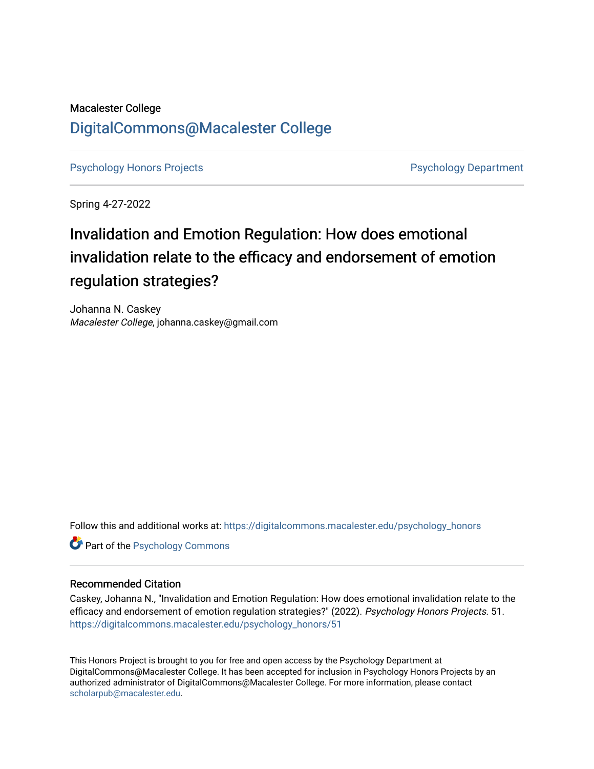# Macalester College [DigitalCommons@Macalester College](https://digitalcommons.macalester.edu/)

[Psychology Honors Projects](https://digitalcommons.macalester.edu/psychology_honors) **Profession Controller Psychology Department** 

Spring 4-27-2022

# Invalidation and Emotion Regulation: How does emotional invalidation relate to the efficacy and endorsement of emotion regulation strategies?

Johanna N. Caskey Macalester College, johanna.caskey@gmail.com

Follow this and additional works at: [https://digitalcommons.macalester.edu/psychology\\_honors](https://digitalcommons.macalester.edu/psychology_honors?utm_source=digitalcommons.macalester.edu%2Fpsychology_honors%2F51&utm_medium=PDF&utm_campaign=PDFCoverPages)

**Part of the Psychology Commons** 

# Recommended Citation

Caskey, Johanna N., "Invalidation and Emotion Regulation: How does emotional invalidation relate to the efficacy and endorsement of emotion regulation strategies?" (2022). Psychology Honors Projects. 51. [https://digitalcommons.macalester.edu/psychology\\_honors/51](https://digitalcommons.macalester.edu/psychology_honors/51?utm_source=digitalcommons.macalester.edu%2Fpsychology_honors%2F51&utm_medium=PDF&utm_campaign=PDFCoverPages) 

This Honors Project is brought to you for free and open access by the Psychology Department at DigitalCommons@Macalester College. It has been accepted for inclusion in Psychology Honors Projects by an authorized administrator of DigitalCommons@Macalester College. For more information, please contact [scholarpub@macalester.edu](mailto:scholarpub@macalester.edu).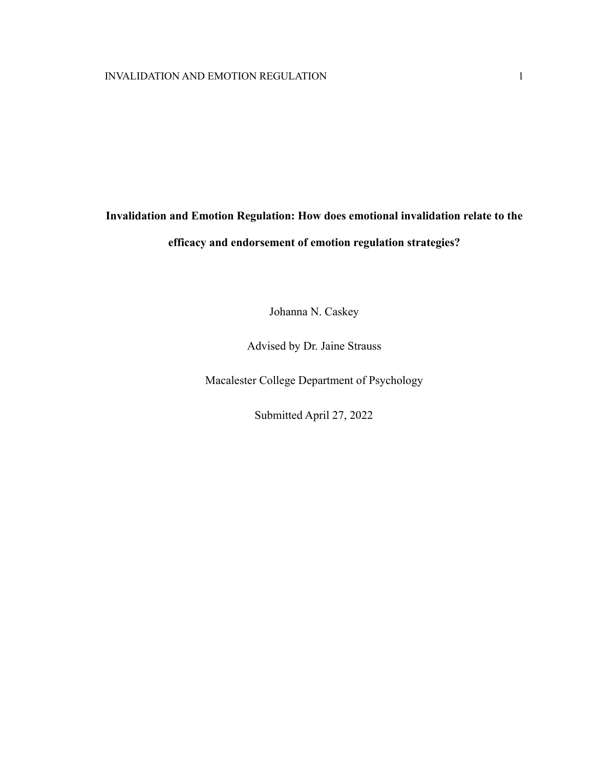# **Invalidation and Emotion Regulation: How does emotional invalidation relate to the efficacy and endorsement of emotion regulation strategies?**

Johanna N. Caskey

Advised by Dr. Jaine Strauss

Macalester College Department of Psychology

Submitted April 27, 2022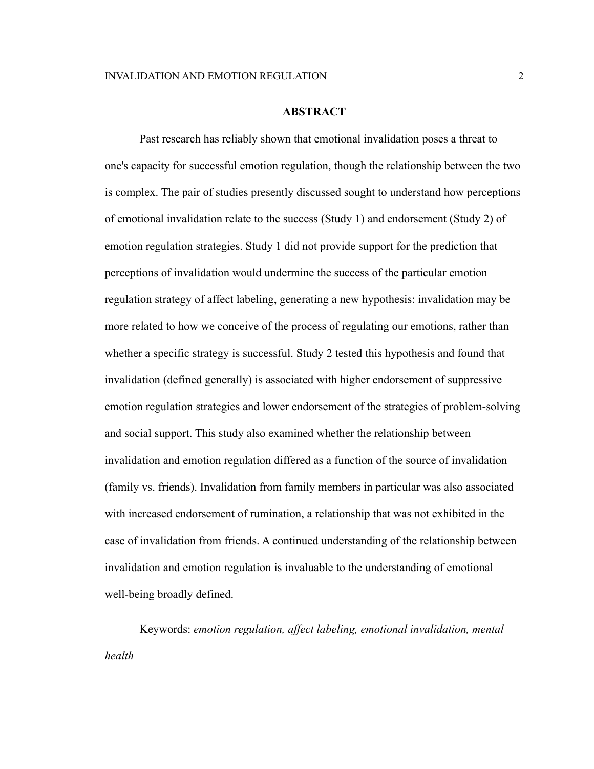# **ABSTRACT**

Past research has reliably shown that emotional invalidation poses a threat to one's capacity for successful emotion regulation, though the relationship between the two is complex. The pair of studies presently discussed sought to understand how perceptions of emotional invalidation relate to the success (Study 1) and endorsement (Study 2) of emotion regulation strategies. Study 1 did not provide support for the prediction that perceptions of invalidation would undermine the success of the particular emotion regulation strategy of affect labeling, generating a new hypothesis: invalidation may be more related to how we conceive of the process of regulating our emotions, rather than whether a specific strategy is successful. Study 2 tested this hypothesis and found that invalidation (defined generally) is associated with higher endorsement of suppressive emotion regulation strategies and lower endorsement of the strategies of problem-solving and social support. This study also examined whether the relationship between invalidation and emotion regulation differed as a function of the source of invalidation (family vs. friends). Invalidation from family members in particular was also associated with increased endorsement of rumination, a relationship that was not exhibited in the case of invalidation from friends. A continued understanding of the relationship between invalidation and emotion regulation is invaluable to the understanding of emotional well-being broadly defined.

Keywords: *emotion regulation, affect labeling, emotional invalidation, mental health*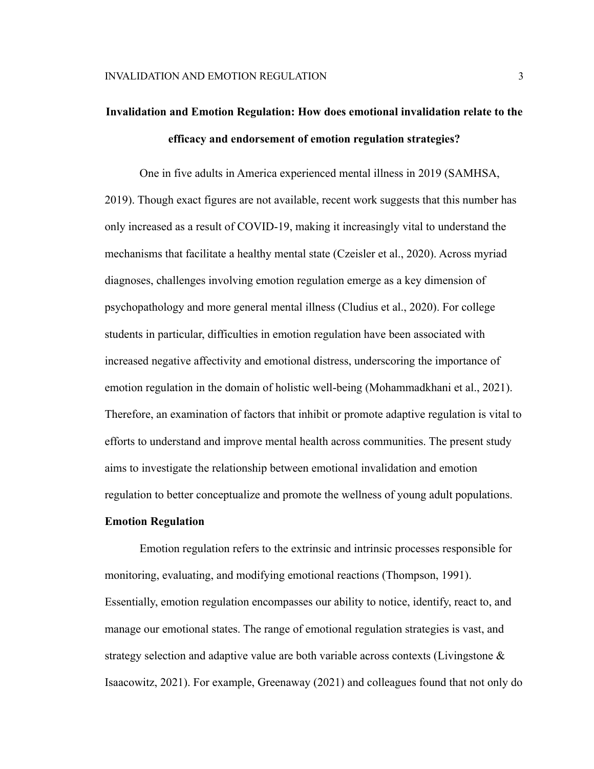# **Invalidation and Emotion Regulation: How does emotional invalidation relate to the efficacy and endorsement of emotion regulation strategies?**

One in five adults in America experienced mental illness in 2019 (SAMHSA, 2019). Though exact figures are not available, recent work suggests that this number has only increased as a result of COVID-19, making it increasingly vital to understand the mechanisms that facilitate a healthy mental state (Czeisler et al., 2020). Across myriad diagnoses, challenges involving emotion regulation emerge as a key dimension of psychopathology and more general mental illness (Cludius et al., 2020). For college students in particular, difficulties in emotion regulation have been associated with increased negative affectivity and emotional distress, underscoring the importance of emotion regulation in the domain of holistic well-being (Mohammadkhani et al., 2021). Therefore, an examination of factors that inhibit or promote adaptive regulation is vital to efforts to understand and improve mental health across communities. The present study aims to investigate the relationship between emotional invalidation and emotion regulation to better conceptualize and promote the wellness of young adult populations.

#### **Emotion Regulation**

Emotion regulation refers to the extrinsic and intrinsic processes responsible for monitoring, evaluating, and modifying emotional reactions (Thompson, 1991). Essentially, emotion regulation encompasses our ability to notice, identify, react to, and manage our emotional states. The range of emotional regulation strategies is vast, and strategy selection and adaptive value are both variable across contexts (Livingstone  $\&$ Isaacowitz, 2021). For example, Greenaway (2021) and colleagues found that not only do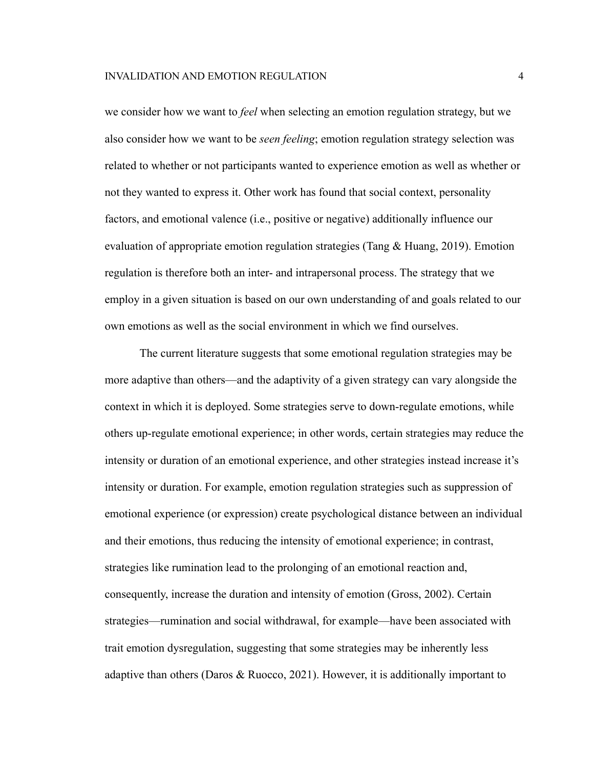we consider how we want to *feel* when selecting an emotion regulation strategy, but we also consider how we want to be *seen feeling*; emotion regulation strategy selection was related to whether or not participants wanted to experience emotion as well as whether or not they wanted to express it. Other work has found that social context, personality factors, and emotional valence (i.e., positive or negative) additionally influence our evaluation of appropriate emotion regulation strategies (Tang & Huang, 2019). Emotion regulation is therefore both an inter- and intrapersonal process. The strategy that we employ in a given situation is based on our own understanding of and goals related to our own emotions as well as the social environment in which we find ourselves.

The current literature suggests that some emotional regulation strategies may be more adaptive than others—and the adaptivity of a given strategy can vary alongside the context in which it is deployed. Some strategies serve to down-regulate emotions, while others up-regulate emotional experience; in other words, certain strategies may reduce the intensity or duration of an emotional experience, and other strategies instead increase it's intensity or duration. For example, emotion regulation strategies such as suppression of emotional experience (or expression) create psychological distance between an individual and their emotions, thus reducing the intensity of emotional experience; in contrast, strategies like rumination lead to the prolonging of an emotional reaction and, consequently, increase the duration and intensity of emotion (Gross, 2002). Certain strategies—rumination and social withdrawal, for example—have been associated with trait emotion dysregulation, suggesting that some strategies may be inherently less adaptive than others (Daros & Ruocco, 2021). However, it is additionally important to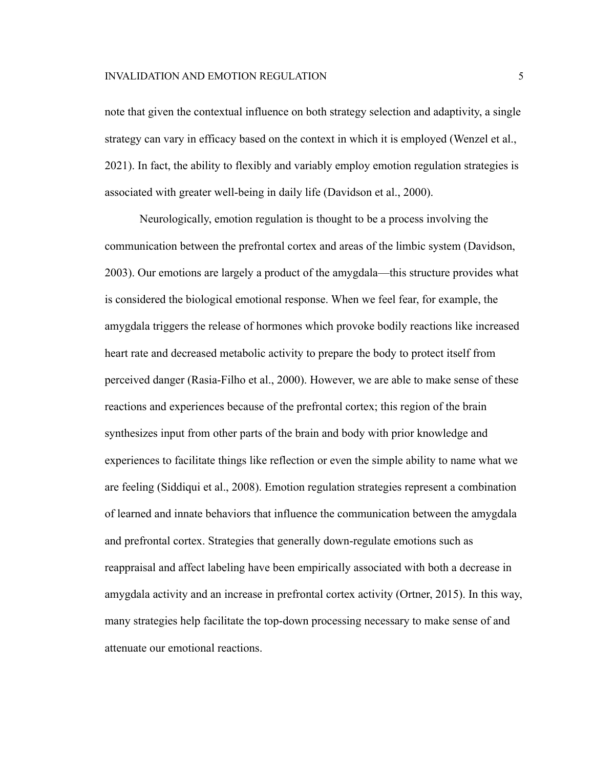note that given the contextual influence on both strategy selection and adaptivity, a single strategy can vary in efficacy based on the context in which it is employed (Wenzel et al., 2021). In fact, the ability to flexibly and variably employ emotion regulation strategies is associated with greater well-being in daily life (Davidson et al., 2000).

Neurologically, emotion regulation is thought to be a process involving the communication between the prefrontal cortex and areas of the limbic system (Davidson, 2003). Our emotions are largely a product of the amygdala—this structure provides what is considered the biological emotional response. When we feel fear, for example, the amygdala triggers the release of hormones which provoke bodily reactions like increased heart rate and decreased metabolic activity to prepare the body to protect itself from perceived danger (Rasia-Filho et al., 2000). However, we are able to make sense of these reactions and experiences because of the prefrontal cortex; this region of the brain synthesizes input from other parts of the brain and body with prior knowledge and experiences to facilitate things like reflection or even the simple ability to name what we are feeling (Siddiqui et al., 2008). Emotion regulation strategies represent a combination of learned and innate behaviors that influence the communication between the amygdala and prefrontal cortex. Strategies that generally down-regulate emotions such as reappraisal and affect labeling have been empirically associated with both a decrease in amygdala activity and an increase in prefrontal cortex activity (Ortner, 2015). In this way, many strategies help facilitate the top-down processing necessary to make sense of and attenuate our emotional reactions.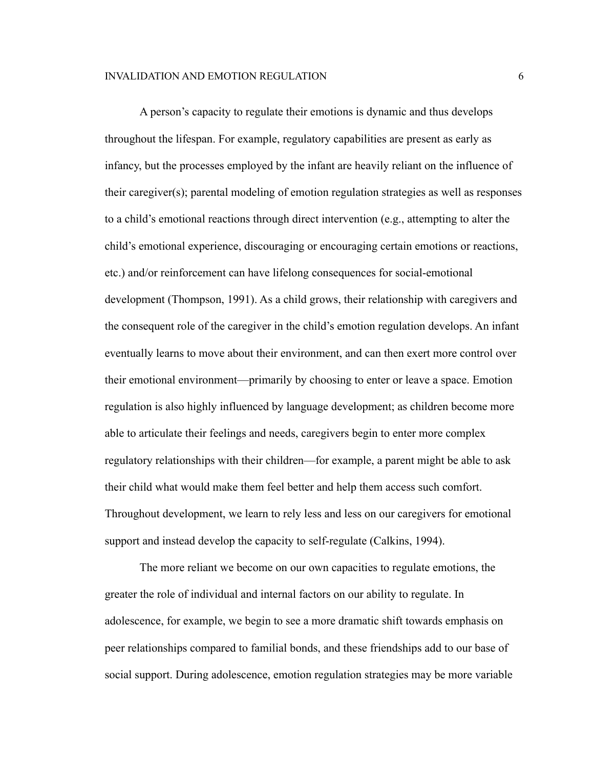A person's capacity to regulate their emotions is dynamic and thus develops throughout the lifespan. For example, regulatory capabilities are present as early as infancy, but the processes employed by the infant are heavily reliant on the influence of their caregiver(s); parental modeling of emotion regulation strategies as well as responses to a child's emotional reactions through direct intervention (e.g., attempting to alter the child's emotional experience, discouraging or encouraging certain emotions or reactions, etc.) and/or reinforcement can have lifelong consequences for social-emotional development (Thompson, 1991). As a child grows, their relationship with caregivers and the consequent role of the caregiver in the child's emotion regulation develops. An infant eventually learns to move about their environment, and can then exert more control over their emotional environment—primarily by choosing to enter or leave a space. Emotion regulation is also highly influenced by language development; as children become more able to articulate their feelings and needs, caregivers begin to enter more complex regulatory relationships with their children—for example, a parent might be able to ask their child what would make them feel better and help them access such comfort. Throughout development, we learn to rely less and less on our caregivers for emotional support and instead develop the capacity to self-regulate (Calkins, 1994).

The more reliant we become on our own capacities to regulate emotions, the greater the role of individual and internal factors on our ability to regulate. In adolescence, for example, we begin to see a more dramatic shift towards emphasis on peer relationships compared to familial bonds, and these friendships add to our base of social support. During adolescence, emotion regulation strategies may be more variable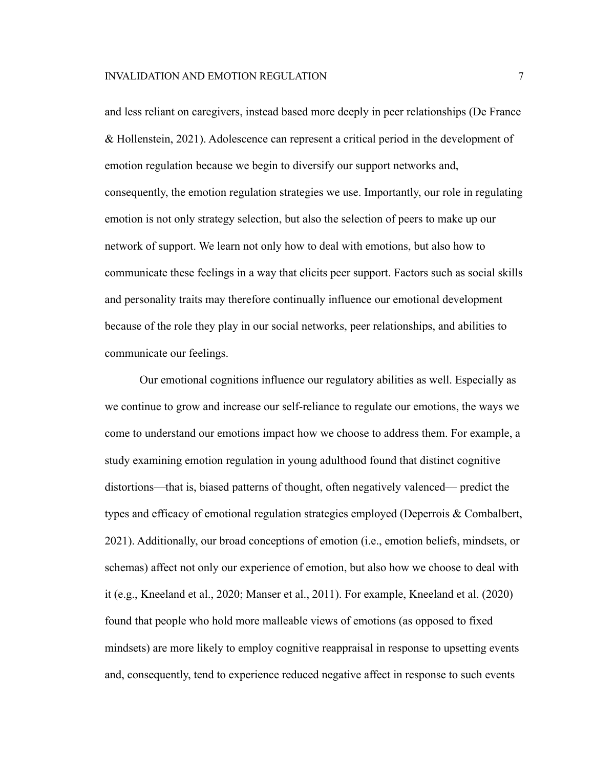and less reliant on caregivers, instead based more deeply in peer relationships (De France & Hollenstein, 2021). Adolescence can represent a critical period in the development of emotion regulation because we begin to diversify our support networks and, consequently, the emotion regulation strategies we use. Importantly, our role in regulating emotion is not only strategy selection, but also the selection of peers to make up our network of support. We learn not only how to deal with emotions, but also how to communicate these feelings in a way that elicits peer support. Factors such as social skills and personality traits may therefore continually influence our emotional development because of the role they play in our social networks, peer relationships, and abilities to communicate our feelings.

Our emotional cognitions influence our regulatory abilities as well. Especially as we continue to grow and increase our self-reliance to regulate our emotions, the ways we come to understand our emotions impact how we choose to address them. For example, a study examining emotion regulation in young adulthood found that distinct cognitive distortions—that is, biased patterns of thought, often negatively valenced— predict the types and efficacy of emotional regulation strategies employed (Deperrois & Combalbert, 2021). Additionally, our broad conceptions of emotion (i.e., emotion beliefs, mindsets, or schemas) affect not only our experience of emotion, but also how we choose to deal with it (e.g., Kneeland et al., 2020; Manser et al., 2011). For example, Kneeland et al. (2020) found that people who hold more malleable views of emotions (as opposed to fixed mindsets) are more likely to employ cognitive reappraisal in response to upsetting events and, consequently, tend to experience reduced negative affect in response to such events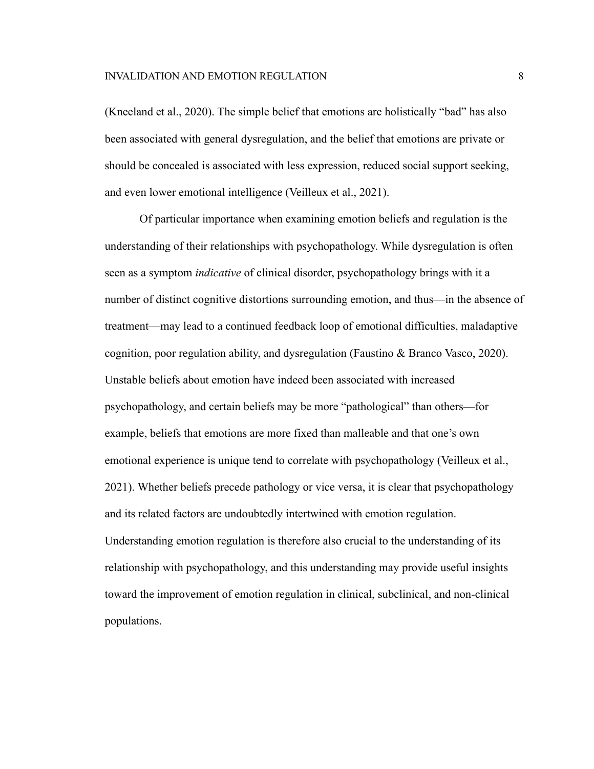(Kneeland et al., 2020). The simple belief that emotions are holistically "bad" has also been associated with general dysregulation, and the belief that emotions are private or should be concealed is associated with less expression, reduced social support seeking, and even lower emotional intelligence (Veilleux et al., 2021).

Of particular importance when examining emotion beliefs and regulation is the understanding of their relationships with psychopathology. While dysregulation is often seen as a symptom *indicative* of clinical disorder, psychopathology brings with it a number of distinct cognitive distortions surrounding emotion, and thus—in the absence of treatment—may lead to a continued feedback loop of emotional difficulties, maladaptive cognition, poor regulation ability, and dysregulation (Faustino & Branco Vasco, 2020). Unstable beliefs about emotion have indeed been associated with increased psychopathology, and certain beliefs may be more "pathological" than others—for example, beliefs that emotions are more fixed than malleable and that one's own emotional experience is unique tend to correlate with psychopathology (Veilleux et al., 2021). Whether beliefs precede pathology or vice versa, it is clear that psychopathology and its related factors are undoubtedly intertwined with emotion regulation. Understanding emotion regulation is therefore also crucial to the understanding of its relationship with psychopathology, and this understanding may provide useful insights toward the improvement of emotion regulation in clinical, subclinical, and non-clinical populations.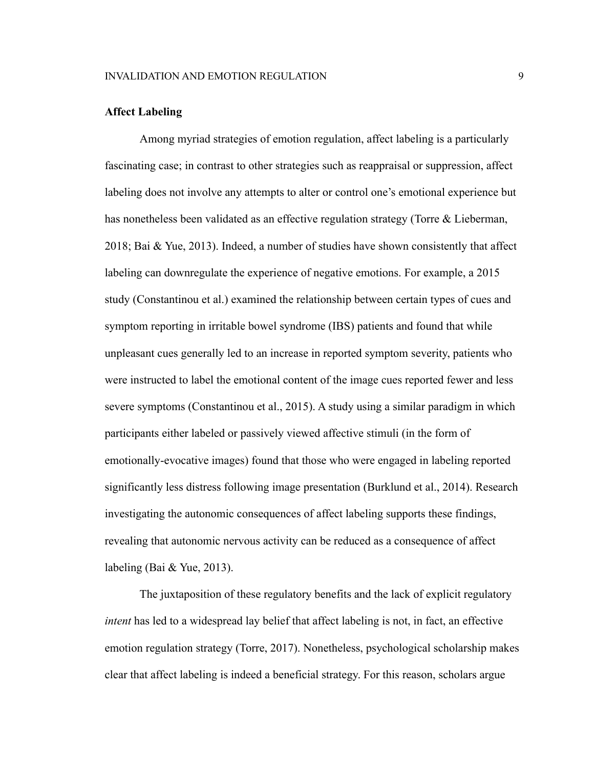# **Affect Labeling**

Among myriad strategies of emotion regulation, affect labeling is a particularly fascinating case; in contrast to other strategies such as reappraisal or suppression, affect labeling does not involve any attempts to alter or control one's emotional experience but has nonetheless been validated as an effective regulation strategy (Torre & Lieberman, 2018; Bai & Yue, 2013). Indeed, a number of studies have shown consistently that affect labeling can downregulate the experience of negative emotions. For example, a 2015 study (Constantinou et al.) examined the relationship between certain types of cues and symptom reporting in irritable bowel syndrome (IBS) patients and found that while unpleasant cues generally led to an increase in reported symptom severity, patients who were instructed to label the emotional content of the image cues reported fewer and less severe symptoms (Constantinou et al., 2015). A study using a similar paradigm in which participants either labeled or passively viewed affective stimuli (in the form of emotionally-evocative images) found that those who were engaged in labeling reported significantly less distress following image presentation (Burklund et al., 2014). Research investigating the autonomic consequences of affect labeling supports these findings, revealing that autonomic nervous activity can be reduced as a consequence of affect labeling (Bai & Yue, 2013).

The juxtaposition of these regulatory benefits and the lack of explicit regulatory *intent* has led to a widespread lay belief that affect labeling is not, in fact, an effective emotion regulation strategy (Torre, 2017). Nonetheless, psychological scholarship makes clear that affect labeling is indeed a beneficial strategy. For this reason, scholars argue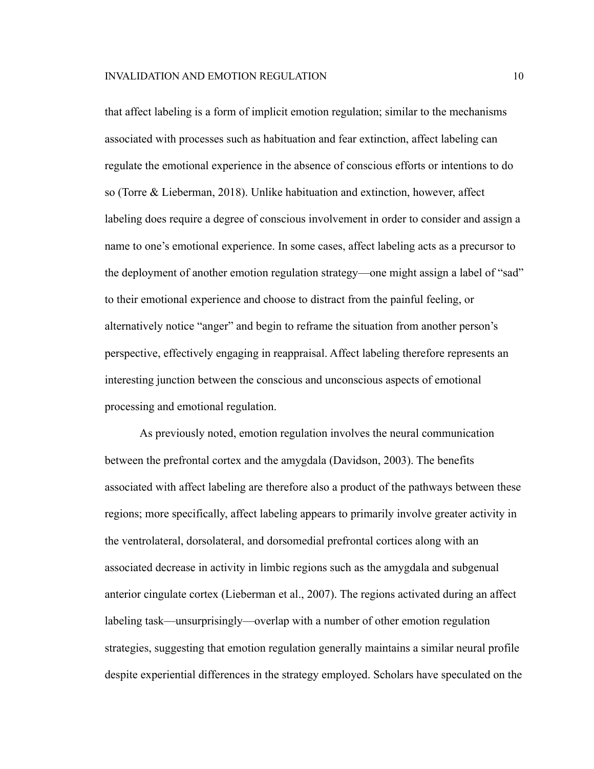that affect labeling is a form of implicit emotion regulation; similar to the mechanisms associated with processes such as habituation and fear extinction, affect labeling can regulate the emotional experience in the absence of conscious efforts or intentions to do so (Torre & Lieberman, 2018). Unlike habituation and extinction, however, affect labeling does require a degree of conscious involvement in order to consider and assign a name to one's emotional experience. In some cases, affect labeling acts as a precursor to the deployment of another emotion regulation strategy—one might assign a label of "sad" to their emotional experience and choose to distract from the painful feeling, or alternatively notice "anger" and begin to reframe the situation from another person's perspective, effectively engaging in reappraisal. Affect labeling therefore represents an interesting junction between the conscious and unconscious aspects of emotional processing and emotional regulation.

As previously noted, emotion regulation involves the neural communication between the prefrontal cortex and the amygdala (Davidson, 2003). The benefits associated with affect labeling are therefore also a product of the pathways between these regions; more specifically, affect labeling appears to primarily involve greater activity in the ventrolateral, dorsolateral, and dorsomedial prefrontal cortices along with an associated decrease in activity in limbic regions such as the amygdala and subgenual anterior cingulate cortex (Lieberman et al., 2007). The regions activated during an affect labeling task—unsurprisingly—overlap with a number of other emotion regulation strategies, suggesting that emotion regulation generally maintains a similar neural profile despite experiential differences in the strategy employed. Scholars have speculated on the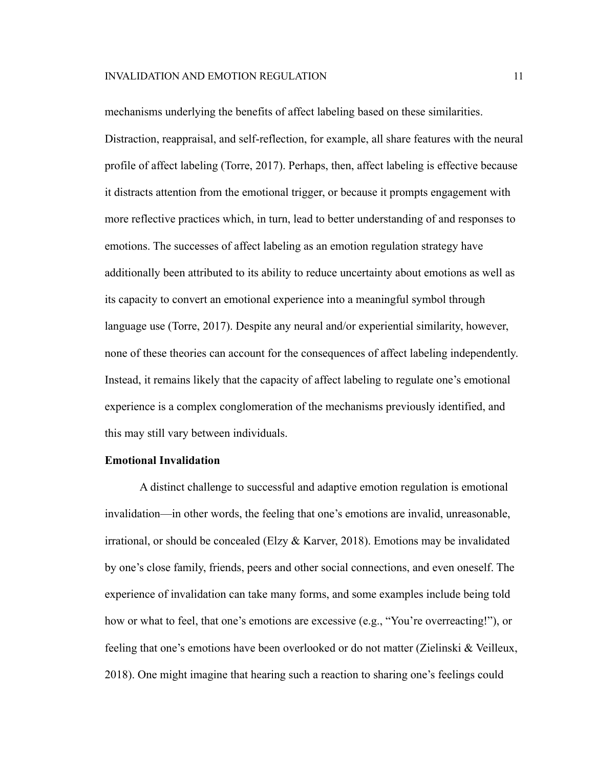mechanisms underlying the benefits of affect labeling based on these similarities. Distraction, reappraisal, and self-reflection, for example, all share features with the neural profile of affect labeling (Torre, 2017). Perhaps, then, affect labeling is effective because it distracts attention from the emotional trigger, or because it prompts engagement with more reflective practices which, in turn, lead to better understanding of and responses to emotions. The successes of affect labeling as an emotion regulation strategy have additionally been attributed to its ability to reduce uncertainty about emotions as well as its capacity to convert an emotional experience into a meaningful symbol through language use (Torre, 2017). Despite any neural and/or experiential similarity, however, none of these theories can account for the consequences of affect labeling independently. Instead, it remains likely that the capacity of affect labeling to regulate one's emotional experience is a complex conglomeration of the mechanisms previously identified, and this may still vary between individuals.

# **Emotional Invalidation**

A distinct challenge to successful and adaptive emotion regulation is emotional invalidation—in other words, the feeling that one's emotions are invalid, unreasonable, irrational, or should be concealed (Elzy  $&$  Karver, 2018). Emotions may be invalidated by one's close family, friends, peers and other social connections, and even oneself. The experience of invalidation can take many forms, and some examples include being told how or what to feel, that one's emotions are excessive (e.g., "You're overreacting!"), or feeling that one's emotions have been overlooked or do not matter (Zielinski & Veilleux, 2018). One might imagine that hearing such a reaction to sharing one's feelings could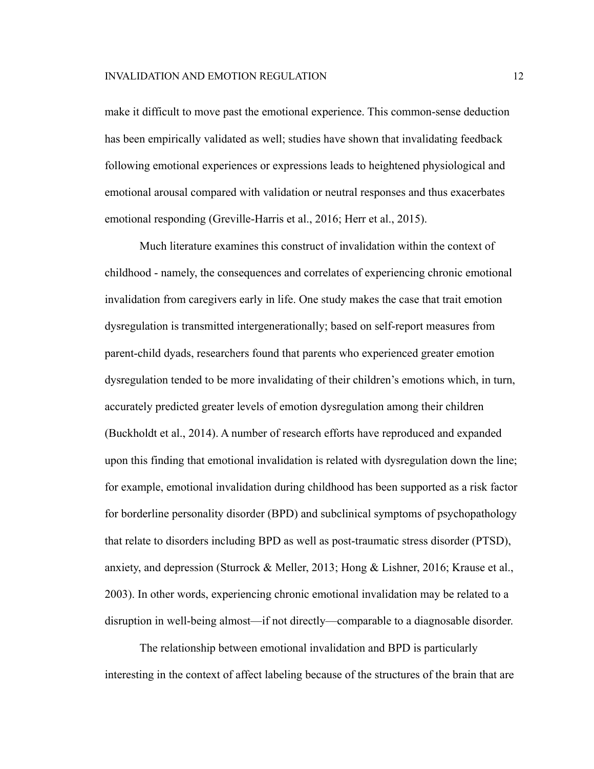make it difficult to move past the emotional experience. This common-sense deduction has been empirically validated as well; studies have shown that invalidating feedback following emotional experiences or expressions leads to heightened physiological and emotional arousal compared with validation or neutral responses and thus exacerbates emotional responding (Greville-Harris et al., 2016; Herr et al., 2015).

Much literature examines this construct of invalidation within the context of childhood - namely, the consequences and correlates of experiencing chronic emotional invalidation from caregivers early in life. One study makes the case that trait emotion dysregulation is transmitted intergenerationally; based on self-report measures from parent-child dyads, researchers found that parents who experienced greater emotion dysregulation tended to be more invalidating of their children's emotions which, in turn, accurately predicted greater levels of emotion dysregulation among their children (Buckholdt et al., 2014). A number of research efforts have reproduced and expanded upon this finding that emotional invalidation is related with dysregulation down the line; for example, emotional invalidation during childhood has been supported as a risk factor for borderline personality disorder (BPD) and subclinical symptoms of psychopathology that relate to disorders including BPD as well as post-traumatic stress disorder (PTSD), anxiety, and depression (Sturrock & Meller, 2013; Hong & Lishner, 2016; Krause et al., 2003). In other words, experiencing chronic emotional invalidation may be related to a disruption in well-being almost—if not directly—comparable to a diagnosable disorder.

The relationship between emotional invalidation and BPD is particularly interesting in the context of affect labeling because of the structures of the brain that are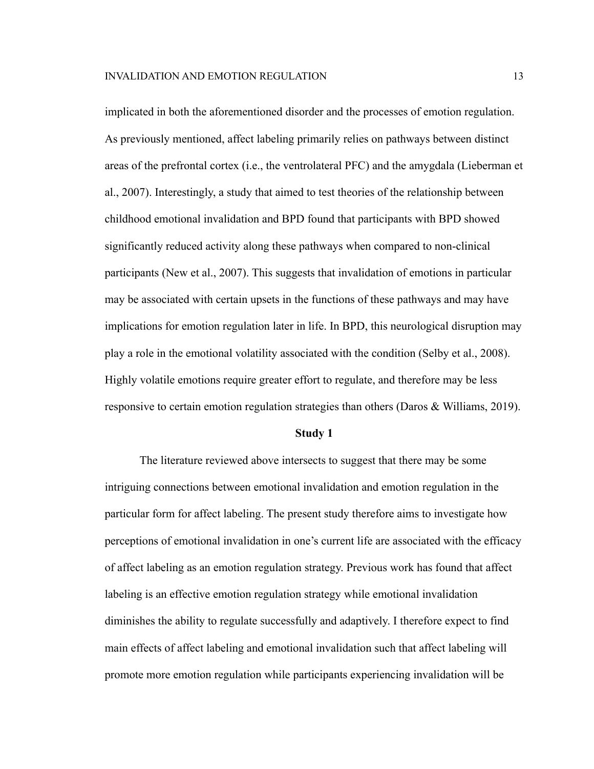implicated in both the aforementioned disorder and the processes of emotion regulation. As previously mentioned, affect labeling primarily relies on pathways between distinct areas of the prefrontal cortex (i.e., the ventrolateral PFC) and the amygdala (Lieberman et al., 2007). Interestingly, a study that aimed to test theories of the relationship between childhood emotional invalidation and BPD found that participants with BPD showed significantly reduced activity along these pathways when compared to non-clinical participants (New et al., 2007). This suggests that invalidation of emotions in particular may be associated with certain upsets in the functions of these pathways and may have implications for emotion regulation later in life. In BPD, this neurological disruption may play a role in the emotional volatility associated with the condition (Selby et al., 2008). Highly volatile emotions require greater effort to regulate, and therefore may be less responsive to certain emotion regulation strategies than others (Daros & Williams, 2019).

#### **Study 1**

The literature reviewed above intersects to suggest that there may be some intriguing connections between emotional invalidation and emotion regulation in the particular form for affect labeling. The present study therefore aims to investigate how perceptions of emotional invalidation in one's current life are associated with the efficacy of affect labeling as an emotion regulation strategy. Previous work has found that affect labeling is an effective emotion regulation strategy while emotional invalidation diminishes the ability to regulate successfully and adaptively. I therefore expect to find main effects of affect labeling and emotional invalidation such that affect labeling will promote more emotion regulation while participants experiencing invalidation will be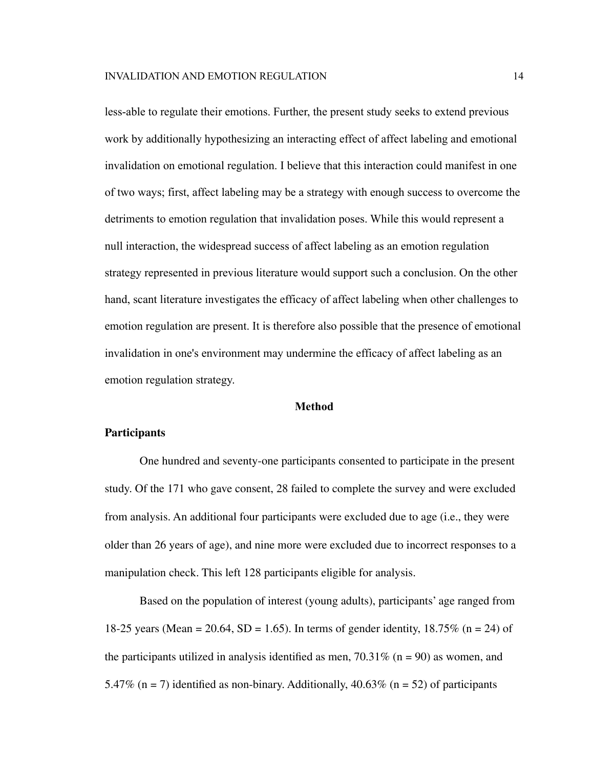less-able to regulate their emotions. Further, the present study seeks to extend previous work by additionally hypothesizing an interacting effect of affect labeling and emotional invalidation on emotional regulation. I believe that this interaction could manifest in one of two ways; first, affect labeling may be a strategy with enough success to overcome the detriments to emotion regulation that invalidation poses. While this would represent a null interaction, the widespread success of affect labeling as an emotion regulation strategy represented in previous literature would support such a conclusion. On the other hand, scant literature investigates the efficacy of affect labeling when other challenges to emotion regulation are present. It is therefore also possible that the presence of emotional invalidation in one's environment may undermine the efficacy of affect labeling as an emotion regulation strategy.

#### **Method**

#### **Participants**

One hundred and seventy-one participants consented to participate in the present study. Of the 171 who gave consent, 28 failed to complete the survey and were excluded from analysis. An additional four participants were excluded due to age (i.e., they were older than 26 years of age), and nine more were excluded due to incorrect responses to a manipulation check. This left 128 participants eligible for analysis.

Based on the population of interest (young adults), participants' age ranged from 18-25 years (Mean = 20.64, SD = 1.65). In terms of gender identity,  $18.75\%$  (n = 24) of the participants utilized in analysis identified as men,  $70.31\%$  (n = 90) as women, and 5.47% (n = 7) identified as non-binary. Additionally,  $40.63\%$  (n = 52) of participants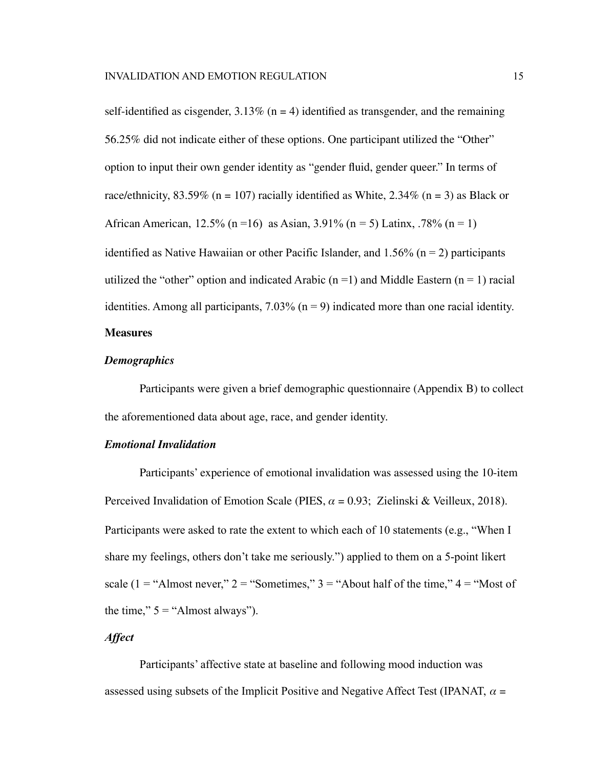self-identified as cisgender,  $3.13\%$  (n = 4) identified as transgender, and the remaining 56.25% did not indicate either of these options. One participant utilized the "Other" option to input their own gender identity as "gender fluid, gender queer." In terms of race/ethnicity, 83.59% (n = 107) racially identified as White, 2.34% (n = 3) as Black or African American, 12.5% (n = 16) as Asian, 3.91% (n = 5) Latinx, .78% (n = 1) identified as Native Hawaiian or other Pacific Islander, and  $1.56\%$  (n = 2) participants utilized the "other" option and indicated Arabic  $(n=1)$  and Middle Eastern  $(n=1)$  racial identities. Among all participants,  $7.03\%$  (n = 9) indicated more than one racial identity. **Measures**

#### *Demographics*

Participants were given a brief demographic questionnaire (Appendix B) to collect the aforementioned data about age, race, and gender identity.

# *Emotional Invalidation*

Participants' experience of emotional invalidation was assessed using the 10-item Perceived Invalidation of Emotion Scale (PIES,  $\alpha = 0.93$ ; Zielinski & Veilleux, 2018). Participants were asked to rate the extent to which each of 10 statements (e.g., "When I share my feelings, others don't take me seriously.") applied to them on a 5-point likert scale (1 = "Almost never,"  $2 =$  "Sometimes,"  $3 =$  "About half of the time,"  $4 =$  "Most of the time,"  $5 =$  "Almost always").

# *Affect*

Participants' affective state at baseline and following mood induction was assessed using subsets of the Implicit Positive and Negative Affect Test (IPANAT,  $\alpha$  =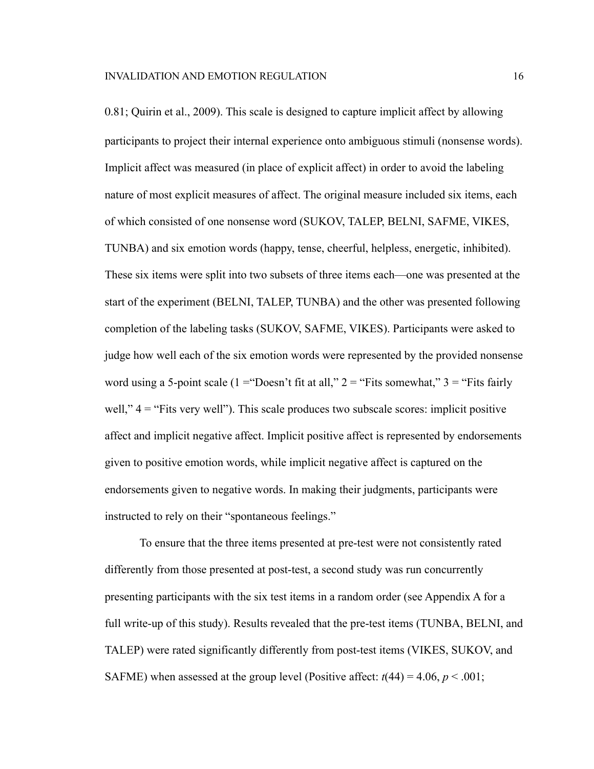0.81; Quirin et al., 2009). This scale is designed to capture implicit affect by allowing participants to project their internal experience onto ambiguous stimuli (nonsense words). Implicit affect was measured (in place of explicit affect) in order to avoid the labeling nature of most explicit measures of affect. The original measure included six items, each of which consisted of one nonsense word (SUKOV, TALEP, BELNI, SAFME, VIKES, TUNBA) and six emotion words (happy, tense, cheerful, helpless, energetic, inhibited). These six items were split into two subsets of three items each—one was presented at the start of the experiment (BELNI, TALEP, TUNBA) and the other was presented following completion of the labeling tasks (SUKOV, SAFME, VIKES). Participants were asked to judge how well each of the six emotion words were represented by the provided nonsense word using a 5-point scale (1 = "Doesn't fit at all,"  $2 =$  "Fits somewhat,"  $3 =$  "Fits fairly" well,"  $4 =$  "Fits very well"). This scale produces two subscale scores: implicit positive affect and implicit negative affect. Implicit positive affect is represented by endorsements given to positive emotion words, while implicit negative affect is captured on the endorsements given to negative words. In making their judgments, participants were instructed to rely on their "spontaneous feelings."

To ensure that the three items presented at pre-test were not consistently rated differently from those presented at post-test, a second study was run concurrently presenting participants with the six test items in a random order (see Appendix A for a full write-up of this study). Results revealed that the pre-test items (TUNBA, BELNI, and TALEP) were rated significantly differently from post-test items (VIKES, SUKOV, and SAFME) when assessed at the group level (Positive affect:  $t(44) = 4.06$ ,  $p < .001$ ;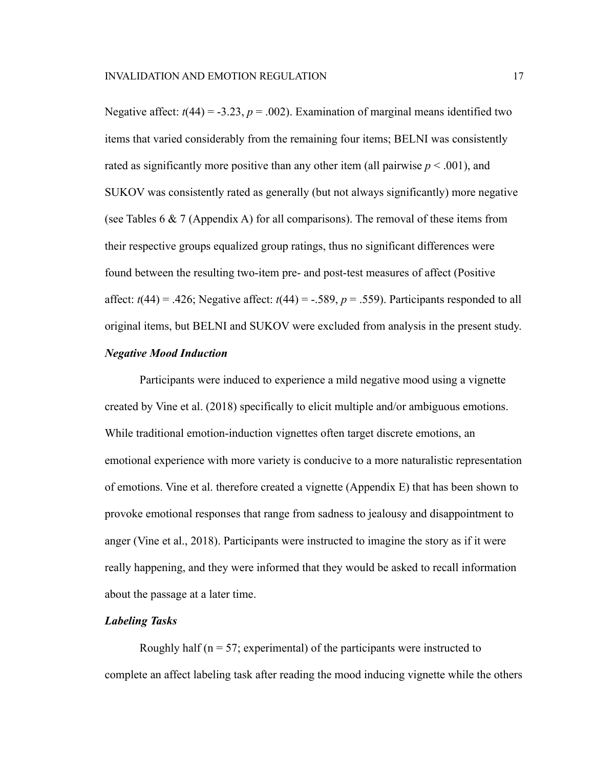Negative affect:  $t(44) = -3.23$ ,  $p = .002$ ). Examination of marginal means identified two items that varied considerably from the remaining four items; BELNI was consistently rated as significantly more positive than any other item (all pairwise  $p < .001$ ), and SUKOV was consistently rated as generally (but not always significantly) more negative (see Tables 6 & 7 (Appendix A) for all comparisons). The removal of these items from their respective groups equalized group ratings, thus no significant differences were found between the resulting two-item pre- and post-test measures of affect (Positive affect:  $t(44) = .426$ ; Negative affect:  $t(44) = -.589$ ,  $p = .559$ ). Participants responded to all original items, but BELNI and SUKOV were excluded from analysis in the present study.

# *Negative Mood Induction*

Participants were induced to experience a mild negative mood using a vignette created by Vine et al. (2018) specifically to elicit multiple and/or ambiguous emotions. While traditional emotion-induction vignettes often target discrete emotions, an emotional experience with more variety is conducive to a more naturalistic representation of emotions. Vine et al. therefore created a vignette (Appendix E) that has been shown to provoke emotional responses that range from sadness to jealousy and disappointment to anger (Vine et al., 2018). Participants were instructed to imagine the story as if it were really happening, and they were informed that they would be asked to recall information about the passage at a later time.

# *Labeling Tasks*

Roughly half ( $n = 57$ ; experimental) of the participants were instructed to complete an affect labeling task after reading the mood inducing vignette while the others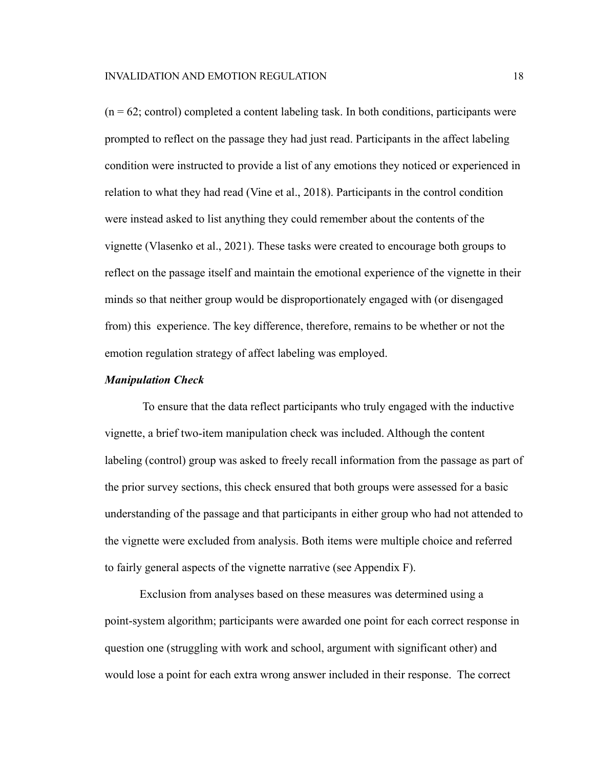$(n = 62;$  control) completed a content labeling task. In both conditions, participants were prompted to reflect on the passage they had just read. Participants in the affect labeling condition were instructed to provide a list of any emotions they noticed or experienced in relation to what they had read (Vine et al., 2018). Participants in the control condition were instead asked to list anything they could remember about the contents of the vignette (Vlasenko et al., 2021). These tasks were created to encourage both groups to reflect on the passage itself and maintain the emotional experience of the vignette in their minds so that neither group would be disproportionately engaged with (or disengaged from) this experience. The key difference, therefore, remains to be whether or not the emotion regulation strategy of affect labeling was employed.

#### *Manipulation Check*

To ensure that the data reflect participants who truly engaged with the inductive vignette, a brief two-item manipulation check was included. Although the content labeling (control) group was asked to freely recall information from the passage as part of the prior survey sections, this check ensured that both groups were assessed for a basic understanding of the passage and that participants in either group who had not attended to the vignette were excluded from analysis. Both items were multiple choice and referred to fairly general aspects of the vignette narrative (see Appendix F).

Exclusion from analyses based on these measures was determined using a point-system algorithm; participants were awarded one point for each correct response in question one (struggling with work and school, argument with significant other) and would lose a point for each extra wrong answer included in their response. The correct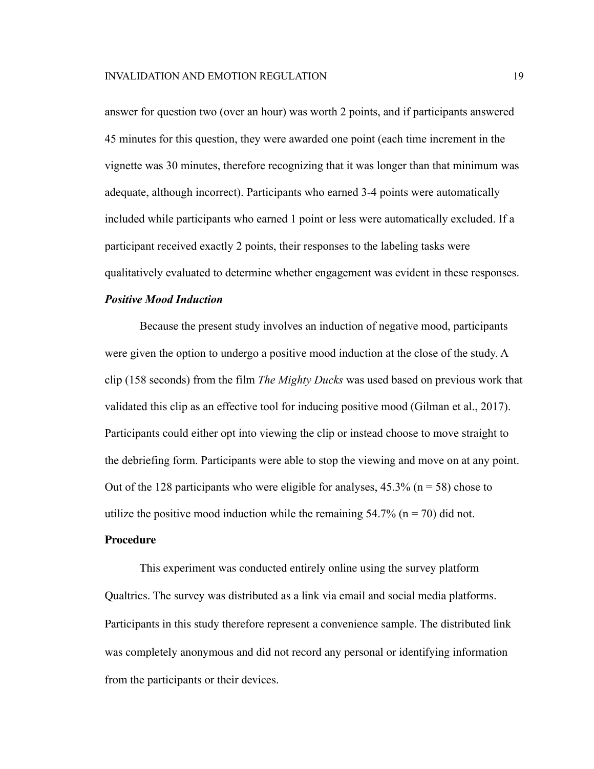answer for question two (over an hour) was worth 2 points, and if participants answered 45 minutes for this question, they were awarded one point (each time increment in the vignette was 30 minutes, therefore recognizing that it was longer than that minimum was adequate, although incorrect). Participants who earned 3-4 points were automatically included while participants who earned 1 point or less were automatically excluded. If a participant received exactly 2 points, their responses to the labeling tasks were qualitatively evaluated to determine whether engagement was evident in these responses.

# *Positive Mood Induction*

Because the present study involves an induction of negative mood, participants were given the option to undergo a positive mood induction at the close of the study. A clip (158 seconds) from the film *The Mighty Ducks* was used based on previous work that validated this clip as an effective tool for inducing positive mood (Gilman et al., 2017). Participants could either opt into viewing the clip or instead choose to move straight to the debriefing form. Participants were able to stop the viewing and move on at any point. Out of the 128 participants who were eligible for analyses,  $45.3\%$  (n = 58) chose to utilize the positive mood induction while the remaining  $54.7\%$  (n = 70) did not.

# **Procedure**

This experiment was conducted entirely online using the survey platform Qualtrics. The survey was distributed as a link via email and social media platforms. Participants in this study therefore represent a convenience sample. The distributed link was completely anonymous and did not record any personal or identifying information from the participants or their devices.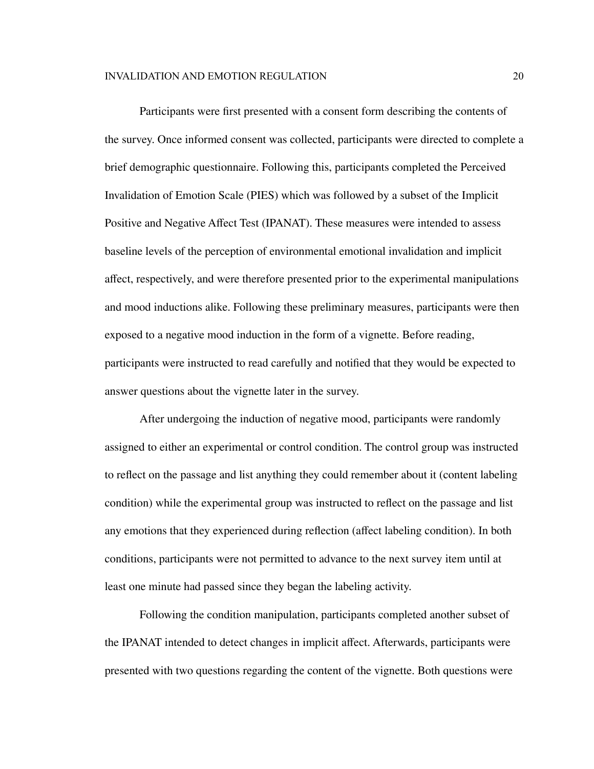Participants were first presented with a consent form describing the contents of the survey. Once informed consent was collected, participants were directed to complete a brief demographic questionnaire. Following this, participants completed the Perceived Invalidation of Emotion Scale (PIES) which was followed by a subset of the Implicit Positive and Negative Affect Test (IPANAT). These measures were intended to assess baseline levels of the perception of environmental emotional invalidation and implicit affect, respectively, and were therefore presented prior to the experimental manipulations and mood inductions alike. Following these preliminary measures, participants were then exposed to a negative mood induction in the form of a vignette. Before reading, participants were instructed to read carefully and notified that they would be expected to answer questions about the vignette later in the survey.

After undergoing the induction of negative mood, participants were randomly assigned to either an experimental or control condition. The control group was instructed to reflect on the passage and list anything they could remember about it (content labeling condition) while the experimental group was instructed to reflect on the passage and list any emotions that they experienced during reflection (affect labeling condition). In both conditions, participants were not permitted to advance to the next survey item until at least one minute had passed since they began the labeling activity.

Following the condition manipulation, participants completed another subset of the IPANAT intended to detect changes in implicit affect. Afterwards, participants were presented with two questions regarding the content of the vignette. Both questions were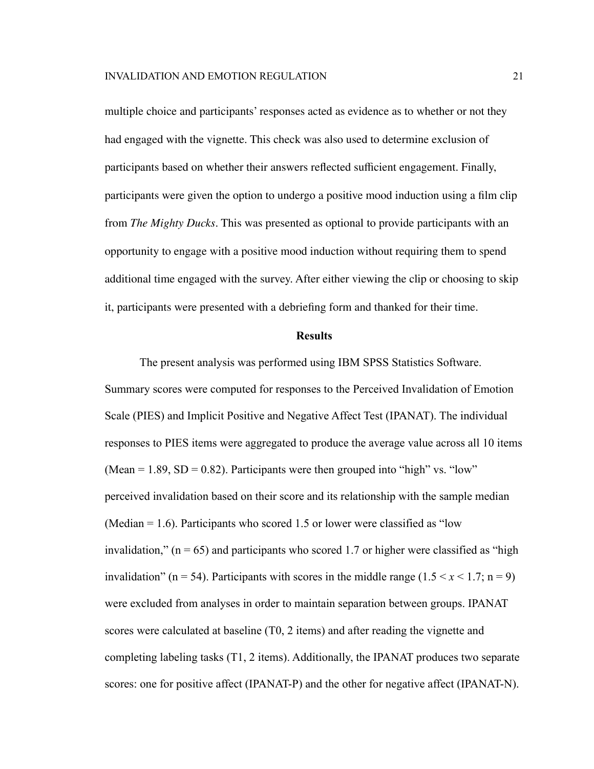multiple choice and participants' responses acted as evidence as to whether or not they had engaged with the vignette. This check was also used to determine exclusion of participants based on whether their answers reflected sufficient engagement. Finally, participants were given the option to undergo a positive mood induction using a film clip from *The Mighty Ducks*. This was presented as optional to provide participants with an opportunity to engage with a positive mood induction without requiring them to spend additional time engaged with the survey. After either viewing the clip or choosing to skip it, participants were presented with a debriefing form and thanked for their time.

#### **Results**

The present analysis was performed using IBM SPSS Statistics Software. Summary scores were computed for responses to the Perceived Invalidation of Emotion Scale (PIES) and Implicit Positive and Negative Affect Test (IPANAT). The individual responses to PIES items were aggregated to produce the average value across all 10 items (Mean  $= 1.89$ , SD  $= 0.82$ ). Participants were then grouped into "high" vs. "low" perceived invalidation based on their score and its relationship with the sample median (Median = 1.6). Participants who scored 1.5 or lower were classified as "low invalidation,"  $(n = 65)$  and participants who scored 1.7 or higher were classified as "high invalidation" (n = 54). Participants with scores in the middle range  $(1.5 \le x \le 1.7; n = 9)$ were excluded from analyses in order to maintain separation between groups. IPANAT scores were calculated at baseline (T0, 2 items) and after reading the vignette and completing labeling tasks (T1, 2 items). Additionally, the IPANAT produces two separate scores: one for positive affect (IPANAT-P) and the other for negative affect (IPANAT-N).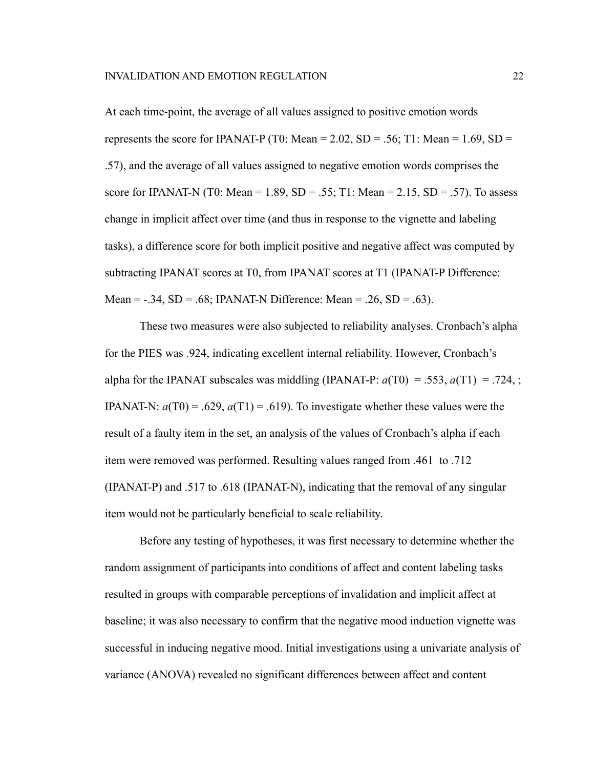At each time-point, the average of all values assigned to positive emotion words represents the score for IPANAT-P (T0: Mean =  $2.02$ , SD = .56; T1: Mean = 1.69, SD = .57), and the average of all values assigned to negative emotion words comprises the score for IPANAT-N (T0: Mean =  $1.89$ , SD = .55; T1: Mean =  $2.15$ , SD = .57). To assess change in implicit affect over time (and thus in response to the vignette and labeling tasks), a difference score for both implicit positive and negative affect was computed by subtracting IPANAT scores at T0, from IPANAT scores at T1 (IPANAT-P Difference: Mean =  $-.34$ , SD =  $.68$ ; IPANAT-N Difference: Mean =  $.26$ , SD =  $.63$ ).

These two measures were also subjected to reliability analyses. Cronbach's alpha for the PIES was .924, indicating excellent internal reliability. However, Cronbach's alpha for the IPANAT subscales was middling (IPANAT-P:  $a(T0) = .553$ ,  $a(T1) = .724$ , ; IPANAT-N:  $a(T0) = .629$ ,  $a(T1) = .619$ ). To investigate whether these values were the result of a faulty item in the set, an analysis of the values of Cronbach's alpha if each item were removed was performed. Resulting values ranged from .461 to .712 (IPANAT-P) and .517 to .618 (IPANAT-N), indicating that the removal of any singular item would not be particularly beneficial to scale reliability.

Before any testing of hypotheses, it was first necessary to determine whether the random assignment of participants into conditions of affect and content labeling tasks resulted in groups with comparable perceptions of invalidation and implicit affect at baseline; it was also necessary to confirm that the negative mood induction vignette was successful in inducing negative mood. Initial investigations using a univariate analysis of variance (ANOVA) revealed no significant differences between affect and content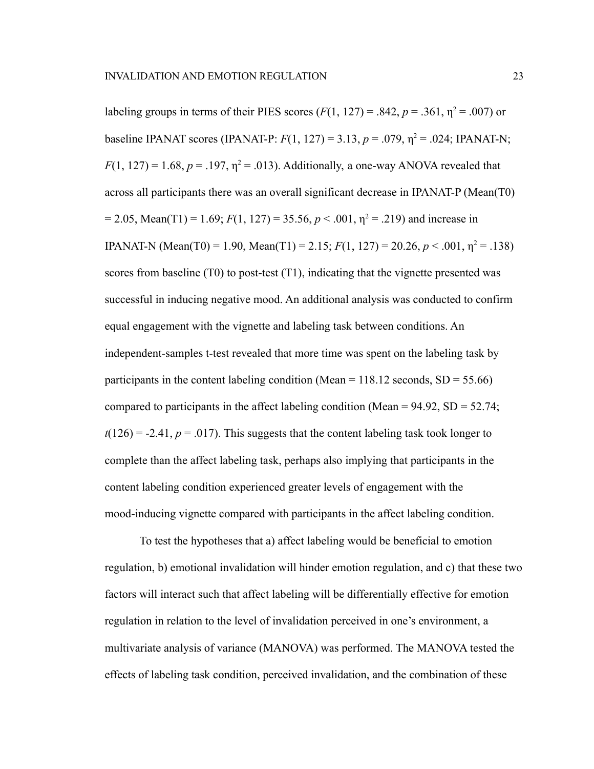labeling groups in terms of their PIES scores  $(F(1, 127) = .842, p = .361, \eta^2 = .007)$  or baseline IPANAT scores (IPANAT-P:  $F(1, 127) = 3.13$ ,  $p = .079$ ,  $\eta^2 = .024$ ; IPANAT-N;  $F(1, 127) = 1.68$ ,  $p = .197$ ,  $\eta^2 = .013$ ). Additionally, a one-way ANOVA revealed that across all participants there was an overall significant decrease in IPANAT-P (Mean(T0)  $= 2.05$ , Mean(T1) = 1.69;  $F(1, 127) = 35.56$ ,  $p < .001$ ,  $\eta^2 = .219$ ) and increase in IPANAT-N (Mean(T0) = 1.90, Mean(T1) = 2.15;  $F(1, 127) = 20.26$ ,  $p < .001$ ,  $\eta^2 = .138$ ) scores from baseline (T0) to post-test (T1), indicating that the vignette presented was successful in inducing negative mood. An additional analysis was conducted to confirm equal engagement with the vignette and labeling task between conditions. An independent-samples t-test revealed that more time was spent on the labeling task by participants in the content labeling condition (Mean =  $118.12$  seconds,  $SD = 55.66$ ) compared to participants in the affect labeling condition (Mean =  $94.92$ , SD =  $52.74$ ;  $t(126) = -2.41$ ,  $p = .017$ ). This suggests that the content labeling task took longer to complete than the affect labeling task, perhaps also implying that participants in the content labeling condition experienced greater levels of engagement with the mood-inducing vignette compared with participants in the affect labeling condition.

To test the hypotheses that a) affect labeling would be beneficial to emotion regulation, b) emotional invalidation will hinder emotion regulation, and c) that these two factors will interact such that affect labeling will be differentially effective for emotion regulation in relation to the level of invalidation perceived in one's environment, a multivariate analysis of variance (MANOVA) was performed. The MANOVA tested the effects of labeling task condition, perceived invalidation, and the combination of these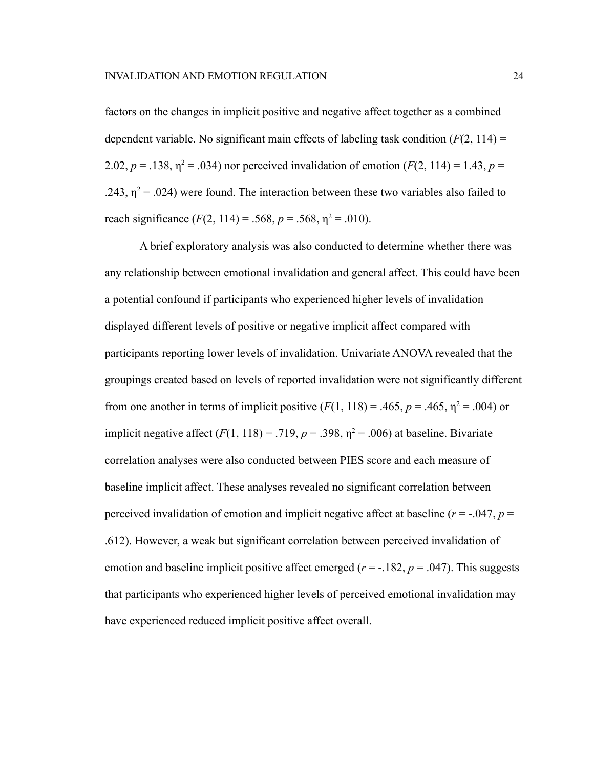factors on the changes in implicit positive and negative affect together as a combined dependent variable. No significant main effects of labeling task condition  $(F(2, 114) =$ 2.02,  $p = .138$ ,  $\eta^2 = .034$ ) nor perceived invalidation of emotion ( $F(2, 114) = 1.43$ ,  $p =$ .243,  $\eta^2$  = .024) were found. The interaction between these two variables also failed to reach significance  $(F(2, 114) = .568, p = .568, \eta^2 = .010)$ .

A brief exploratory analysis was also conducted to determine whether there was any relationship between emotional invalidation and general affect. This could have been a potential confound if participants who experienced higher levels of invalidation displayed different levels of positive or negative implicit affect compared with participants reporting lower levels of invalidation. Univariate ANOVA revealed that the groupings created based on levels of reported invalidation were not significantly different from one another in terms of implicit positive  $(F(1, 118) = .465, p = .465, \eta^2 = .004)$  or implicit negative affect  $(F(1, 118) = .719, p = .398, \eta^2 = .006)$  at baseline. Bivariate correlation analyses were also conducted between PIES score and each measure of baseline implicit affect. These analyses revealed no significant correlation between perceived invalidation of emotion and implicit negative affect at baseline  $(r = -0.047, p =$ .612). However, a weak but significant correlation between perceived invalidation of emotion and baseline implicit positive affect emerged ( $r = -182$ ,  $p = .047$ ). This suggests that participants who experienced higher levels of perceived emotional invalidation may have experienced reduced implicit positive affect overall.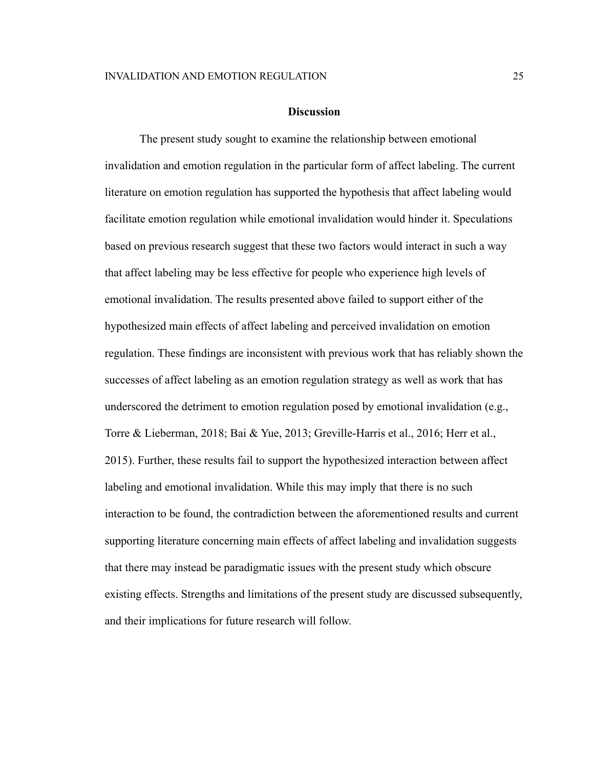# **Discussion**

The present study sought to examine the relationship between emotional invalidation and emotion regulation in the particular form of affect labeling. The current literature on emotion regulation has supported the hypothesis that affect labeling would facilitate emotion regulation while emotional invalidation would hinder it. Speculations based on previous research suggest that these two factors would interact in such a way that affect labeling may be less effective for people who experience high levels of emotional invalidation. The results presented above failed to support either of the hypothesized main effects of affect labeling and perceived invalidation on emotion regulation. These findings are inconsistent with previous work that has reliably shown the successes of affect labeling as an emotion regulation strategy as well as work that has underscored the detriment to emotion regulation posed by emotional invalidation (e.g., Torre & Lieberman, 2018; Bai & Yue, 2013; Greville-Harris et al., 2016; Herr et al., 2015). Further, these results fail to support the hypothesized interaction between affect labeling and emotional invalidation. While this may imply that there is no such interaction to be found, the contradiction between the aforementioned results and current supporting literature concerning main effects of affect labeling and invalidation suggests that there may instead be paradigmatic issues with the present study which obscure existing effects. Strengths and limitations of the present study are discussed subsequently, and their implications for future research will follow.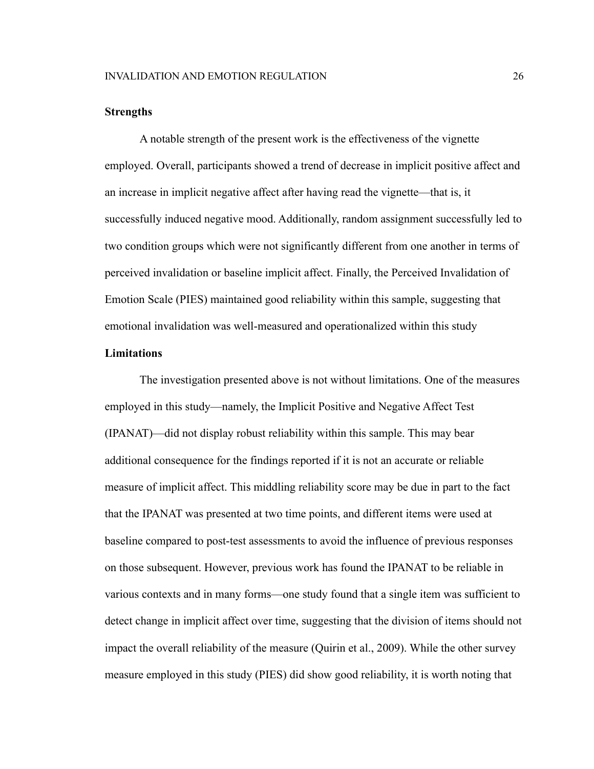### **Strengths**

A notable strength of the present work is the effectiveness of the vignette employed. Overall, participants showed a trend of decrease in implicit positive affect and an increase in implicit negative affect after having read the vignette—that is, it successfully induced negative mood. Additionally, random assignment successfully led to two condition groups which were not significantly different from one another in terms of perceived invalidation or baseline implicit affect. Finally, the Perceived Invalidation of Emotion Scale (PIES) maintained good reliability within this sample, suggesting that emotional invalidation was well-measured and operationalized within this study

# **Limitations**

The investigation presented above is not without limitations. One of the measures employed in this study—namely, the Implicit Positive and Negative Affect Test (IPANAT)—did not display robust reliability within this sample. This may bear additional consequence for the findings reported if it is not an accurate or reliable measure of implicit affect. This middling reliability score may be due in part to the fact that the IPANAT was presented at two time points, and different items were used at baseline compared to post-test assessments to avoid the influence of previous responses on those subsequent. However, previous work has found the IPANAT to be reliable in various contexts and in many forms—one study found that a single item was sufficient to detect change in implicit affect over time, suggesting that the division of items should not impact the overall reliability of the measure (Quirin et al., 2009). While the other survey measure employed in this study (PIES) did show good reliability, it is worth noting that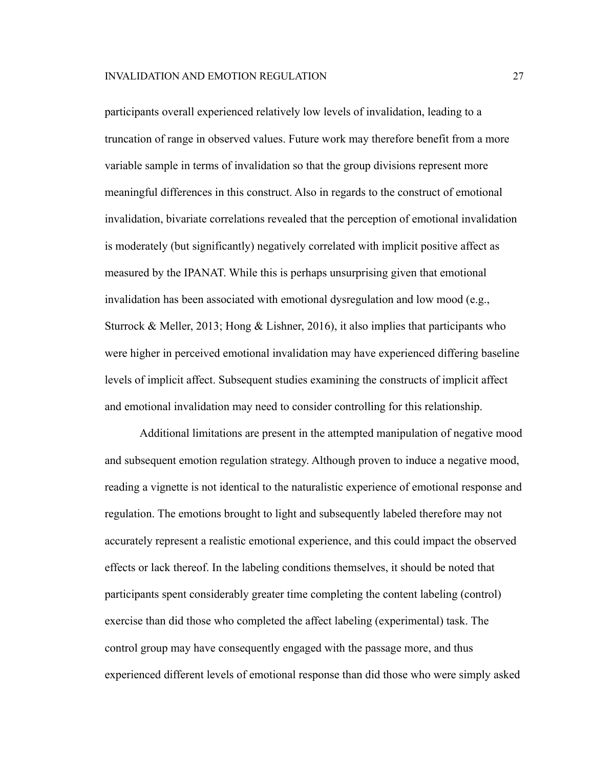participants overall experienced relatively low levels of invalidation, leading to a truncation of range in observed values. Future work may therefore benefit from a more variable sample in terms of invalidation so that the group divisions represent more meaningful differences in this construct. Also in regards to the construct of emotional invalidation, bivariate correlations revealed that the perception of emotional invalidation is moderately (but significantly) negatively correlated with implicit positive affect as measured by the IPANAT. While this is perhaps unsurprising given that emotional invalidation has been associated with emotional dysregulation and low mood (e.g., Sturrock & Meller, 2013; Hong & Lishner, 2016), it also implies that participants who were higher in perceived emotional invalidation may have experienced differing baseline levels of implicit affect. Subsequent studies examining the constructs of implicit affect and emotional invalidation may need to consider controlling for this relationship.

Additional limitations are present in the attempted manipulation of negative mood and subsequent emotion regulation strategy. Although proven to induce a negative mood, reading a vignette is not identical to the naturalistic experience of emotional response and regulation. The emotions brought to light and subsequently labeled therefore may not accurately represent a realistic emotional experience, and this could impact the observed effects or lack thereof. In the labeling conditions themselves, it should be noted that participants spent considerably greater time completing the content labeling (control) exercise than did those who completed the affect labeling (experimental) task. The control group may have consequently engaged with the passage more, and thus experienced different levels of emotional response than did those who were simply asked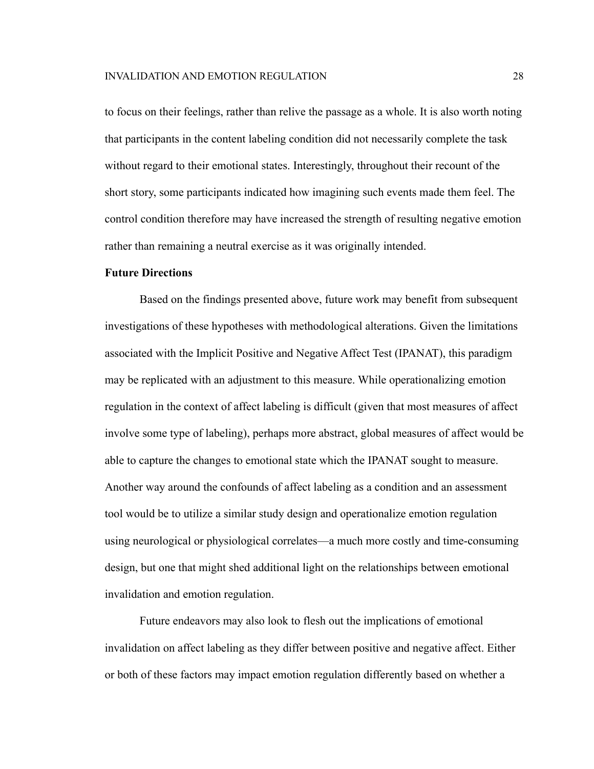to focus on their feelings, rather than relive the passage as a whole. It is also worth noting that participants in the content labeling condition did not necessarily complete the task without regard to their emotional states. Interestingly, throughout their recount of the short story, some participants indicated how imagining such events made them feel. The control condition therefore may have increased the strength of resulting negative emotion rather than remaining a neutral exercise as it was originally intended.

# **Future Directions**

Based on the findings presented above, future work may benefit from subsequent investigations of these hypotheses with methodological alterations. Given the limitations associated with the Implicit Positive and Negative Affect Test (IPANAT), this paradigm may be replicated with an adjustment to this measure. While operationalizing emotion regulation in the context of affect labeling is difficult (given that most measures of affect involve some type of labeling), perhaps more abstract, global measures of affect would be able to capture the changes to emotional state which the IPANAT sought to measure. Another way around the confounds of affect labeling as a condition and an assessment tool would be to utilize a similar study design and operationalize emotion regulation using neurological or physiological correlates—a much more costly and time-consuming design, but one that might shed additional light on the relationships between emotional invalidation and emotion regulation.

Future endeavors may also look to flesh out the implications of emotional invalidation on affect labeling as they differ between positive and negative affect. Either or both of these factors may impact emotion regulation differently based on whether a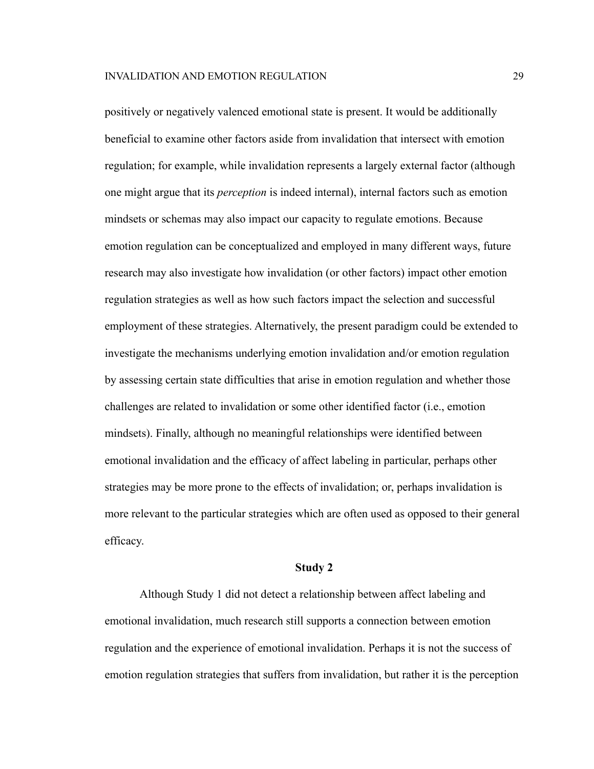positively or negatively valenced emotional state is present. It would be additionally beneficial to examine other factors aside from invalidation that intersect with emotion regulation; for example, while invalidation represents a largely external factor (although one might argue that its *perception* is indeed internal), internal factors such as emotion mindsets or schemas may also impact our capacity to regulate emotions. Because emotion regulation can be conceptualized and employed in many different ways, future research may also investigate how invalidation (or other factors) impact other emotion regulation strategies as well as how such factors impact the selection and successful employment of these strategies. Alternatively, the present paradigm could be extended to investigate the mechanisms underlying emotion invalidation and/or emotion regulation by assessing certain state difficulties that arise in emotion regulation and whether those challenges are related to invalidation or some other identified factor (i.e., emotion mindsets). Finally, although no meaningful relationships were identified between emotional invalidation and the efficacy of affect labeling in particular, perhaps other strategies may be more prone to the effects of invalidation; or, perhaps invalidation is more relevant to the particular strategies which are often used as opposed to their general efficacy.

#### **Study 2**

Although Study 1 did not detect a relationship between affect labeling and emotional invalidation, much research still supports a connection between emotion regulation and the experience of emotional invalidation. Perhaps it is not the success of emotion regulation strategies that suffers from invalidation, but rather it is the perception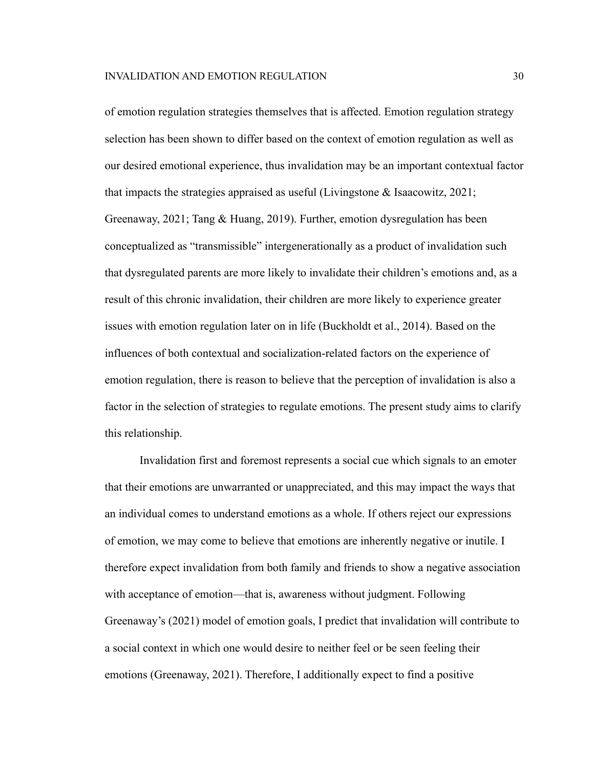of emotion regulation strategies themselves that is affected. Emotion regulation strategy selection has been shown to differ based on the context of emotion regulation as well as our desired emotional experience, thus invalidation may be an important contextual factor that impacts the strategies appraised as useful (Livingstone & Isaacowitz, 2021; Greenaway, 2021; Tang & Huang, 2019). Further, emotion dysregulation has been conceptualized as "transmissible" intergenerationally as a product of invalidation such that dysregulated parents are more likely to invalidate their children's emotions and, as a result of this chronic invalidation, their children are more likely to experience greater issues with emotion regulation later on in life (Buckholdt et al., 2014). Based on the influences of both contextual and socialization-related factors on the experience of emotion regulation, there is reason to believe that the perception of invalidation is also a factor in the selection of strategies to regulate emotions. The present study aims to clarify this relationship.

Invalidation first and foremost represents a social cue which signals to an emoter that their emotions are unwarranted or unappreciated, and this may impact the ways that an individual comes to understand emotions as a whole. If others reject our expressions of emotion, we may come to believe that emotions are inherently negative or inutile. I therefore expect invalidation from both family and friends to show a negative association with acceptance of emotion—that is, awareness without judgment. Following Greenaway's (2021) model of emotion goals, I predict that invalidation will contribute to a social context in which one would desire to neither feel or be seen feeling their emotions (Greenaway, 2021). Therefore, I additionally expect to find a positive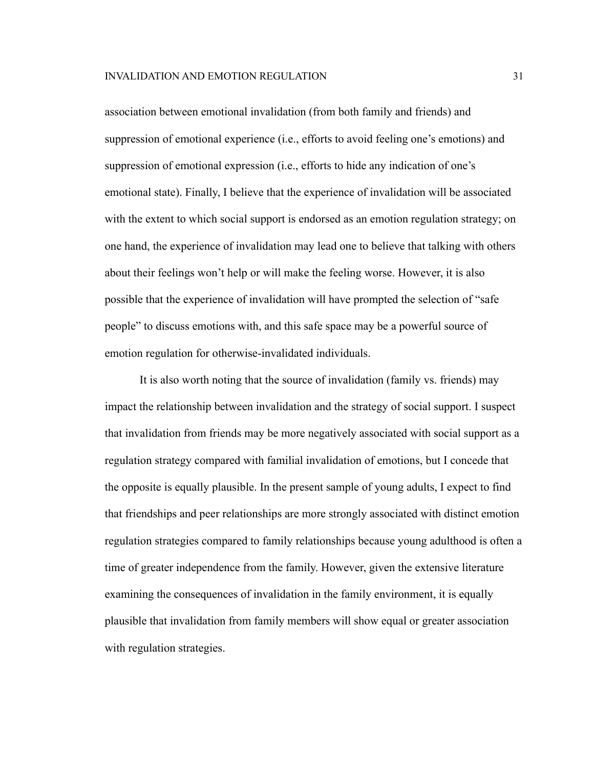association between emotional invalidation (from both family and friends) and suppression of emotional experience (i.e., efforts to avoid feeling one's emotions) and suppression of emotional expression (i.e., efforts to hide any indication of one's emotional state). Finally, I believe that the experience of invalidation will be associated with the extent to which social support is endorsed as an emotion regulation strategy; on one hand, the experience of invalidation may lead one to believe that talking with others about their feelings won't help or will make the feeling worse. However, it is also possible that the experience of invalidation will have prompted the selection of "safe people" to discuss emotions with, and this safe space may be a powerful source of emotion regulation for otherwise-invalidated individuals.

It is also worth noting that the source of invalidation (family vs. friends) may impact the relationship between invalidation and the strategy of social support. I suspect that invalidation from friends may be more negatively associated with social support as a regulation strategy compared with familial invalidation of emotions, but I concede that the opposite is equally plausible. In the present sample of young adults, I expect to find that friendships and peer relationships are more strongly associated with distinct emotion regulation strategies compared to family relationships because young adulthood is often a time of greater independence from the family. However, given the extensive literature examining the consequences of invalidation in the family environment, it is equally plausible that invalidation from family members will show equal or greater association with regulation strategies.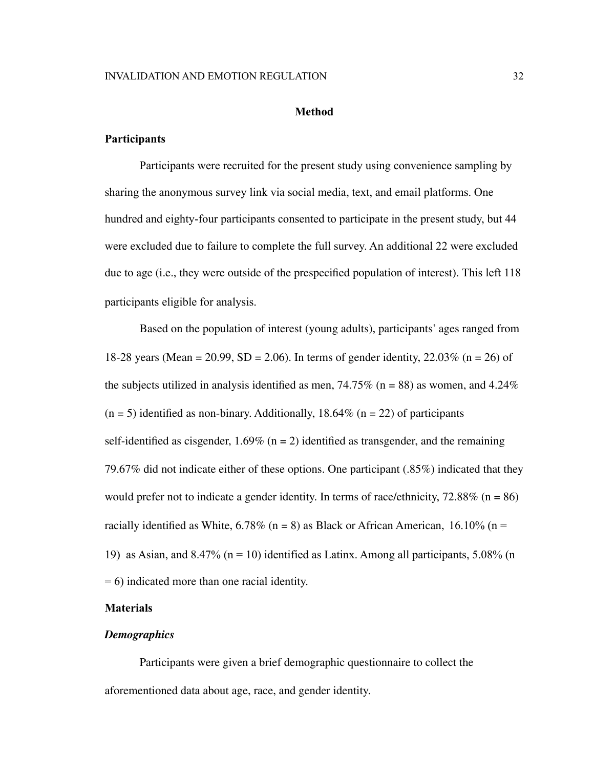#### **Method**

#### **Participants**

Participants were recruited for the present study using convenience sampling by sharing the anonymous survey link via social media, text, and email platforms. One hundred and eighty-four participants consented to participate in the present study, but 44 were excluded due to failure to complete the full survey. An additional 22 were excluded due to age (i.e., they were outside of the prespecified population of interest). This left 118 participants eligible for analysis.

Based on the population of interest (young adults), participants' ages ranged from 18-28 years (Mean = 20.99, SD = 2.06). In terms of gender identity, 22.03% (n = 26) of the subjects utilized in analysis identified as men,  $74.75\%$  (n = 88) as women, and  $4.24\%$  $(n = 5)$  identified as non-binary. Additionally, 18.64%  $(n = 22)$  of participants self-identified as cisgender,  $1.69\%$  (n = 2) identified as transgender, and the remaining 79.67% did not indicate either of these options. One participant (.85%) indicated that they would prefer not to indicate a gender identity. In terms of race/ethnicity,  $72.88\%$  (n = 86) racially identified as White,  $6.78\%$  (n = 8) as Black or African American, 16.10% (n = 19) as Asian, and 8.47% ( $n = 10$ ) identified as Latinx. Among all participants, 5.08% (n = 6) indicated more than one racial identity.

# **Materials**

#### *Demographics*

Participants were given a brief demographic questionnaire to collect the aforementioned data about age, race, and gender identity.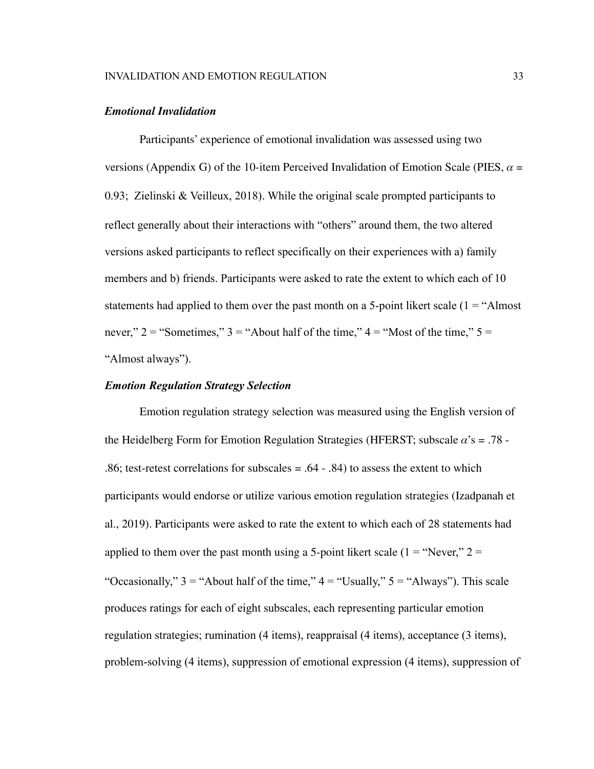#### *Emotional Invalidation*

Participants' experience of emotional invalidation was assessed using two versions (Appendix G) of the 10-item Perceived Invalidation of Emotion Scale (PIES,  $\alpha$  = 0.93; Zielinski & Veilleux, 2018). While the original scale prompted participants to reflect generally about their interactions with "others" around them, the two altered versions asked participants to reflect specifically on their experiences with a) family members and b) friends. Participants were asked to rate the extent to which each of 10 statements had applied to them over the past month on a 5-point likert scale  $(1 = "Almost$ never,"  $2 =$  "Sometimes,"  $3 =$  "About half of the time,"  $4 =$  "Most of the time,"  $5 =$ "Almost always").

# *Emotion Regulation Strategy Selection*

Emotion regulation strategy selection was measured using the English version of the Heidelberg Form for Emotion Regulation Strategies (HFERST; subscale  $\alpha$ 's = .78 -.86; test-retest correlations for subscales  $= .64 - .84$ ) to assess the extent to which participants would endorse or utilize various emotion regulation strategies (Izadpanah et al., 2019). Participants were asked to rate the extent to which each of 28 statements had applied to them over the past month using a 5-point likert scale (1 = "Never,"  $2 =$ "Occasionally,"  $3 =$  "About half of the time,"  $4 =$  "Usually,"  $5 =$  "Always"). This scale produces ratings for each of eight subscales, each representing particular emotion regulation strategies; rumination (4 items), reappraisal (4 items), acceptance (3 items), problem-solving (4 items), suppression of emotional expression (4 items), suppression of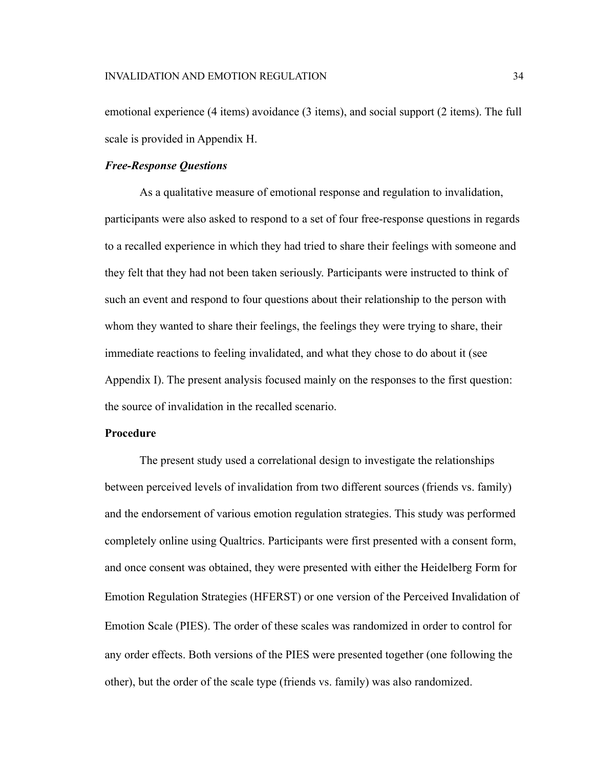emotional experience (4 items) avoidance (3 items), and social support (2 items). The full scale is provided in Appendix H.

### *Free-Response Questions*

As a qualitative measure of emotional response and regulation to invalidation, participants were also asked to respond to a set of four free-response questions in regards to a recalled experience in which they had tried to share their feelings with someone and they felt that they had not been taken seriously. Participants were instructed to think of such an event and respond to four questions about their relationship to the person with whom they wanted to share their feelings, the feelings they were trying to share, their immediate reactions to feeling invalidated, and what they chose to do about it (see Appendix I). The present analysis focused mainly on the responses to the first question: the source of invalidation in the recalled scenario.

#### **Procedure**

The present study used a correlational design to investigate the relationships between perceived levels of invalidation from two different sources (friends vs. family) and the endorsement of various emotion regulation strategies. This study was performed completely online using Qualtrics. Participants were first presented with a consent form, and once consent was obtained, they were presented with either the Heidelberg Form for Emotion Regulation Strategies (HFERST) or one version of the Perceived Invalidation of Emotion Scale (PIES). The order of these scales was randomized in order to control for any order effects. Both versions of the PIES were presented together (one following the other), but the order of the scale type (friends vs. family) was also randomized.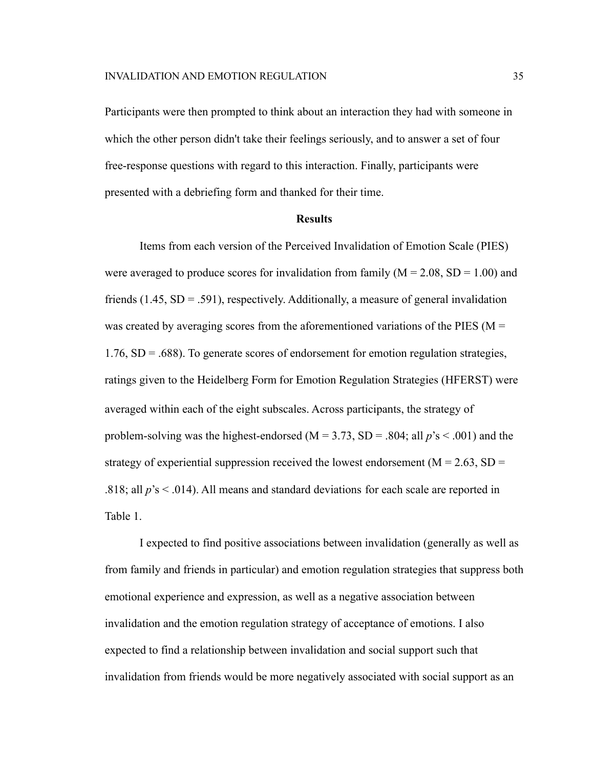Participants were then prompted to think about an interaction they had with someone in which the other person didn't take their feelings seriously, and to answer a set of four free-response questions with regard to this interaction. Finally, participants were presented with a debriefing form and thanked for their time.

#### **Results**

Items from each version of the Perceived Invalidation of Emotion Scale (PIES) were averaged to produce scores for invalidation from family  $(M = 2.08, SD = 1.00)$  and friends (1.45,  $SD = .591$ ), respectively. Additionally, a measure of general invalidation was created by averaging scores from the aforementioned variations of the PIES ( $M =$ 1.76, SD = .688). To generate scores of endorsement for emotion regulation strategies, ratings given to the Heidelberg Form for Emotion Regulation Strategies (HFERST) were averaged within each of the eight subscales. Across participants, the strategy of problem-solving was the highest-endorsed ( $M = 3.73$ ,  $SD = .804$ ; all  $p's < .001$ ) and the strategy of experiential suppression received the lowest endorsement ( $M = 2.63$ , SD = .818; all  $p$ 's  $\leq$  .014). All means and standard deviations for each scale are reported in Table 1.

I expected to find positive associations between invalidation (generally as well as from family and friends in particular) and emotion regulation strategies that suppress both emotional experience and expression, as well as a negative association between invalidation and the emotion regulation strategy of acceptance of emotions. I also expected to find a relationship between invalidation and social support such that invalidation from friends would be more negatively associated with social support as an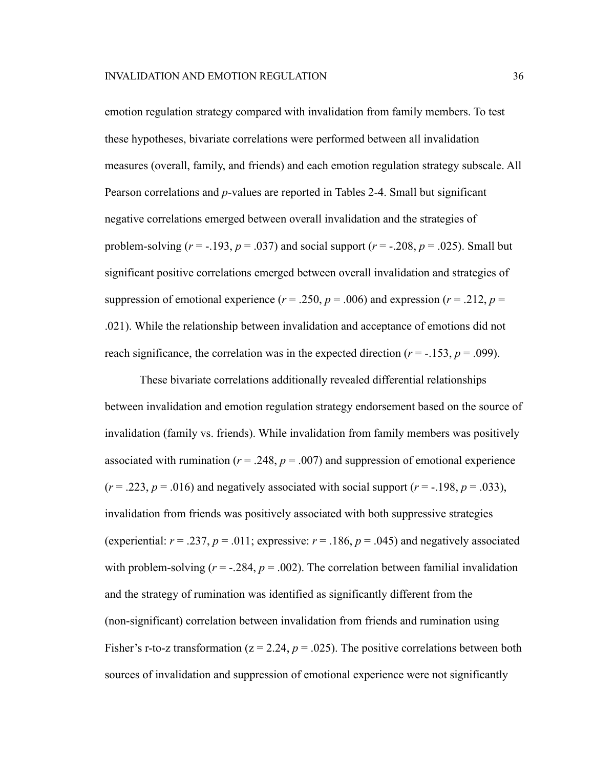emotion regulation strategy compared with invalidation from family members. To test these hypotheses, bivariate correlations were performed between all invalidation measures (overall, family, and friends) and each emotion regulation strategy subscale. All Pearson correlations and *p*-values are reported in Tables 2-4. Small but significant negative correlations emerged between overall invalidation and the strategies of problem-solving  $(r = -193, p = .037)$  and social support  $(r = -1208, p = .025)$ . Small but significant positive correlations emerged between overall invalidation and strategies of suppression of emotional experience ( $r = .250$ ,  $p = .006$ ) and expression ( $r = .212$ ,  $p =$ .021). While the relationship between invalidation and acceptance of emotions did not reach significance, the correlation was in the expected direction ( $r = -153$ ,  $p = .099$ ).

These bivariate correlations additionally revealed differential relationships between invalidation and emotion regulation strategy endorsement based on the source of invalidation (family vs. friends). While invalidation from family members was positively associated with rumination ( $r = .248$ ,  $p = .007$ ) and suppression of emotional experience  $(r = .223, p = .016)$  and negatively associated with social support  $(r = .198, p = .033)$ , invalidation from friends was positively associated with both suppressive strategies (experiential:  $r = .237$ ,  $p = .011$ ; expressive:  $r = .186$ ,  $p = .045$ ) and negatively associated with problem-solving  $(r = -.284, p = .002)$ . The correlation between familial invalidation and the strategy of rumination was identified as significantly different from the (non-significant) correlation between invalidation from friends and rumination using Fisher's r-to-z transformation ( $z = 2.24$ ,  $p = .025$ ). The positive correlations between both sources of invalidation and suppression of emotional experience were not significantly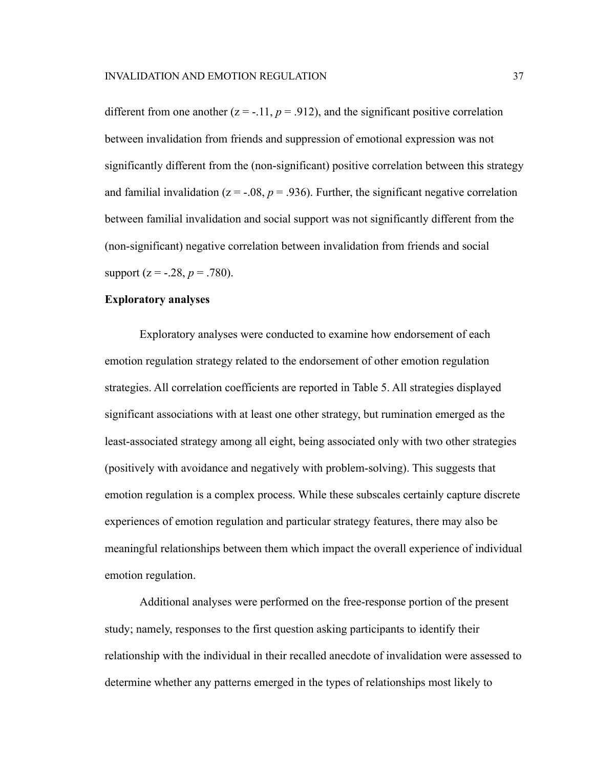different from one another  $(z = -11, p = 0.912)$ , and the significant positive correlation between invalidation from friends and suppression of emotional expression was not significantly different from the (non-significant) positive correlation between this strategy and familial invalidation ( $z = -.08$ ,  $p = .936$ ). Further, the significant negative correlation between familial invalidation and social support was not significantly different from the (non-significant) negative correlation between invalidation from friends and social support ( $z = -.28$ ,  $p = .780$ ).

## **Exploratory analyses**

Exploratory analyses were conducted to examine how endorsement of each emotion regulation strategy related to the endorsement of other emotion regulation strategies. All correlation coefficients are reported in Table 5. All strategies displayed significant associations with at least one other strategy, but rumination emerged as the least-associated strategy among all eight, being associated only with two other strategies (positively with avoidance and negatively with problem-solving). This suggests that emotion regulation is a complex process. While these subscales certainly capture discrete experiences of emotion regulation and particular strategy features, there may also be meaningful relationships between them which impact the overall experience of individual emotion regulation.

Additional analyses were performed on the free-response portion of the present study; namely, responses to the first question asking participants to identify their relationship with the individual in their recalled anecdote of invalidation were assessed to determine whether any patterns emerged in the types of relationships most likely to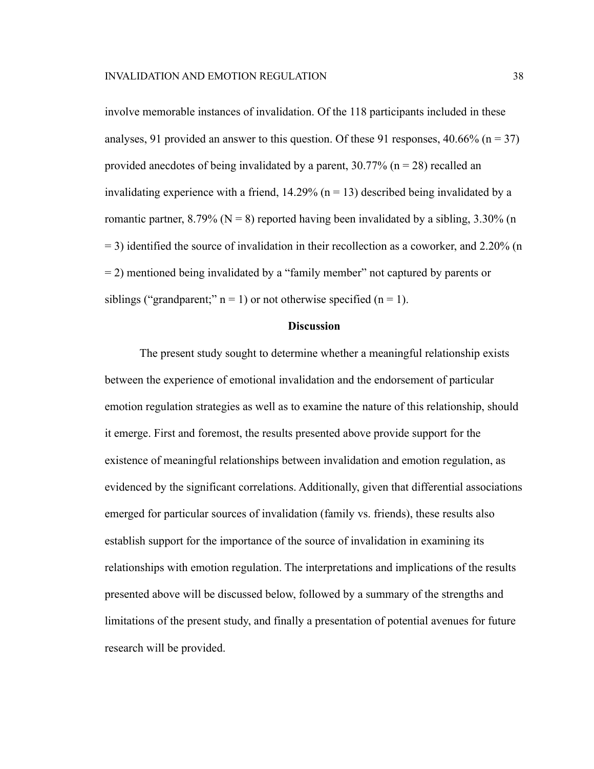involve memorable instances of invalidation. Of the 118 participants included in these analyses, 91 provided an answer to this question. Of these 91 responses, 40.66% ( $n = 37$ ) provided anecdotes of being invalidated by a parent,  $30.77\%$  (n = 28) recalled an invalidating experience with a friend,  $14.29\%$  (n = 13) described being invalidated by a romantic partner, 8.79% ( $N = 8$ ) reported having been invalidated by a sibling, 3.30% (n  $=$  3) identified the source of invalidation in their recollection as a coworker, and 2.20% (n = 2) mentioned being invalidated by a "family member" not captured by parents or siblings ("grandparent;"  $n = 1$ ) or not otherwise specified ( $n = 1$ ).

### **Discussion**

The present study sought to determine whether a meaningful relationship exists between the experience of emotional invalidation and the endorsement of particular emotion regulation strategies as well as to examine the nature of this relationship, should it emerge. First and foremost, the results presented above provide support for the existence of meaningful relationships between invalidation and emotion regulation, as evidenced by the significant correlations. Additionally, given that differential associations emerged for particular sources of invalidation (family vs. friends), these results also establish support for the importance of the source of invalidation in examining its relationships with emotion regulation. The interpretations and implications of the results presented above will be discussed below, followed by a summary of the strengths and limitations of the present study, and finally a presentation of potential avenues for future research will be provided.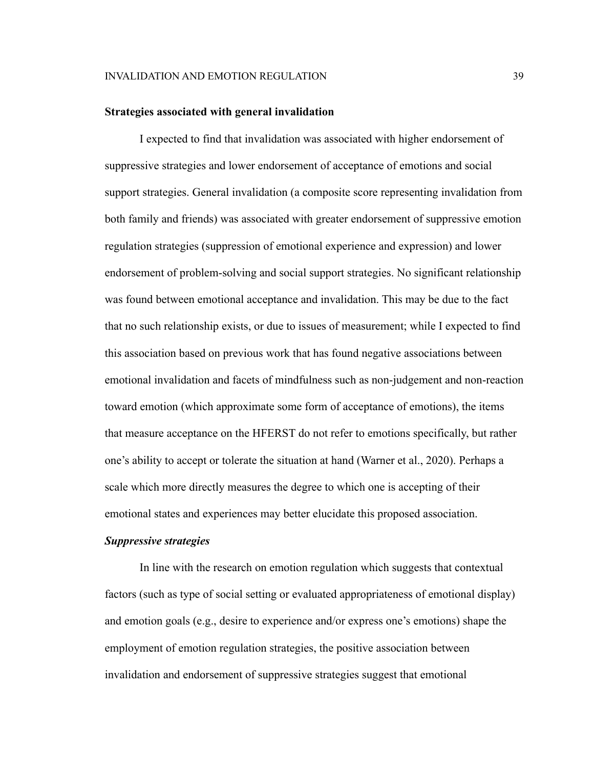#### **Strategies associated with general invalidation**

I expected to find that invalidation was associated with higher endorsement of suppressive strategies and lower endorsement of acceptance of emotions and social support strategies. General invalidation (a composite score representing invalidation from both family and friends) was associated with greater endorsement of suppressive emotion regulation strategies (suppression of emotional experience and expression) and lower endorsement of problem-solving and social support strategies. No significant relationship was found between emotional acceptance and invalidation. This may be due to the fact that no such relationship exists, or due to issues of measurement; while I expected to find this association based on previous work that has found negative associations between emotional invalidation and facets of mindfulness such as non-judgement and non-reaction toward emotion (which approximate some form of acceptance of emotions), the items that measure acceptance on the HFERST do not refer to emotions specifically, but rather one's ability to accept or tolerate the situation at hand (Warner et al., 2020). Perhaps a scale which more directly measures the degree to which one is accepting of their emotional states and experiences may better elucidate this proposed association.

## *Suppressive strategies*

In line with the research on emotion regulation which suggests that contextual factors (such as type of social setting or evaluated appropriateness of emotional display) and emotion goals (e.g., desire to experience and/or express one's emotions) shape the employment of emotion regulation strategies, the positive association between invalidation and endorsement of suppressive strategies suggest that emotional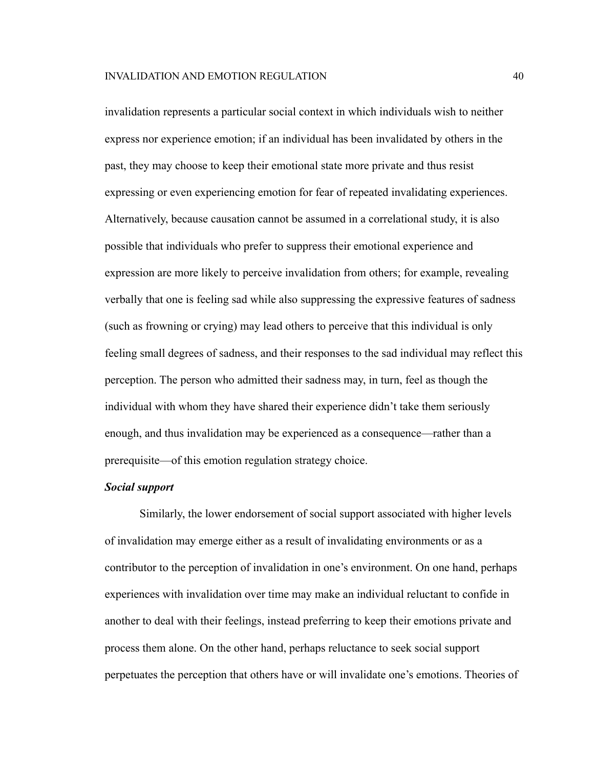invalidation represents a particular social context in which individuals wish to neither express nor experience emotion; if an individual has been invalidated by others in the past, they may choose to keep their emotional state more private and thus resist expressing or even experiencing emotion for fear of repeated invalidating experiences. Alternatively, because causation cannot be assumed in a correlational study, it is also possible that individuals who prefer to suppress their emotional experience and expression are more likely to perceive invalidation from others; for example, revealing verbally that one is feeling sad while also suppressing the expressive features of sadness (such as frowning or crying) may lead others to perceive that this individual is only feeling small degrees of sadness, and their responses to the sad individual may reflect this perception. The person who admitted their sadness may, in turn, feel as though the individual with whom they have shared their experience didn't take them seriously enough, and thus invalidation may be experienced as a consequence—rather than a prerequisite—of this emotion regulation strategy choice.

### *Social support*

Similarly, the lower endorsement of social support associated with higher levels of invalidation may emerge either as a result of invalidating environments or as a contributor to the perception of invalidation in one's environment. On one hand, perhaps experiences with invalidation over time may make an individual reluctant to confide in another to deal with their feelings, instead preferring to keep their emotions private and process them alone. On the other hand, perhaps reluctance to seek social support perpetuates the perception that others have or will invalidate one's emotions. Theories of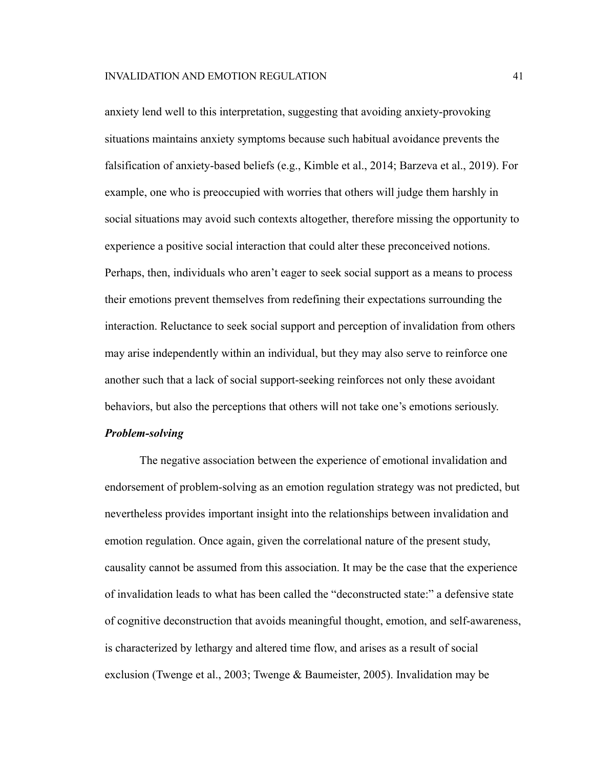anxiety lend well to this interpretation, suggesting that avoiding anxiety-provoking situations maintains anxiety symptoms because such habitual avoidance prevents the falsification of anxiety-based beliefs (e.g., Kimble et al., 2014; Barzeva et al., 2019). For example, one who is preoccupied with worries that others will judge them harshly in social situations may avoid such contexts altogether, therefore missing the opportunity to experience a positive social interaction that could alter these preconceived notions. Perhaps, then, individuals who aren't eager to seek social support as a means to process their emotions prevent themselves from redefining their expectations surrounding the interaction. Reluctance to seek social support and perception of invalidation from others may arise independently within an individual, but they may also serve to reinforce one another such that a lack of social support-seeking reinforces not only these avoidant behaviors, but also the perceptions that others will not take one's emotions seriously.

## *Problem-solving*

The negative association between the experience of emotional invalidation and endorsement of problem-solving as an emotion regulation strategy was not predicted, but nevertheless provides important insight into the relationships between invalidation and emotion regulation. Once again, given the correlational nature of the present study, causality cannot be assumed from this association. It may be the case that the experience of invalidation leads to what has been called the "deconstructed state:" a defensive state of cognitive deconstruction that avoids meaningful thought, emotion, and self-awareness, is characterized by lethargy and altered time flow, and arises as a result of social exclusion (Twenge et al., 2003; Twenge & Baumeister, 2005). Invalidation may be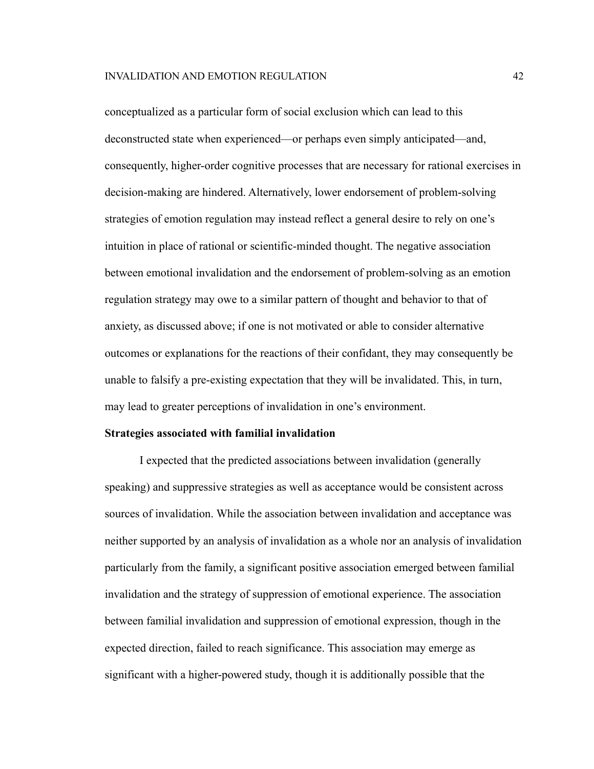conceptualized as a particular form of social exclusion which can lead to this deconstructed state when experienced—or perhaps even simply anticipated—and, consequently, higher-order cognitive processes that are necessary for rational exercises in decision-making are hindered. Alternatively, lower endorsement of problem-solving strategies of emotion regulation may instead reflect a general desire to rely on one's intuition in place of rational or scientific-minded thought. The negative association between emotional invalidation and the endorsement of problem-solving as an emotion regulation strategy may owe to a similar pattern of thought and behavior to that of anxiety, as discussed above; if one is not motivated or able to consider alternative outcomes or explanations for the reactions of their confidant, they may consequently be unable to falsify a pre-existing expectation that they will be invalidated. This, in turn, may lead to greater perceptions of invalidation in one's environment.

#### **Strategies associated with familial invalidation**

I expected that the predicted associations between invalidation (generally speaking) and suppressive strategies as well as acceptance would be consistent across sources of invalidation. While the association between invalidation and acceptance was neither supported by an analysis of invalidation as a whole nor an analysis of invalidation particularly from the family, a significant positive association emerged between familial invalidation and the strategy of suppression of emotional experience. The association between familial invalidation and suppression of emotional expression, though in the expected direction, failed to reach significance. This association may emerge as significant with a higher-powered study, though it is additionally possible that the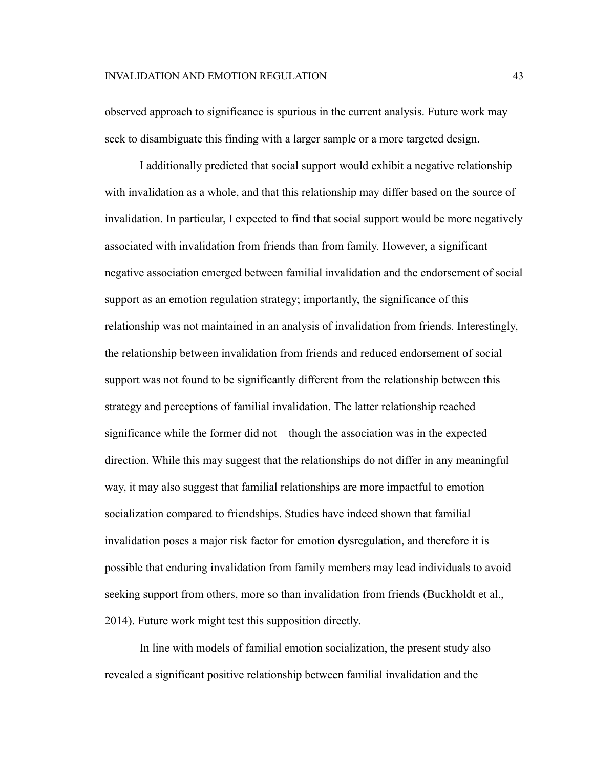observed approach to significance is spurious in the current analysis. Future work may seek to disambiguate this finding with a larger sample or a more targeted design.

I additionally predicted that social support would exhibit a negative relationship with invalidation as a whole, and that this relationship may differ based on the source of invalidation. In particular, I expected to find that social support would be more negatively associated with invalidation from friends than from family. However, a significant negative association emerged between familial invalidation and the endorsement of social support as an emotion regulation strategy; importantly, the significance of this relationship was not maintained in an analysis of invalidation from friends. Interestingly, the relationship between invalidation from friends and reduced endorsement of social support was not found to be significantly different from the relationship between this strategy and perceptions of familial invalidation. The latter relationship reached significance while the former did not—though the association was in the expected direction. While this may suggest that the relationships do not differ in any meaningful way, it may also suggest that familial relationships are more impactful to emotion socialization compared to friendships. Studies have indeed shown that familial invalidation poses a major risk factor for emotion dysregulation, and therefore it is possible that enduring invalidation from family members may lead individuals to avoid seeking support from others, more so than invalidation from friends (Buckholdt et al., 2014). Future work might test this supposition directly.

In line with models of familial emotion socialization, the present study also revealed a significant positive relationship between familial invalidation and the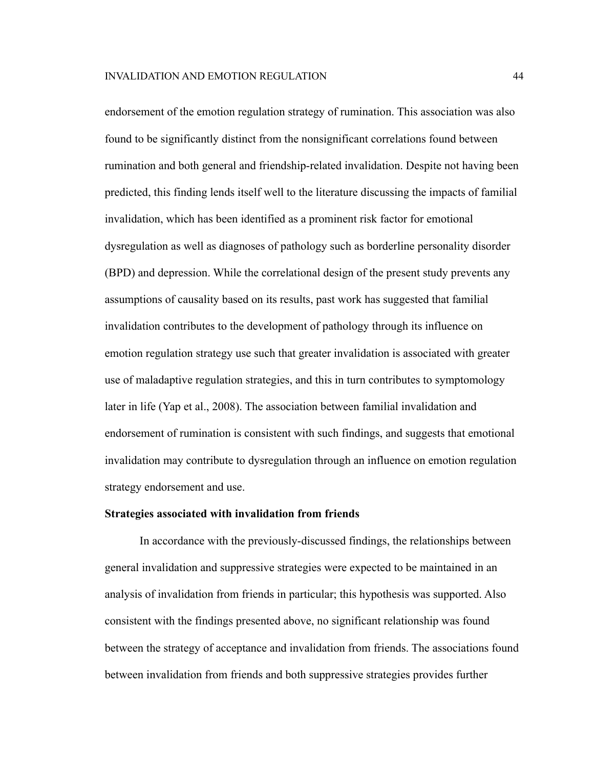endorsement of the emotion regulation strategy of rumination. This association was also found to be significantly distinct from the nonsignificant correlations found between rumination and both general and friendship-related invalidation. Despite not having been predicted, this finding lends itself well to the literature discussing the impacts of familial invalidation, which has been identified as a prominent risk factor for emotional dysregulation as well as diagnoses of pathology such as borderline personality disorder (BPD) and depression. While the correlational design of the present study prevents any assumptions of causality based on its results, past work has suggested that familial invalidation contributes to the development of pathology through its influence on emotion regulation strategy use such that greater invalidation is associated with greater use of maladaptive regulation strategies, and this in turn contributes to symptomology later in life (Yap et al., 2008). The association between familial invalidation and endorsement of rumination is consistent with such findings, and suggests that emotional invalidation may contribute to dysregulation through an influence on emotion regulation strategy endorsement and use.

#### **Strategies associated with invalidation from friends**

In accordance with the previously-discussed findings, the relationships between general invalidation and suppressive strategies were expected to be maintained in an analysis of invalidation from friends in particular; this hypothesis was supported. Also consistent with the findings presented above, no significant relationship was found between the strategy of acceptance and invalidation from friends. The associations found between invalidation from friends and both suppressive strategies provides further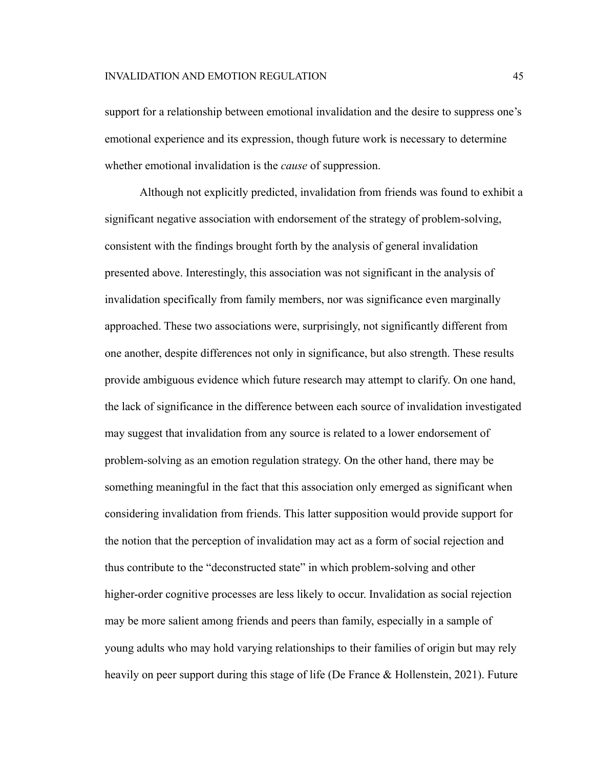support for a relationship between emotional invalidation and the desire to suppress one's emotional experience and its expression, though future work is necessary to determine whether emotional invalidation is the *cause* of suppression.

Although not explicitly predicted, invalidation from friends was found to exhibit a significant negative association with endorsement of the strategy of problem-solving, consistent with the findings brought forth by the analysis of general invalidation presented above. Interestingly, this association was not significant in the analysis of invalidation specifically from family members, nor was significance even marginally approached. These two associations were, surprisingly, not significantly different from one another, despite differences not only in significance, but also strength. These results provide ambiguous evidence which future research may attempt to clarify. On one hand, the lack of significance in the difference between each source of invalidation investigated may suggest that invalidation from any source is related to a lower endorsement of problem-solving as an emotion regulation strategy. On the other hand, there may be something meaningful in the fact that this association only emerged as significant when considering invalidation from friends. This latter supposition would provide support for the notion that the perception of invalidation may act as a form of social rejection and thus contribute to the "deconstructed state" in which problem-solving and other higher-order cognitive processes are less likely to occur. Invalidation as social rejection may be more salient among friends and peers than family, especially in a sample of young adults who may hold varying relationships to their families of origin but may rely heavily on peer support during this stage of life (De France & Hollenstein, 2021). Future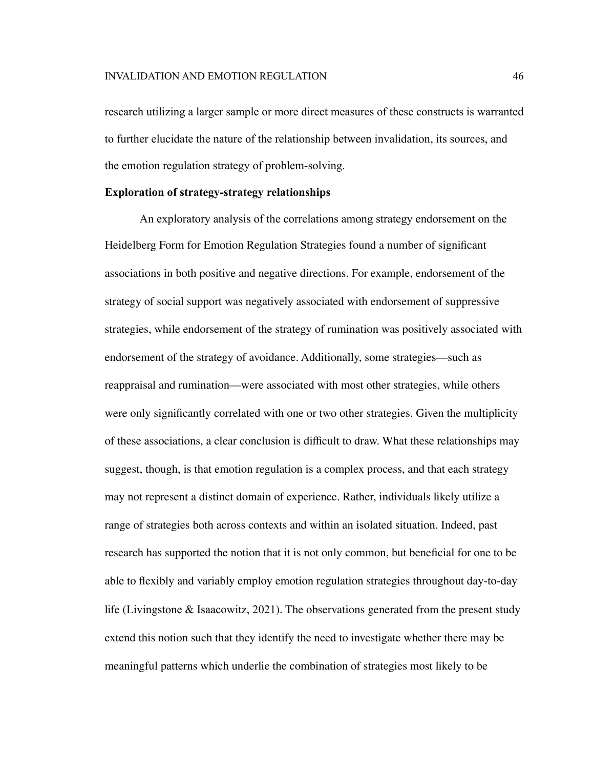research utilizing a larger sample or more direct measures of these constructs is warranted to further elucidate the nature of the relationship between invalidation, its sources, and the emotion regulation strategy of problem-solving.

# **Exploration of strategy-strategy relationships**

An exploratory analysis of the correlations among strategy endorsement on the Heidelberg Form for Emotion Regulation Strategies found a number of significant associations in both positive and negative directions. For example, endorsement of the strategy of social support was negatively associated with endorsement of suppressive strategies, while endorsement of the strategy of rumination was positively associated with endorsement of the strategy of avoidance. Additionally, some strategies—such as reappraisal and rumination—were associated with most other strategies, while others were only significantly correlated with one or two other strategies. Given the multiplicity of these associations, a clear conclusion is difficult to draw. What these relationships may suggest, though, is that emotion regulation is a complex process, and that each strategy may not represent a distinct domain of experience. Rather, individuals likely utilize a range of strategies both across contexts and within an isolated situation. Indeed, past research has supported the notion that it is not only common, but beneficial for one to be able to flexibly and variably employ emotion regulation strategies throughout day-to-day life (Livingstone & Isaacowitz, 2021). The observations generated from the present study extend this notion such that they identify the need to investigate whether there may be meaningful patterns which underlie the combination of strategies most likely to be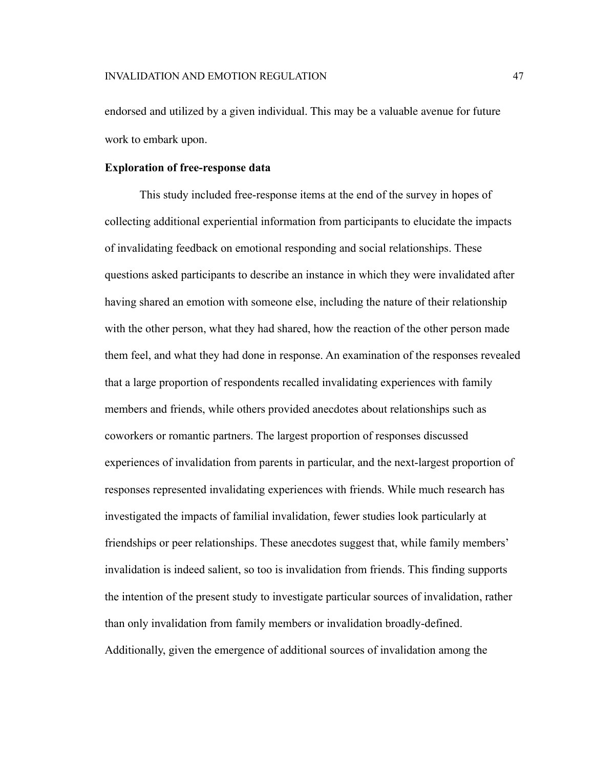endorsed and utilized by a given individual. This may be a valuable avenue for future work to embark upon.

## **Exploration of free-response data**

This study included free-response items at the end of the survey in hopes of collecting additional experiential information from participants to elucidate the impacts of invalidating feedback on emotional responding and social relationships. These questions asked participants to describe an instance in which they were invalidated after having shared an emotion with someone else, including the nature of their relationship with the other person, what they had shared, how the reaction of the other person made them feel, and what they had done in response. An examination of the responses revealed that a large proportion of respondents recalled invalidating experiences with family members and friends, while others provided anecdotes about relationships such as coworkers or romantic partners. The largest proportion of responses discussed experiences of invalidation from parents in particular, and the next-largest proportion of responses represented invalidating experiences with friends. While much research has investigated the impacts of familial invalidation, fewer studies look particularly at friendships or peer relationships. These anecdotes suggest that, while family members' invalidation is indeed salient, so too is invalidation from friends. This finding supports the intention of the present study to investigate particular sources of invalidation, rather than only invalidation from family members or invalidation broadly-defined. Additionally, given the emergence of additional sources of invalidation among the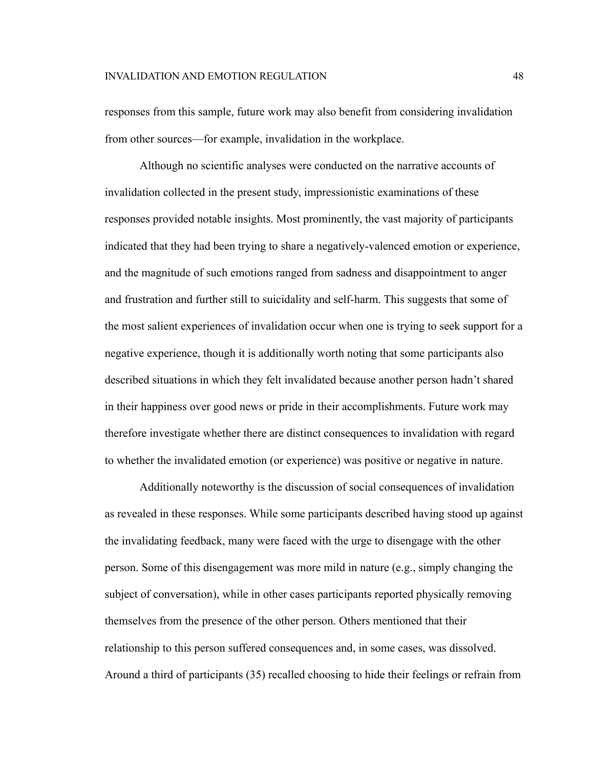responses from this sample, future work may also benefit from considering invalidation from other sources—for example, invalidation in the workplace.

Although no scientific analyses were conducted on the narrative accounts of invalidation collected in the present study, impressionistic examinations of these responses provided notable insights. Most prominently, the vast majority of participants indicated that they had been trying to share a negatively-valenced emotion or experience, and the magnitude of such emotions ranged from sadness and disappointment to anger and frustration and further still to suicidality and self-harm. This suggests that some of the most salient experiences of invalidation occur when one is trying to seek support for a negative experience, though it is additionally worth noting that some participants also described situations in which they felt invalidated because another person hadn't shared in their happiness over good news or pride in their accomplishments. Future work may therefore investigate whether there are distinct consequences to invalidation with regard to whether the invalidated emotion (or experience) was positive or negative in nature.

Additionally noteworthy is the discussion of social consequences of invalidation as revealed in these responses. While some participants described having stood up against the invalidating feedback, many were faced with the urge to disengage with the other person. Some of this disengagement was more mild in nature (e.g., simply changing the subject of conversation), while in other cases participants reported physically removing themselves from the presence of the other person. Others mentioned that their relationship to this person suffered consequences and, in some cases, was dissolved. Around a third of participants (35) recalled choosing to hide their feelings or refrain from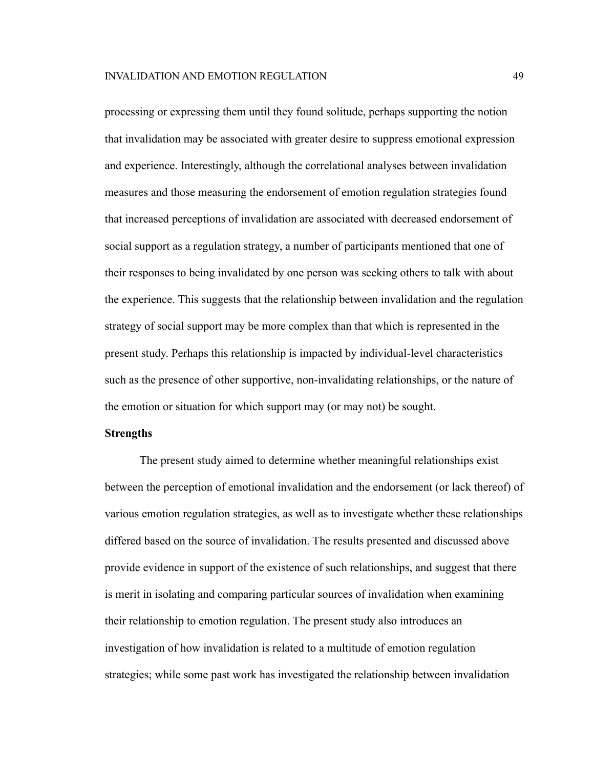processing or expressing them until they found solitude, perhaps supporting the notion that invalidation may be associated with greater desire to suppress emotional expression and experience. Interestingly, although the correlational analyses between invalidation measures and those measuring the endorsement of emotion regulation strategies found that increased perceptions of invalidation are associated with decreased endorsement of social support as a regulation strategy, a number of participants mentioned that one of their responses to being invalidated by one person was seeking others to talk with about the experience. This suggests that the relationship between invalidation and the regulation strategy of social support may be more complex than that which is represented in the present study. Perhaps this relationship is impacted by individual-level characteristics such as the presence of other supportive, non-invalidating relationships, or the nature of the emotion or situation for which support may (or may not) be sought.

## **Strengths**

The present study aimed to determine whether meaningful relationships exist between the perception of emotional invalidation and the endorsement (or lack thereof) of various emotion regulation strategies, as well as to investigate whether these relationships differed based on the source of invalidation. The results presented and discussed above provide evidence in support of the existence of such relationships, and suggest that there is merit in isolating and comparing particular sources of invalidation when examining their relationship to emotion regulation. The present study also introduces an investigation of how invalidation is related to a multitude of emotion regulation strategies; while some past work has investigated the relationship between invalidation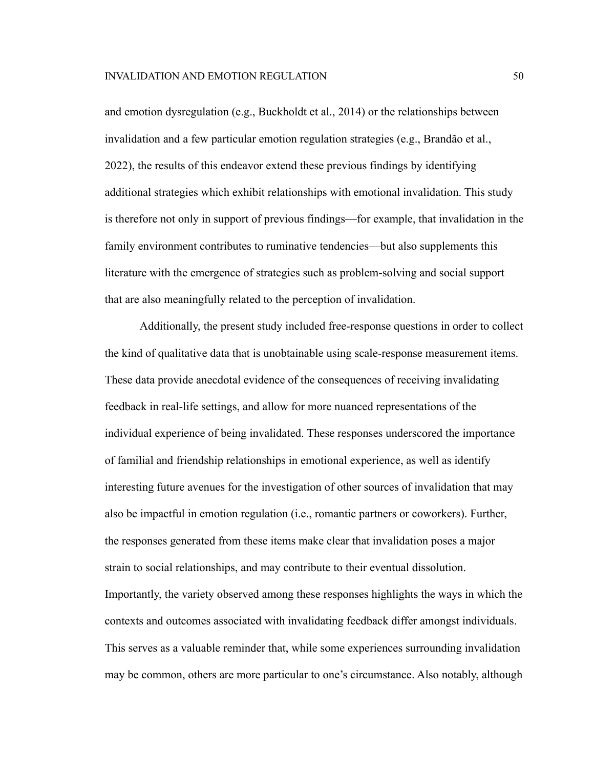and emotion dysregulation (e.g., Buckholdt et al., 2014) or the relationships between invalidation and a few particular emotion regulation strategies (e.g., Brandão et al., 2022), the results of this endeavor extend these previous findings by identifying additional strategies which exhibit relationships with emotional invalidation. This study is therefore not only in support of previous findings—for example, that invalidation in the family environment contributes to ruminative tendencies—but also supplements this literature with the emergence of strategies such as problem-solving and social support that are also meaningfully related to the perception of invalidation.

Additionally, the present study included free-response questions in order to collect the kind of qualitative data that is unobtainable using scale-response measurement items. These data provide anecdotal evidence of the consequences of receiving invalidating feedback in real-life settings, and allow for more nuanced representations of the individual experience of being invalidated. These responses underscored the importance of familial and friendship relationships in emotional experience, as well as identify interesting future avenues for the investigation of other sources of invalidation that may also be impactful in emotion regulation (i.e., romantic partners or coworkers). Further, the responses generated from these items make clear that invalidation poses a major strain to social relationships, and may contribute to their eventual dissolution. Importantly, the variety observed among these responses highlights the ways in which the contexts and outcomes associated with invalidating feedback differ amongst individuals. This serves as a valuable reminder that, while some experiences surrounding invalidation may be common, others are more particular to one's circumstance. Also notably, although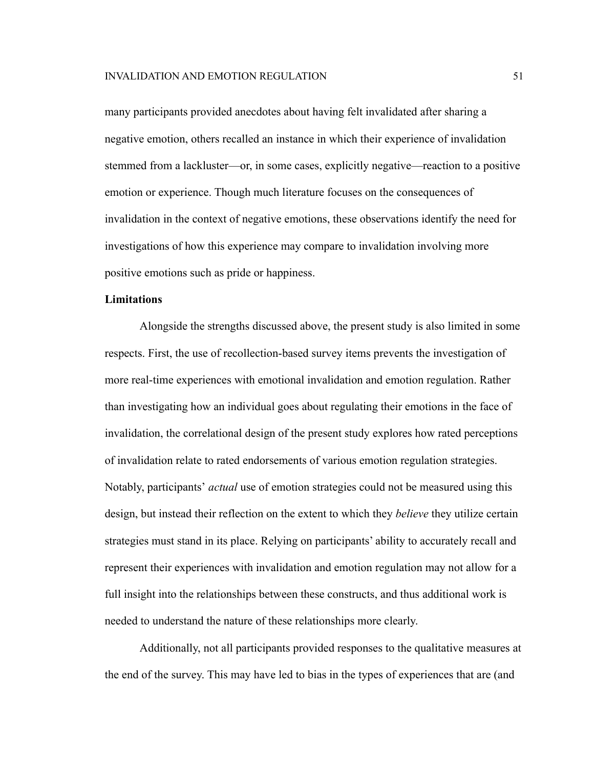many participants provided anecdotes about having felt invalidated after sharing a negative emotion, others recalled an instance in which their experience of invalidation stemmed from a lackluster—or, in some cases, explicitly negative—reaction to a positive emotion or experience. Though much literature focuses on the consequences of invalidation in the context of negative emotions, these observations identify the need for investigations of how this experience may compare to invalidation involving more positive emotions such as pride or happiness.

# **Limitations**

Alongside the strengths discussed above, the present study is also limited in some respects. First, the use of recollection-based survey items prevents the investigation of more real-time experiences with emotional invalidation and emotion regulation. Rather than investigating how an individual goes about regulating their emotions in the face of invalidation, the correlational design of the present study explores how rated perceptions of invalidation relate to rated endorsements of various emotion regulation strategies. Notably, participants' *actual* use of emotion strategies could not be measured using this design, but instead their reflection on the extent to which they *believe* they utilize certain strategies must stand in its place. Relying on participants' ability to accurately recall and represent their experiences with invalidation and emotion regulation may not allow for a full insight into the relationships between these constructs, and thus additional work is needed to understand the nature of these relationships more clearly.

Additionally, not all participants provided responses to the qualitative measures at the end of the survey. This may have led to bias in the types of experiences that are (and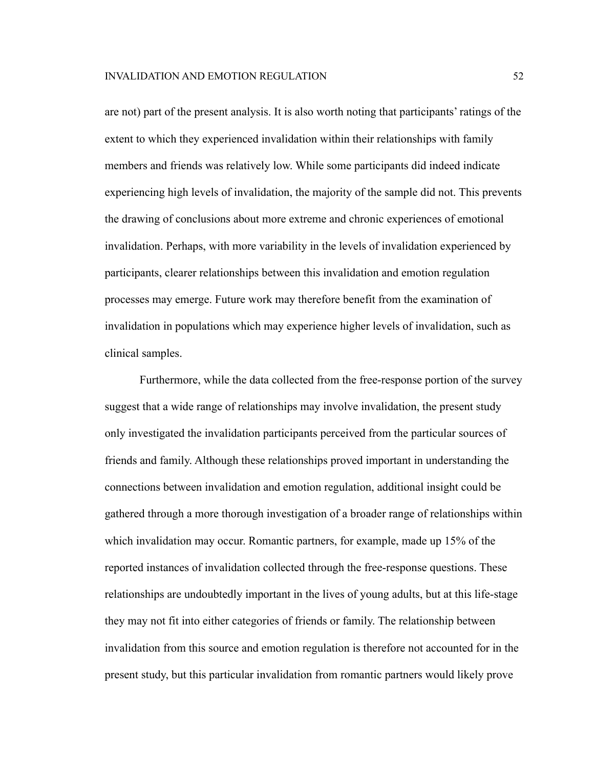are not) part of the present analysis. It is also worth noting that participants' ratings of the extent to which they experienced invalidation within their relationships with family members and friends was relatively low. While some participants did indeed indicate experiencing high levels of invalidation, the majority of the sample did not. This prevents the drawing of conclusions about more extreme and chronic experiences of emotional invalidation. Perhaps, with more variability in the levels of invalidation experienced by participants, clearer relationships between this invalidation and emotion regulation processes may emerge. Future work may therefore benefit from the examination of invalidation in populations which may experience higher levels of invalidation, such as clinical samples.

Furthermore, while the data collected from the free-response portion of the survey suggest that a wide range of relationships may involve invalidation, the present study only investigated the invalidation participants perceived from the particular sources of friends and family. Although these relationships proved important in understanding the connections between invalidation and emotion regulation, additional insight could be gathered through a more thorough investigation of a broader range of relationships within which invalidation may occur. Romantic partners, for example, made up 15% of the reported instances of invalidation collected through the free-response questions. These relationships are undoubtedly important in the lives of young adults, but at this life-stage they may not fit into either categories of friends or family. The relationship between invalidation from this source and emotion regulation is therefore not accounted for in the present study, but this particular invalidation from romantic partners would likely prove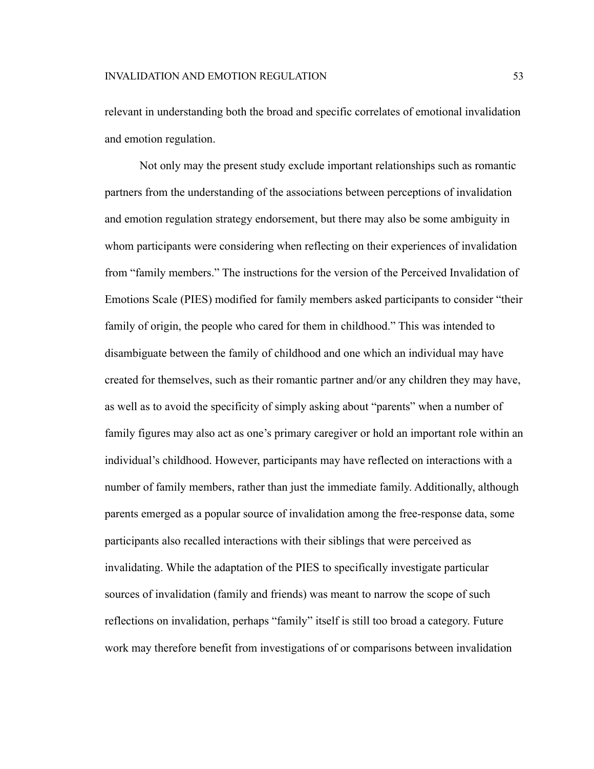relevant in understanding both the broad and specific correlates of emotional invalidation and emotion regulation.

Not only may the present study exclude important relationships such as romantic partners from the understanding of the associations between perceptions of invalidation and emotion regulation strategy endorsement, but there may also be some ambiguity in whom participants were considering when reflecting on their experiences of invalidation from "family members." The instructions for the version of the Perceived Invalidation of Emotions Scale (PIES) modified for family members asked participants to consider "their family of origin, the people who cared for them in childhood." This was intended to disambiguate between the family of childhood and one which an individual may have created for themselves, such as their romantic partner and/or any children they may have, as well as to avoid the specificity of simply asking about "parents" when a number of family figures may also act as one's primary caregiver or hold an important role within an individual's childhood. However, participants may have reflected on interactions with a number of family members, rather than just the immediate family. Additionally, although parents emerged as a popular source of invalidation among the free-response data, some participants also recalled interactions with their siblings that were perceived as invalidating. While the adaptation of the PIES to specifically investigate particular sources of invalidation (family and friends) was meant to narrow the scope of such reflections on invalidation, perhaps "family" itself is still too broad a category. Future work may therefore benefit from investigations of or comparisons between invalidation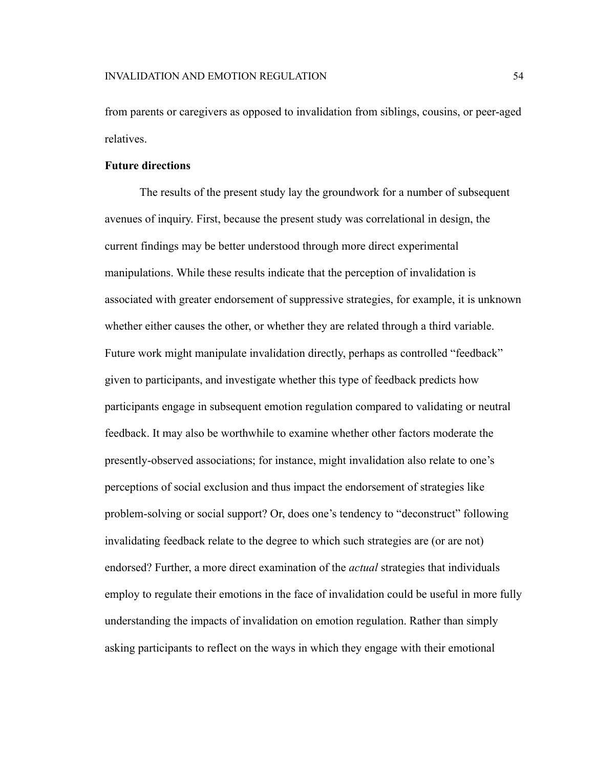from parents or caregivers as opposed to invalidation from siblings, cousins, or peer-aged relatives.

# **Future directions**

The results of the present study lay the groundwork for a number of subsequent avenues of inquiry. First, because the present study was correlational in design, the current findings may be better understood through more direct experimental manipulations. While these results indicate that the perception of invalidation is associated with greater endorsement of suppressive strategies, for example, it is unknown whether either causes the other, or whether they are related through a third variable. Future work might manipulate invalidation directly, perhaps as controlled "feedback" given to participants, and investigate whether this type of feedback predicts how participants engage in subsequent emotion regulation compared to validating or neutral feedback. It may also be worthwhile to examine whether other factors moderate the presently-observed associations; for instance, might invalidation also relate to one's perceptions of social exclusion and thus impact the endorsement of strategies like problem-solving or social support? Or, does one's tendency to "deconstruct" following invalidating feedback relate to the degree to which such strategies are (or are not) endorsed? Further, a more direct examination of the *actual* strategies that individuals employ to regulate their emotions in the face of invalidation could be useful in more fully understanding the impacts of invalidation on emotion regulation. Rather than simply asking participants to reflect on the ways in which they engage with their emotional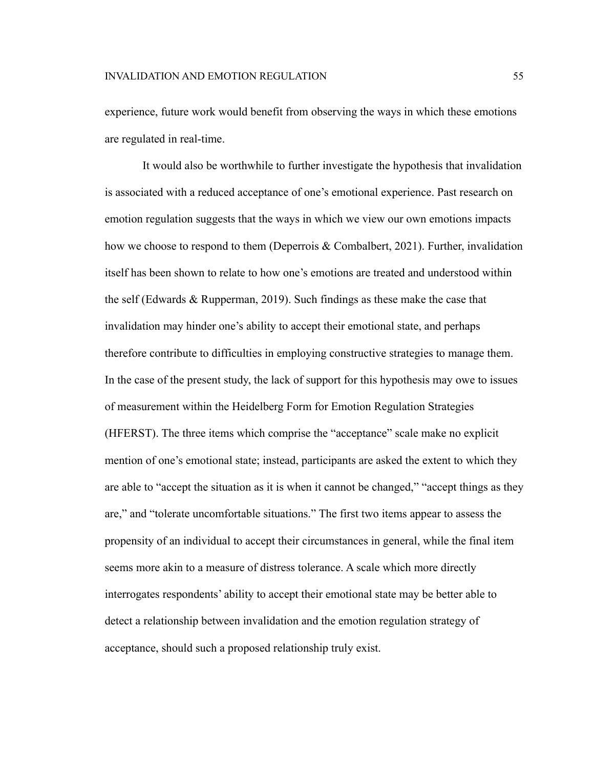experience, future work would benefit from observing the ways in which these emotions are regulated in real-time.

It would also be worthwhile to further investigate the hypothesis that invalidation is associated with a reduced acceptance of one's emotional experience. Past research on emotion regulation suggests that the ways in which we view our own emotions impacts how we choose to respond to them (Deperrois & Combalbert, 2021). Further, invalidation itself has been shown to relate to how one's emotions are treated and understood within the self (Edwards & Rupperman, 2019). Such findings as these make the case that invalidation may hinder one's ability to accept their emotional state, and perhaps therefore contribute to difficulties in employing constructive strategies to manage them. In the case of the present study, the lack of support for this hypothesis may owe to issues of measurement within the Heidelberg Form for Emotion Regulation Strategies (HFERST). The three items which comprise the "acceptance" scale make no explicit mention of one's emotional state; instead, participants are asked the extent to which they are able to "accept the situation as it is when it cannot be changed," "accept things as they are," and "tolerate uncomfortable situations." The first two items appear to assess the propensity of an individual to accept their circumstances in general, while the final item seems more akin to a measure of distress tolerance. A scale which more directly interrogates respondents' ability to accept their emotional state may be better able to detect a relationship between invalidation and the emotion regulation strategy of acceptance, should such a proposed relationship truly exist.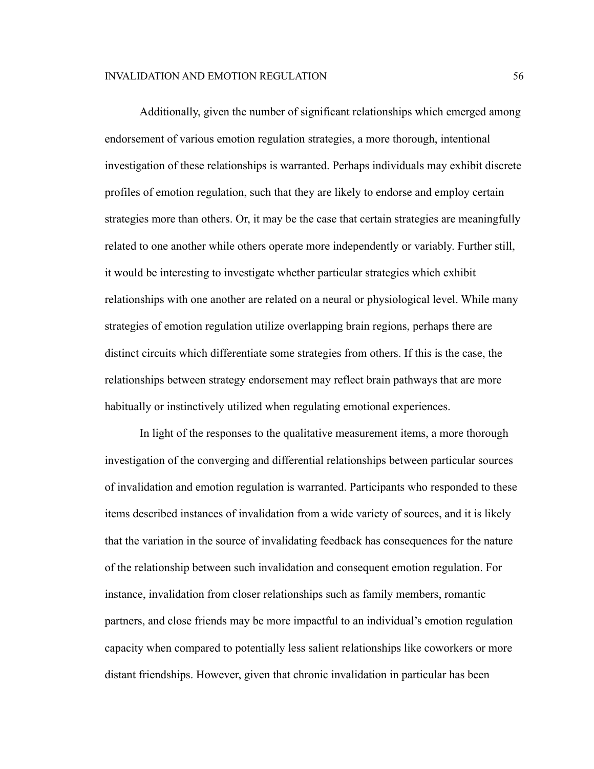Additionally, given the number of significant relationships which emerged among endorsement of various emotion regulation strategies, a more thorough, intentional investigation of these relationships is warranted. Perhaps individuals may exhibit discrete profiles of emotion regulation, such that they are likely to endorse and employ certain strategies more than others. Or, it may be the case that certain strategies are meaningfully related to one another while others operate more independently or variably. Further still, it would be interesting to investigate whether particular strategies which exhibit relationships with one another are related on a neural or physiological level. While many strategies of emotion regulation utilize overlapping brain regions, perhaps there are distinct circuits which differentiate some strategies from others. If this is the case, the relationships between strategy endorsement may reflect brain pathways that are more habitually or instinctively utilized when regulating emotional experiences.

In light of the responses to the qualitative measurement items, a more thorough investigation of the converging and differential relationships between particular sources of invalidation and emotion regulation is warranted. Participants who responded to these items described instances of invalidation from a wide variety of sources, and it is likely that the variation in the source of invalidating feedback has consequences for the nature of the relationship between such invalidation and consequent emotion regulation. For instance, invalidation from closer relationships such as family members, romantic partners, and close friends may be more impactful to an individual's emotion regulation capacity when compared to potentially less salient relationships like coworkers or more distant friendships. However, given that chronic invalidation in particular has been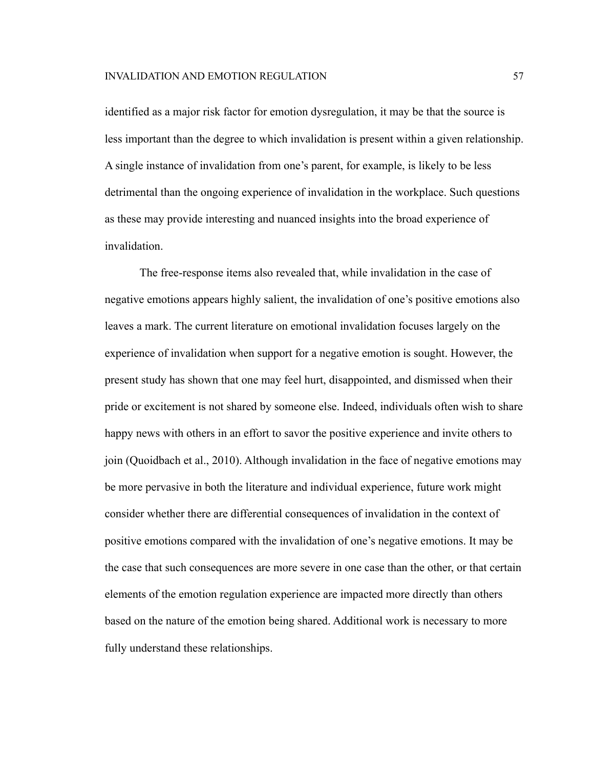identified as a major risk factor for emotion dysregulation, it may be that the source is less important than the degree to which invalidation is present within a given relationship. A single instance of invalidation from one's parent, for example, is likely to be less detrimental than the ongoing experience of invalidation in the workplace. Such questions as these may provide interesting and nuanced insights into the broad experience of invalidation.

The free-response items also revealed that, while invalidation in the case of negative emotions appears highly salient, the invalidation of one's positive emotions also leaves a mark. The current literature on emotional invalidation focuses largely on the experience of invalidation when support for a negative emotion is sought. However, the present study has shown that one may feel hurt, disappointed, and dismissed when their pride or excitement is not shared by someone else. Indeed, individuals often wish to share happy news with others in an effort to savor the positive experience and invite others to join (Quoidbach et al., 2010). Although invalidation in the face of negative emotions may be more pervasive in both the literature and individual experience, future work might consider whether there are differential consequences of invalidation in the context of positive emotions compared with the invalidation of one's negative emotions. It may be the case that such consequences are more severe in one case than the other, or that certain elements of the emotion regulation experience are impacted more directly than others based on the nature of the emotion being shared. Additional work is necessary to more fully understand these relationships.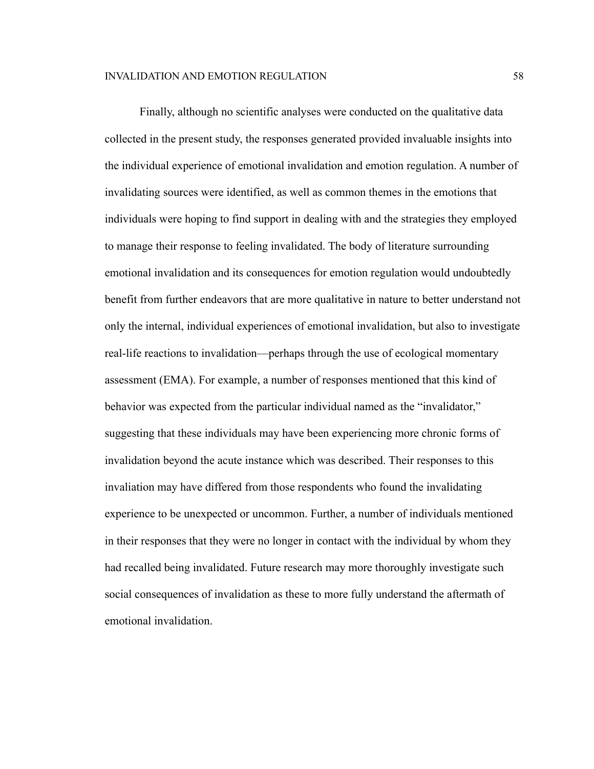Finally, although no scientific analyses were conducted on the qualitative data collected in the present study, the responses generated provided invaluable insights into the individual experience of emotional invalidation and emotion regulation. A number of invalidating sources were identified, as well as common themes in the emotions that individuals were hoping to find support in dealing with and the strategies they employed to manage their response to feeling invalidated. The body of literature surrounding emotional invalidation and its consequences for emotion regulation would undoubtedly benefit from further endeavors that are more qualitative in nature to better understand not only the internal, individual experiences of emotional invalidation, but also to investigate real-life reactions to invalidation—perhaps through the use of ecological momentary assessment (EMA). For example, a number of responses mentioned that this kind of behavior was expected from the particular individual named as the "invalidator," suggesting that these individuals may have been experiencing more chronic forms of invalidation beyond the acute instance which was described. Their responses to this invaliation may have differed from those respondents who found the invalidating experience to be unexpected or uncommon. Further, a number of individuals mentioned in their responses that they were no longer in contact with the individual by whom they had recalled being invalidated. Future research may more thoroughly investigate such social consequences of invalidation as these to more fully understand the aftermath of emotional invalidation.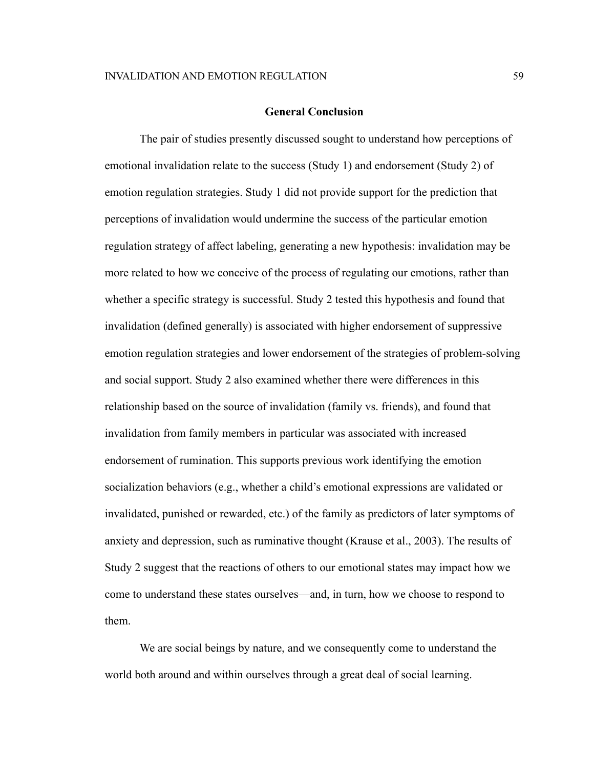# **General Conclusion**

The pair of studies presently discussed sought to understand how perceptions of emotional invalidation relate to the success (Study 1) and endorsement (Study 2) of emotion regulation strategies. Study 1 did not provide support for the prediction that perceptions of invalidation would undermine the success of the particular emotion regulation strategy of affect labeling, generating a new hypothesis: invalidation may be more related to how we conceive of the process of regulating our emotions, rather than whether a specific strategy is successful. Study 2 tested this hypothesis and found that invalidation (defined generally) is associated with higher endorsement of suppressive emotion regulation strategies and lower endorsement of the strategies of problem-solving and social support. Study 2 also examined whether there were differences in this relationship based on the source of invalidation (family vs. friends), and found that invalidation from family members in particular was associated with increased endorsement of rumination. This supports previous work identifying the emotion socialization behaviors (e.g., whether a child's emotional expressions are validated or invalidated, punished or rewarded, etc.) of the family as predictors of later symptoms of anxiety and depression, such as ruminative thought (Krause et al., 2003). The results of Study 2 suggest that the reactions of others to our emotional states may impact how we come to understand these states ourselves—and, in turn, how we choose to respond to them.

We are social beings by nature, and we consequently come to understand the world both around and within ourselves through a great deal of social learning.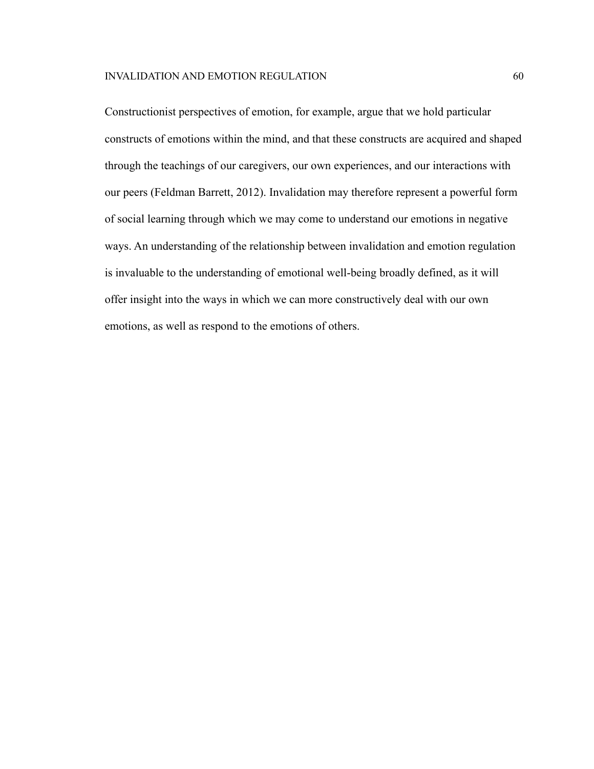Constructionist perspectives of emotion, for example, argue that we hold particular constructs of emotions within the mind, and that these constructs are acquired and shaped through the teachings of our caregivers, our own experiences, and our interactions with our peers (Feldman Barrett, 2012). Invalidation may therefore represent a powerful form of social learning through which we may come to understand our emotions in negative ways. An understanding of the relationship between invalidation and emotion regulation is invaluable to the understanding of emotional well-being broadly defined, as it will offer insight into the ways in which we can more constructively deal with our own emotions, as well as respond to the emotions of others.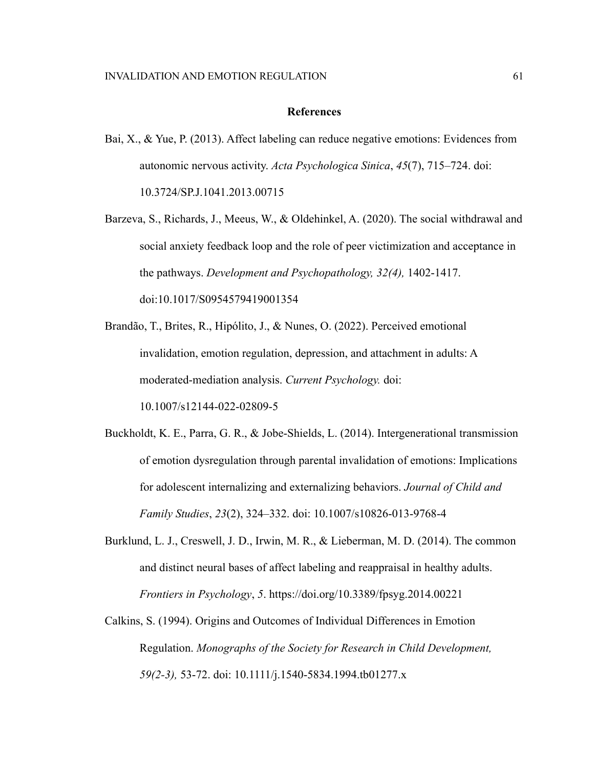#### **References**

- Bai, X., & Yue, P. (2013). Affect labeling can reduce negative emotions: Evidences from autonomic nervous activity. *Acta Psychologica Sinica*, *45*(7), 715–724. doi: [10.3724/SP.J.1041.2013.00715](https://doi.org/10.3724/SP.J.1041.2013.00715)
- Barzeva, S., Richards, J., Meeus, W., & Oldehinkel, A. (2020). The social withdrawal and social anxiety feedback loop and the role of peer victimization and acceptance in the pathways. *Development and Psychopathology, 32(4),* 1402-1417. doi:10.1017/S0954579419001354
- Brandão, T., Brites, R., Hipólito, J., & Nunes, O. (2022). Perceived emotional invalidation, emotion regulation, depression, and attachment in adults: A moderated-mediation analysis. *Current Psychology.* doi: [10.1007/s12144-022-02809-5](http://dx.doi.org/10.1007/s12144-022-02809-5)
- Buckholdt, K. E., Parra, G. R., & Jobe-Shields, L. (2014). Intergenerational transmission of emotion dysregulation through parental invalidation of emotions: Implications for adolescent internalizing and externalizing behaviors. *Journal of Child and Family Studies*, *23*(2), 324–332. doi: [10.1007/s10826-013-9768-4](https://doi.org/10.1007/s10826-013-9768-4)
- Burklund, L. J., Creswell, J. D., Irwin, M. R., & Lieberman, M. D. (2014). The common and distinct neural bases of affect labeling and reappraisal in healthy adults. *Frontiers in Psychology*, *5*. <https://doi.org/10.3389/fpsyg.2014.00221>
- Calkins, S. (1994). Origins and Outcomes of Individual Differences in Emotion Regulation. *Monographs of the Society for Research in Child Development, 59(2-3),* 53-72. doi: [10.1111/j.1540-5834.1994.tb01277.x](https://doi.org/10.1111/j.1540-5834.1994.tb01277.x)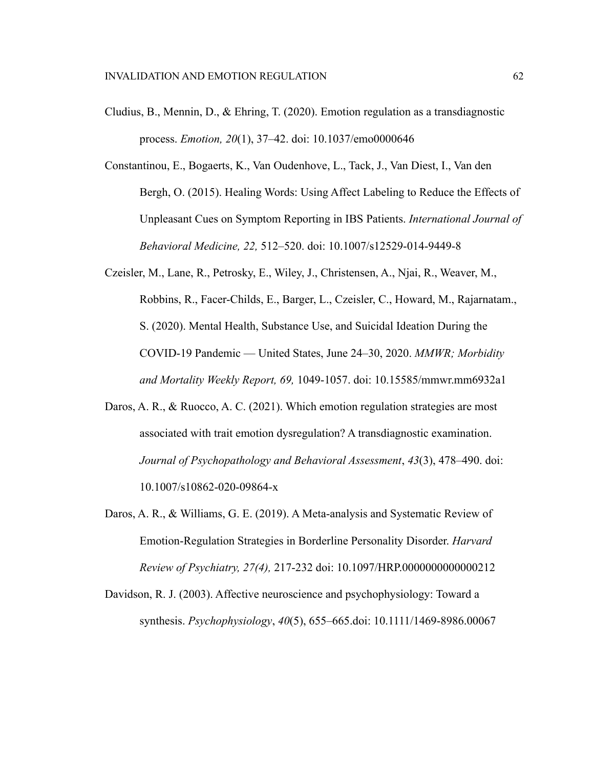- Cludius, B., Mennin, D., & Ehring, T. (2020). Emotion regulation as a transdiagnostic process. *Emotion, 20*(1), 37–42. doi: [10.1037/emo0000646](http://dx.doi.org/10.1037/emo0000646)
- Constantinou, E., Bogaerts, K., Van Oudenhove, L., Tack, J., Van Diest, I., Van den Bergh, O. (2015). Healing Words: Using Affect Labeling to Reduce the Effects of Unpleasant Cues on Symptom Reporting in IBS Patients. *International Journal of Behavioral Medicine, 22,* 512–520. doi: 10.1007/s12529-014-9449-8
- Czeisler, M., Lane, R., Petrosky, E., Wiley, J., Christensen, A., Njai, R., Weaver, M., Robbins, R., Facer-Childs, E., Barger, L., Czeisler, C., Howard, M., Rajarnatam., S. (2020). Mental Health, Substance Use, and Suicidal Ideation During the COVID-19 Pandemic — United States, June 24–30, 2020. *MMWR; Morbidity and Mortality Weekly Report, 69,* 1049-1057. doi: [10.15585/mmwr.mm6932a1](http://dx.doi.org/10.15585/mmwr.mm6932a1)
- Daros, A. R., & Ruocco, A. C. (2021). Which emotion regulation strategies are most associated with trait emotion dysregulation? A transdiagnostic examination. *Journal of Psychopathology and Behavioral Assessment*, *43*(3), 478–490. doi: 10.1007/s10862-020-09864-x
- Daros, A. R., & Williams, G. E. (2019). A Meta-analysis and Systematic Review of Emotion-Regulation Strategies in Borderline Personality Disorder. *Harvard Review of Psychiatry, 27(4),* 217-232 doi: 10.1097/HRP.0000000000000212
- Davidson, R. J. (2003). Affective neuroscience and psychophysiology: Toward a synthesis. *Psychophysiology*, *40*(5), 655–665.doi: [10.1111/1469-8986.00067](https://doi.org/10.1111/1469-8986.00067)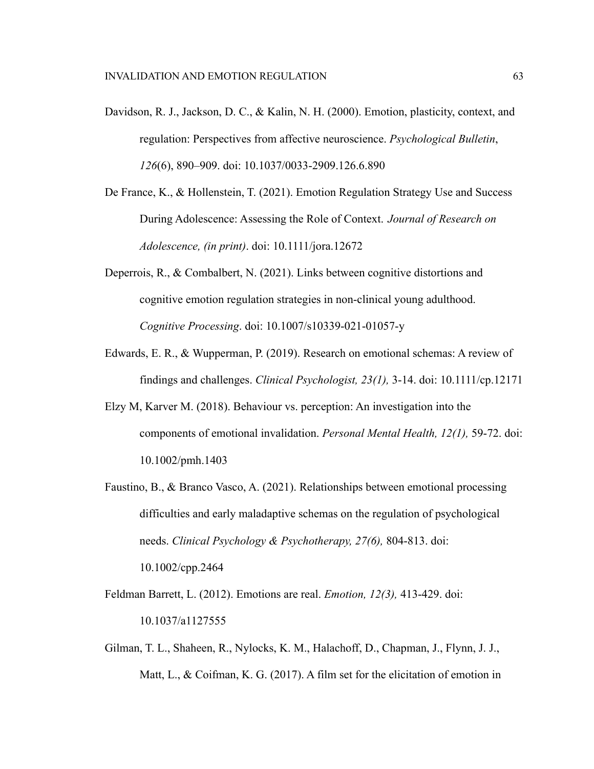- Davidson, R. J., Jackson, D. C., & Kalin, N. H. (2000). Emotion, plasticity, context, and regulation: Perspectives from affective neuroscience. *Psychological Bulletin*, *126*(6), 890–909. doi: [10.1037/0033-2909.126.6.890](https://doi.org/10.1037/0033-2909.126.6.890)
- De France, K., & Hollenstein, T. (2021). Emotion Regulation Strategy Use and Success During Adolescence: Assessing the Role of Context. *Journal of Research on Adolescence, (in print)*. doi: 10.1111/jora.12672
- Deperrois, R., & Combalbert, N. (2021). Links between cognitive distortions and cognitive emotion regulation strategies in non-clinical young adulthood. *Cognitive Processing*. doi: [10.1007/s10339-021-01057-y](https://doi.org/10.1007/s10339-021-01057-y)
- Edwards, E. R., & Wupperman, P. (2019). Research on emotional schemas: A review of findings and challenges. *Clinical Psychologist, 23(1),* 3-14. doi: 10.1111/cp.12171
- Elzy M, Karver M. (2018). Behaviour vs. perception: An investigation into the components of emotional invalidation. *Personal Mental Health, 12(1),* 59-72. doi: 10.1002/pmh.1403
- Faustino, B., & Branco Vasco, A. (2021). Relationships between emotional processing difficulties and early maladaptive schemas on the regulation of psychological needs. *Clinical Psychology & Psychotherapy, 27(6),* 804-813. doi: 10.1002/cpp.2464
- Feldman Barrett, L. (2012). Emotions are real. *Emotion, 12(3),* 413-429. doi: 10.1037/a1127555
- Gilman, T. L., Shaheen, R., Nylocks, K. M., Halachoff, D., Chapman, J., Flynn, J. J., Matt, L., & Coifman, K. G. (2017). A film set for the elicitation of emotion in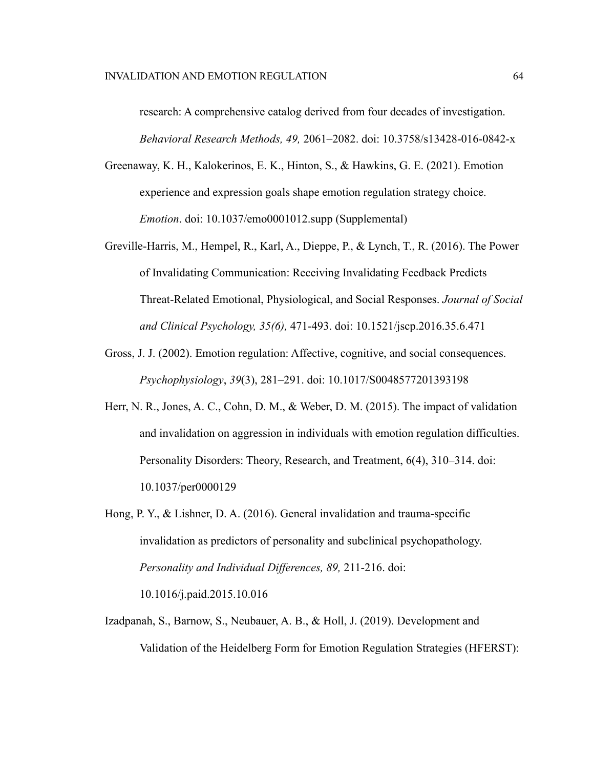research: A comprehensive catalog derived from four decades of investigation. *Behavioral Research Methods, 49,* 2061–2082. doi: 10.3758/s13428-016-0842-x

- Greenaway, K. H., Kalokerinos, E. K., Hinton, S., & Hawkins, G. E. (2021). Emotion experience and expression goals shape emotion regulation strategy choice. *Emotion*. doi: 10.1037/emo0001012.supp (Supplemental)
- Greville-Harris, M., Hempel, R., Karl, A., Dieppe, P., & Lynch, T., R. (2016). The Power of Invalidating Communication: Receiving Invalidating Feedback Predicts Threat-Related Emotional, Physiological, and Social Responses. *Journal of Social and Clinical Psychology, 35(6),* 471-493. doi: 10.1521/jscp.2016.35.6.471
- Gross, J. J. (2002). Emotion regulation: Affective, cognitive, and social consequences. *Psychophysiology*, *39*(3), 281–291. doi: [10.1017/S0048577201393198](https://doi.org/10.1017/S0048577201393198)
- Herr, N. R., Jones, A. C., Cohn, D. M., & Weber, D. M. (2015). The impact of validation and invalidation on aggression in individuals with emotion regulation difficulties. Personality Disorders: Theory, Research, and Treatment, 6(4), 310–314. doi: [10.1037/per0000129](https://doi.org/10.1037/per0000129)
- Hong, P. Y., & Lishner, D. A. (2016). General invalidation and trauma-specific invalidation as predictors of personality and subclinical psychopathology. *Personality and Individual Differences, 89,* 211-216. doi:

10.1016/j.paid.2015.10.016

Izadpanah, S., Barnow, S., Neubauer, A. B., & Holl, J. (2019). Development and Validation of the Heidelberg Form for Emotion Regulation Strategies (HFERST):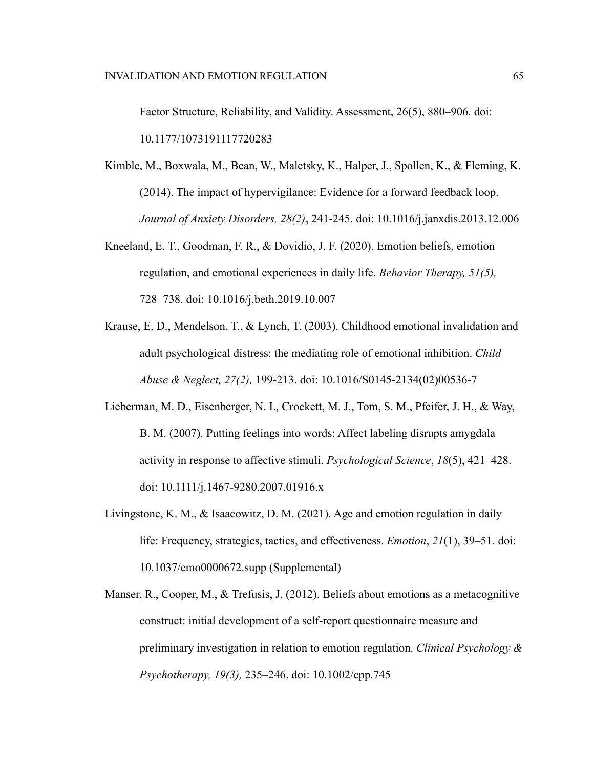Factor Structure, Reliability, and Validity. Assessment, 26(5), 880–906. doi: 10.1177/1073191117720283

- Kimble, M., Boxwala, M., Bean, W., Maletsky, K., Halper, J., Spollen, K., & Fleming, K. (2014). The impact of hypervigilance: Evidence for a forward feedback loop. *Journal of Anxiety Disorders, 28(2)*, 241-245. doi: [10.1016/j.janxdis.2013.12.006](https://doi.org/10.1016/j.janxdis.2013.12.006)
- Kneeland, E. T., Goodman, F. R., & Dovidio, J. F. (2020). Emotion beliefs, emotion regulation, and emotional experiences in daily life. *Behavior Therapy, 51(5),* 728–738. doi: 10.1016/j.beth.2019.10.007
- Krause, E. D., Mendelson, T., & Lynch, T. (2003). Childhood emotional invalidation and adult psychological distress: the mediating role of emotional inhibition. *Child Abuse & Neglect, 27(2),* 199-213. doi: [10.1016/S0145-2134\(02\)00536-7](https://doi.org/10.1016/S0145-2134(02)00536-7)
- Lieberman, M. D., Eisenberger, N. I., Crockett, M. J., Tom, S. M., Pfeifer, J. H., & Way, B. M. (2007). Putting feelings into words: Affect labeling disrupts amygdala activity in response to affective stimuli. *Psychological Science*, *18*(5), 421–428. doi: [10.1111/j.1467-9280.2007.01916.x](https://doi.org/10.1111/j.1467-9280.2007.01916.x)
- Livingstone, K. M., & Isaacowitz, D. M. (2021). Age and emotion regulation in daily life: Frequency, strategies, tactics, and effectiveness. *Emotion*, *21*(1), 39–51. doi: 10.1037/emo0000672.supp (Supplemental)
- Manser, R., Cooper, M., & Trefusis, J. (2012). Beliefs about emotions as a metacognitive construct: initial development of a self-report questionnaire measure and preliminary investigation in relation to emotion regulation. *Clinical Psychology & Psychotherapy, 19(3),* 235–246. doi: 10.1002/cpp.745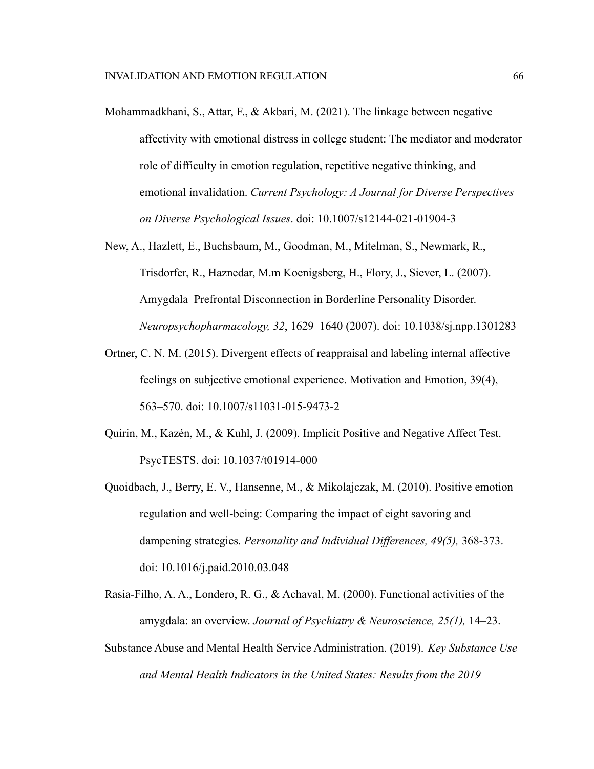- Mohammadkhani, S., Attar, F., & Akbari, M. (2021). The linkage between negative affectivity with emotional distress in college student: The mediator and moderator role of difficulty in emotion regulation, repetitive negative thinking, and emotional invalidation. *Current Psychology: A Journal for Diverse Perspectives on Diverse Psychological Issues*. doi: [10.1007/s12144-021-01904-3](https://doi.org/10.1007/s12144-021-01904-3)
- New, A., Hazlett, E., Buchsbaum, M., Goodman, M., Mitelman, S., Newmark, R., Trisdorfer, R., Haznedar, M.m Koenigsberg, H., Flory, J., Siever, L. (2007). Amygdala–Prefrontal Disconnection in Borderline Personality Disorder. *Neuropsychopharmacology, 32*, 1629–1640 (2007). doi: 10.1038/sj.npp.1301283
- Ortner, C. N. M. (2015). Divergent effects of reappraisal and labeling internal affective feelings on subjective emotional experience. Motivation and Emotion, 39(4), 563–570. doi: 10.1007/s11031-015-9473-2
- Quirin, M., Kazén, M., & Kuhl, J. (2009). Implicit Positive and Negative Affect Test. PsycTESTS. doi: [10.1037/t01914-000](https://doi.org/10.1037/t01914-000)
- Quoidbach, J., Berry, E. V., Hansenne, M., & Mikolajczak, M. (2010). Positive emotion regulation and well-being: Comparing the impact of eight savoring and dampening strategies. *Personality and Individual Differences, 49(5),* 368-373. doi: [10.1016/j.paid.2010.03.048](https://doi.org/10.1016/j.paid.2010.03.048)
- Rasia-Filho, A. A., Londero, R. G., & Achaval, M. (2000). Functional activities of the amygdala: an overview. *Journal of Psychiatry & Neuroscience, 25(1),* 14–23.
- Substance Abuse and Mental Health Service Administration. (2019). *Key Substance Use and Mental Health Indicators in the United States: Results from the 2019*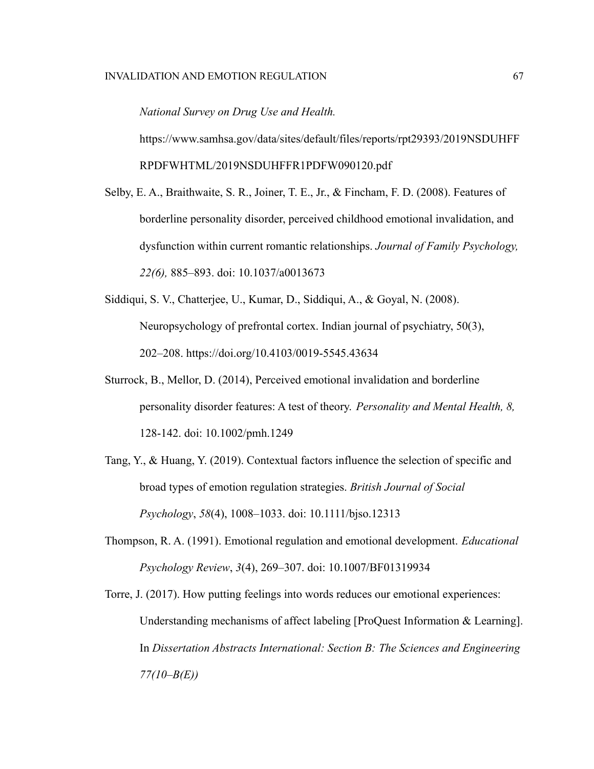*National Survey on Drug Use and Health.* [https://www.samhsa.gov/data/sites/default/files/reports/rpt29393/2019NSDUHFF](https://www.samhsa.gov/data/sites/default/files/reports/rpt29393/2019NSDUHFFRPDFWHTML/2019NSDUHFFR1PDFW090120.pdf) [RPDFWHTML/2019NSDUHFFR1PDFW090120.pdf](https://www.samhsa.gov/data/sites/default/files/reports/rpt29393/2019NSDUHFFRPDFWHTML/2019NSDUHFFR1PDFW090120.pdf)

- Selby, E. A., Braithwaite, S. R., Joiner, T. E., Jr., & Fincham, F. D. (2008). Features of borderline personality disorder, perceived childhood emotional invalidation, and dysfunction within current romantic relationships. *Journal of Family Psychology, 22(6),* 885–893. doi: 10.1037/a0013673
- Siddiqui, S. V., Chatterjee, U., Kumar, D., Siddiqui, A., & Goyal, N. (2008). Neuropsychology of prefrontal cortex. Indian journal of psychiatry, 50(3), 202–208. https://doi.org/10.4103/0019-5545.43634
- Sturrock, B., Mellor, D. (2014), Perceived emotional invalidation and borderline personality disorder features: A test of theory. *Personality and Mental Health, 8,* 128-142. doi: 10.1002/pmh.1249
- Tang, Y., & Huang, Y. (2019). Contextual factors influence the selection of specific and broad types of emotion regulation strategies. *British Journal of Social Psychology*, *58*(4), 1008–1033. doi: [10.1111/bjso.12313](https://doi.org/10.1111/bjso.12313)
- Thompson, R. A. (1991). Emotional regulation and emotional development. *Educational Psychology Review*, *3*(4), 269–307. doi: [10.1007/BF01319934](https://doi.org/10.1007/BF01319934)

Torre, J. (2017). How putting feelings into words reduces our emotional experiences: Understanding mechanisms of affect labeling [ProQuest Information & Learning]. In *Dissertation Abstracts International: Section B: The Sciences and Engineering 77(10–B(E))*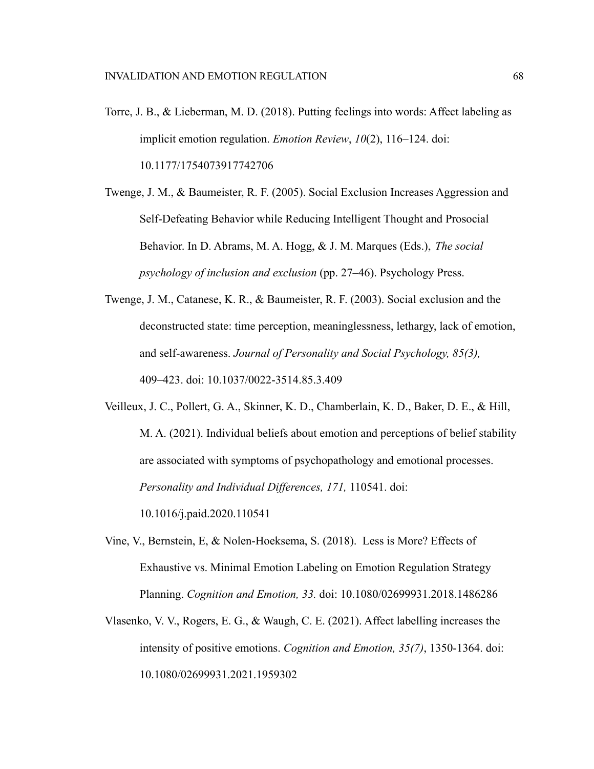Torre, J. B., & Lieberman, M. D. (2018). Putting feelings into words: Affect labeling as implicit emotion regulation. *Emotion Review*, *10*(2), 116–124. doi: [10.1177/1754073917742706](https://doi.org/10.1177/1754073917742706)

Twenge, J. M., & Baumeister, R. F. (2005). Social Exclusion Increases Aggression and Self-Defeating Behavior while Reducing Intelligent Thought and Prosocial Behavior. In D. Abrams, M. A. Hogg, & J. M. Marques (Eds.), *The social psychology of inclusion and exclusion* (pp. 27–46). Psychology Press.

- Twenge, J. M., Catanese, K. R., & Baumeister, R. F. (2003). Social exclusion and the deconstructed state: time perception, meaninglessness, lethargy, lack of emotion, and self-awareness. *Journal of Personality and Social Psychology, 85(3),* 409–423. doi: 10.1037/0022-3514.85.3.409
- Veilleux, J. C., Pollert, G. A., Skinner, K. D., Chamberlain, K. D., Baker, D. E., & Hill, M. A. (2021). Individual beliefs about emotion and perceptions of belief stability are associated with symptoms of psychopathology and emotional processes. *Personality and Individual Differences, 171,* 110541. doi:

10.1016/j.paid.2020.110541

- Vine, V., Bernstein, E, & Nolen-Hoeksema, S. (2018). Less is More? Effects of Exhaustive vs. Minimal Emotion Labeling on Emotion Regulation Strategy Planning. *Cognition and Emotion, 33.* doi: 10.1080/02699931.2018.1486286
- Vlasenko, V. V., Rogers, E. G., & Waugh, C. E. (2021). Affect labelling increases the intensity of positive emotions. *Cognition and Emotion, 35(7)*, 1350-1364. doi: 10.1080/02699931.2021.1959302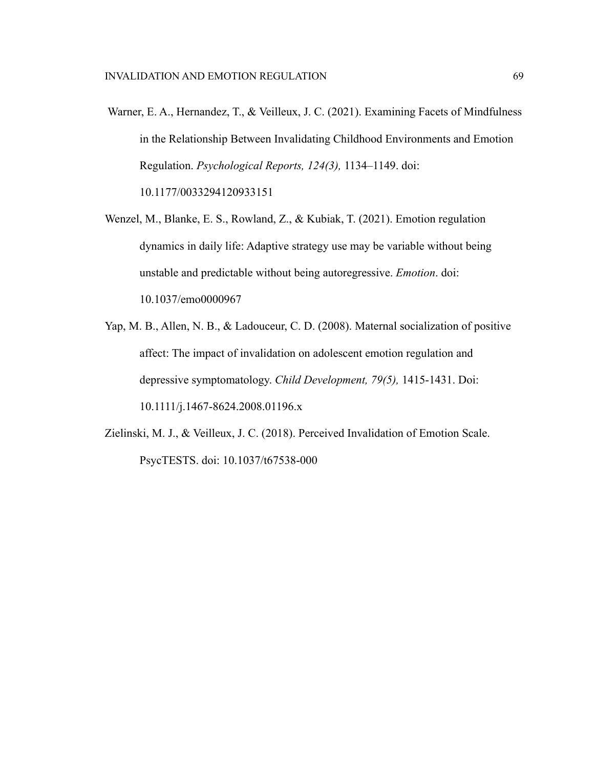- Warner, E. A., Hernandez, T., & Veilleux, J. C. (2021). Examining Facets of Mindfulness in the Relationship Between Invalidating Childhood Environments and Emotion Regulation. *Psychological Reports, 124(3),* 1134–1149. doi: 10.1177/0033294120933151
- Wenzel, M., Blanke, E. S., Rowland, Z., & Kubiak, T. (2021). Emotion regulation dynamics in daily life: Adaptive strategy use may be variable without being unstable and predictable without being autoregressive. *Emotion*. doi: [10.1037/emo0000967](https://doi.org/10.1037/emo0000967)
- Yap, M. B., Allen, N. B., & Ladouceur, C. D. (2008). Maternal socialization of positive affect: The impact of invalidation on adolescent emotion regulation and depressive symptomatology. *Child Development, 79(5),* 1415-1431. Doi: [10.1111/j.1467-8624.2008.01196.x](https://doi.org/10.1111/j.1467-8624.2008.01196.x)
- Zielinski, M. J., & Veilleux, J. C. (2018). Perceived Invalidation of Emotion Scale. PsycTESTS. doi: 10.1037/t67538-000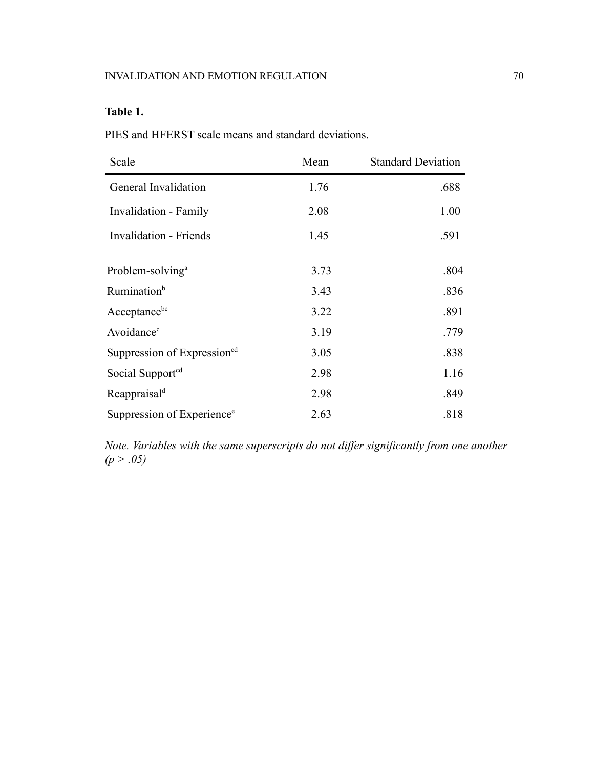# **Table 1.**

PIES and HFERST scale means and standard deviations.

| Scale                                   | Mean | <b>Standard Deviation</b> |
|-----------------------------------------|------|---------------------------|
| General Invalidation                    | 1.76 | .688                      |
| Invalidation - Family                   | 2.08 | 1.00                      |
| <b>Invalidation - Friends</b>           | 1.45 | .591                      |
| Problem-solving <sup>a</sup>            | 3.73 | .804                      |
| Rumination <sup>b</sup>                 | 3.43 | .836                      |
| Acceptancebc                            | 3.22 | .891                      |
| Avoidance <sup>c</sup>                  | 3.19 | .779                      |
| Suppression of Expression <sup>cd</sup> | 3.05 | .838                      |
| Social Support <sup>ed</sup>            | 2.98 | 1.16                      |
| Reappraisal <sup>d</sup>                | 2.98 | .849                      |
| Suppression of Experience <sup>e</sup>  | 2.63 | .818                      |

*Note. Variables with the same superscripts do not differ significantly from one another (p > .05)*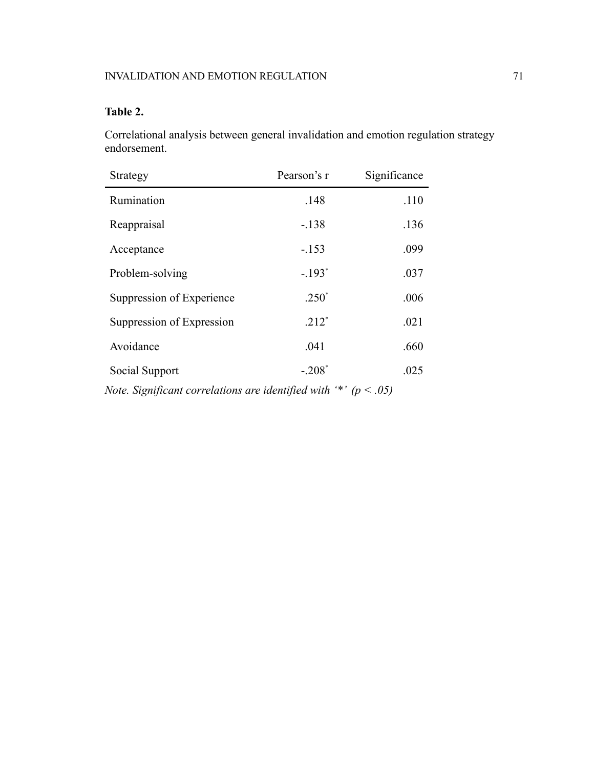# **Table 2.**

Correlational analysis between general invalidation and emotion regulation strategy endorsement.

| Strategy                                                             | Pearson's r | Significance |  |
|----------------------------------------------------------------------|-------------|--------------|--|
| Rumination                                                           | .148        | .110         |  |
| Reappraisal                                                          | $-.138$     | .136         |  |
| Acceptance                                                           | $-153$      | .099         |  |
| Problem-solving                                                      | $-.193*$    | .037         |  |
| Suppression of Experience                                            | $.250*$     | .006         |  |
| Suppression of Expression                                            | $.212*$     | .021         |  |
| Avoidance                                                            | .041        | .660         |  |
| Social Support                                                       | $-.208*$    | .025         |  |
| Note. Significant correlations are identified with "*' ( $p < .05$ ) |             |              |  |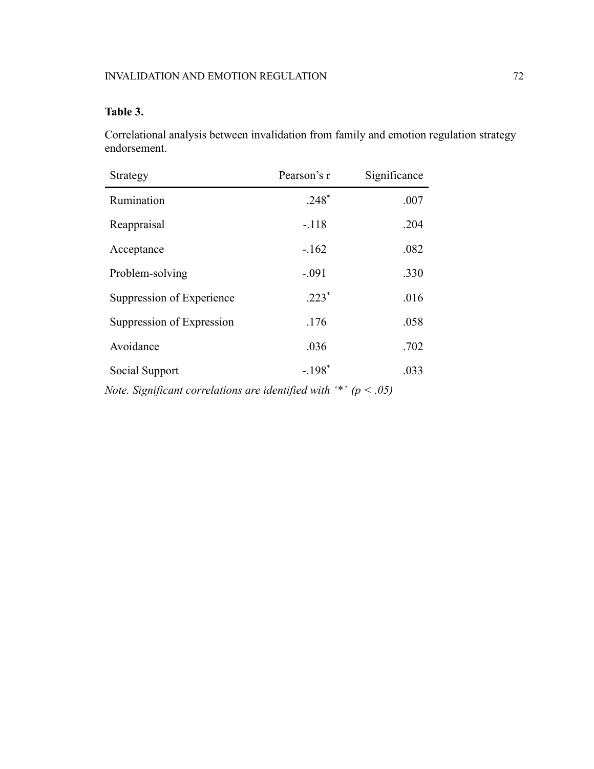## **Table 3.**

Correlational analysis between invalidation from family and emotion regulation strategy endorsement.

| Strategy                                                                   | Pearson's r | Significance |  |  |  |
|----------------------------------------------------------------------------|-------------|--------------|--|--|--|
| Rumination                                                                 | $.248*$     | .007         |  |  |  |
| Reappraisal                                                                | $-.118$     | .204         |  |  |  |
| Acceptance                                                                 | $-162$      | .082         |  |  |  |
| Problem-solving                                                            | $-.091$     | .330         |  |  |  |
| Suppression of Experience                                                  | $.223*$     | .016         |  |  |  |
| Suppression of Expression                                                  | .176        | .058         |  |  |  |
| Avoidance                                                                  | .036        | .702         |  |  |  |
| Social Support                                                             | $-.198*$    | .033         |  |  |  |
| <i>Note. Significant correlations are identified with '*' (p &lt; .05)</i> |             |              |  |  |  |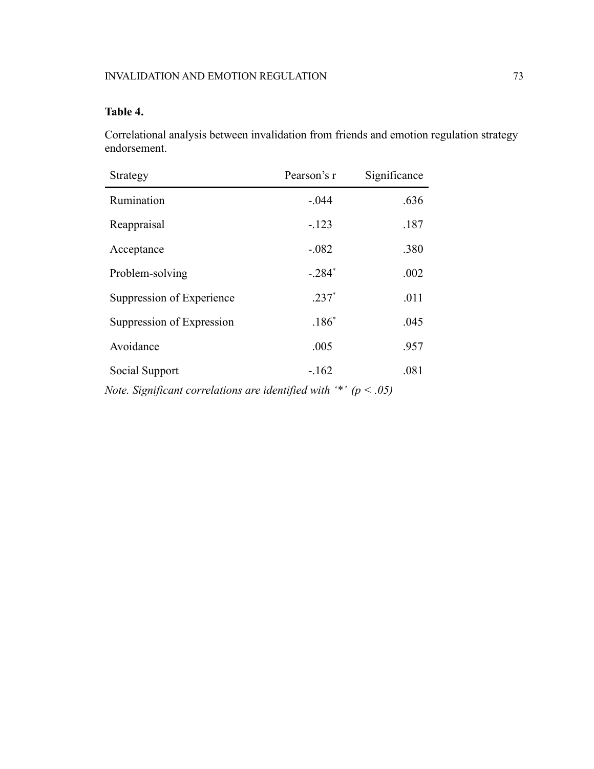## **Table 4.**

Correlational analysis between invalidation from friends and emotion regulation strategy endorsement.

| Strategy                                                                     | Pearson's r | Significance |  |  |  |
|------------------------------------------------------------------------------|-------------|--------------|--|--|--|
| Rumination                                                                   | $-.044$     | .636         |  |  |  |
| Reappraisal                                                                  | $-.123$     | .187         |  |  |  |
| Acceptance                                                                   | $-.082$     | .380         |  |  |  |
| Problem-solving                                                              | $-.284*$    | .002         |  |  |  |
| Suppression of Experience                                                    | $.237*$     | .011         |  |  |  |
| Suppression of Expression                                                    | $.186*$     | .045         |  |  |  |
| Avoidance                                                                    | .005        | .957         |  |  |  |
| Social Support                                                               | $-.162$     | .081         |  |  |  |
| Note. Significant correlations are identified with $\dot{\bullet}$ (p < .05) |             |              |  |  |  |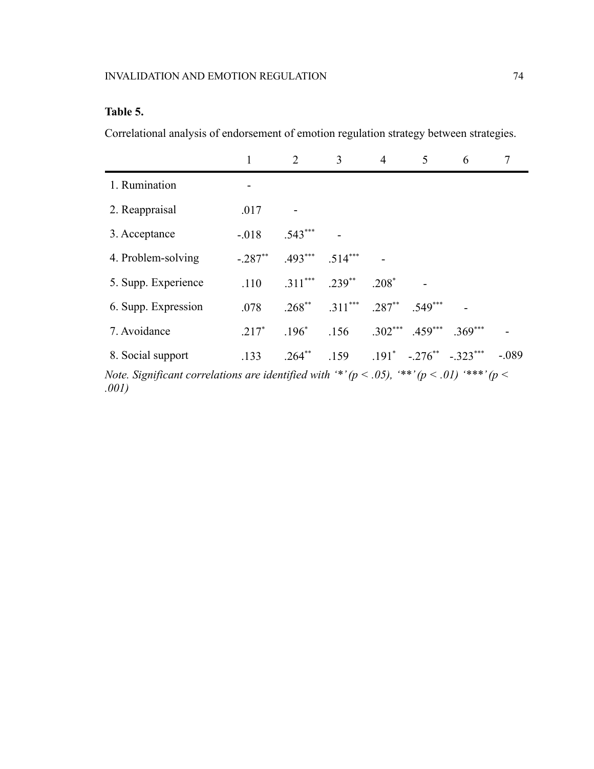# **Table 5.**

Correlational analysis of endorsement of emotion regulation strategy between strategies.

|                                                                                                                  |          | 2         | 3                                                      | 4                                          | 5 | 6 |       |
|------------------------------------------------------------------------------------------------------------------|----------|-----------|--------------------------------------------------------|--------------------------------------------|---|---|-------|
| 1. Rumination                                                                                                    |          |           |                                                        |                                            |   |   |       |
| 2. Reappraisal                                                                                                   | .017     |           |                                                        |                                            |   |   |       |
| 3. Acceptance                                                                                                    | $-0.018$ | $.543***$ |                                                        |                                            |   |   |       |
| 4. Problem-solving                                                                                               | $-287**$ |           | $.493***$ $.514***$                                    |                                            |   |   |       |
| 5. Supp. Experience                                                                                              | .110     |           | $311***$ $239**$                                       | $.208*$                                    |   |   |       |
| 6. Supp. Expression                                                                                              | .078     |           | $.268^{**}$ $.311^{***}$ $.287^{**}$ $.549^{***}$      |                                            |   |   |       |
| 7. Avoidance                                                                                                     | $.217*$  |           | $.196^*$ $.156$ $.302^{***}$ $.459^{***}$ $.369^{***}$ |                                            |   |   |       |
| 8. Social support                                                                                                | .133     | $.264***$ |                                                        | $.159$ $.191^*$ $-.276^{**}$ $-.323^{***}$ |   |   | - 089 |
| Note. Significant correlations are identified with "*' $(p < .05)$ , "**' $(p < .01)$ "***' $(p < .01)$<br>.001) |          |           |                                                        |                                            |   |   |       |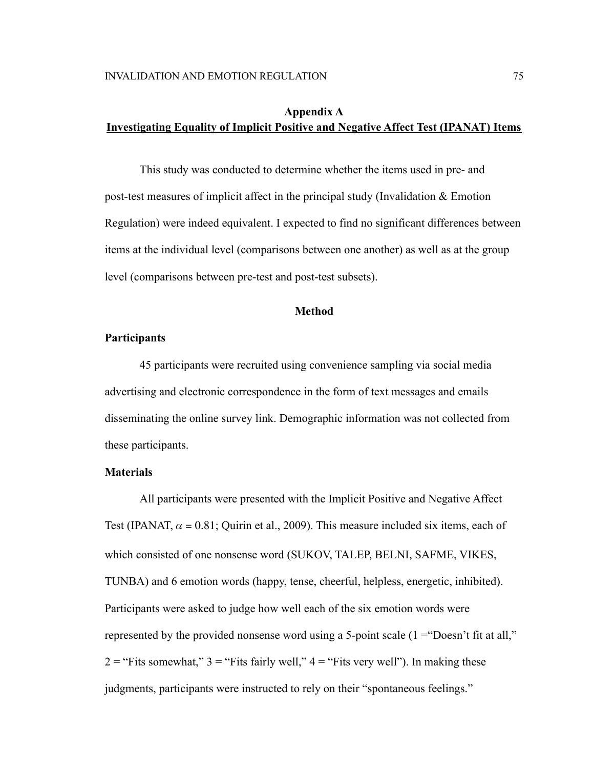# **Appendix A Investigating Equality of Implicit Positive and Negative Affect Test (IPANAT) Items**

This study was conducted to determine whether the items used in pre- and post-test measures of implicit affect in the principal study (Invalidation & Emotion Regulation) were indeed equivalent. I expected to find no significant differences between items at the individual level (comparisons between one another) as well as at the group level (comparisons between pre-test and post-test subsets).

#### **Method**

#### **Participants**

45 participants were recruited using convenience sampling via social media advertising and electronic correspondence in the form of text messages and emails disseminating the online survey link. Demographic information was not collected from these participants.

#### **Materials**

All participants were presented with the Implicit Positive and Negative Affect Test (IPANAT,  $\alpha$  = 0.81; Quirin et al., 2009). This measure included six items, each of which consisted of one nonsense word (SUKOV, TALEP, BELNI, SAFME, VIKES, TUNBA) and 6 emotion words (happy, tense, cheerful, helpless, energetic, inhibited). Participants were asked to judge how well each of the six emotion words were represented by the provided nonsense word using a 5-point scale  $(1 = 20$ oesn't fit at all,"  $2 =$  "Fits somewhat,"  $3 =$  "Fits fairly well,"  $4 =$  "Fits very well"). In making these judgments, participants were instructed to rely on their "spontaneous feelings."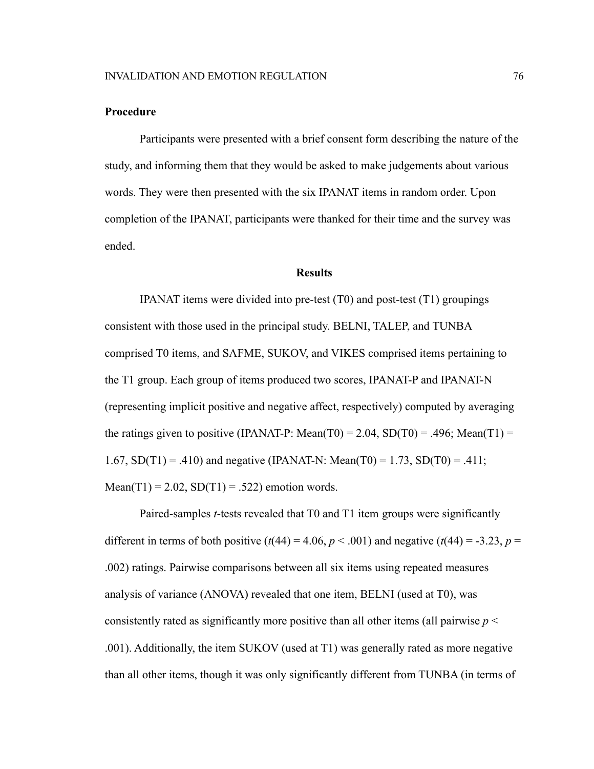### **Procedure**

Participants were presented with a brief consent form describing the nature of the study, and informing them that they would be asked to make judgements about various words. They were then presented with the six IPANAT items in random order. Upon completion of the IPANAT, participants were thanked for their time and the survey was ended.

#### **Results**

IPANAT items were divided into pre-test (T0) and post-test (T1) groupings consistent with those used in the principal study. BELNI, TALEP, and TUNBA comprised T0 items, and SAFME, SUKOV, and VIKES comprised items pertaining to the T1 group. Each group of items produced two scores, IPANAT-P and IPANAT-N (representing implicit positive and negative affect, respectively) computed by averaging the ratings given to positive (IPANAT-P: Mean(T0) = 2.04, SD(T0) = .496; Mean(T1) = 1.67,  $SD(T1) = .410$ ) and negative (IPANAT-N: Mean(T0) = 1.73,  $SD(T0) = .411$ ;  $Mean(T1) = 2.02, SD(T1) = .522$  emotion words.

Paired-samples *t*-tests revealed that T0 and T1 item groups were significantly different in terms of both positive ( $t(44) = 4.06$ ,  $p < .001$ ) and negative ( $t(44) = .3.23$ ,  $p =$ .002) ratings. Pairwise comparisons between all six items using repeated measures analysis of variance (ANOVA) revealed that one item, BELNI (used at T0), was consistently rated as significantly more positive than all other items (all pairwise  $p <$ .001). Additionally, the item SUKOV (used at T1) was generally rated as more negative than all other items, though it was only significantly different from TUNBA (in terms of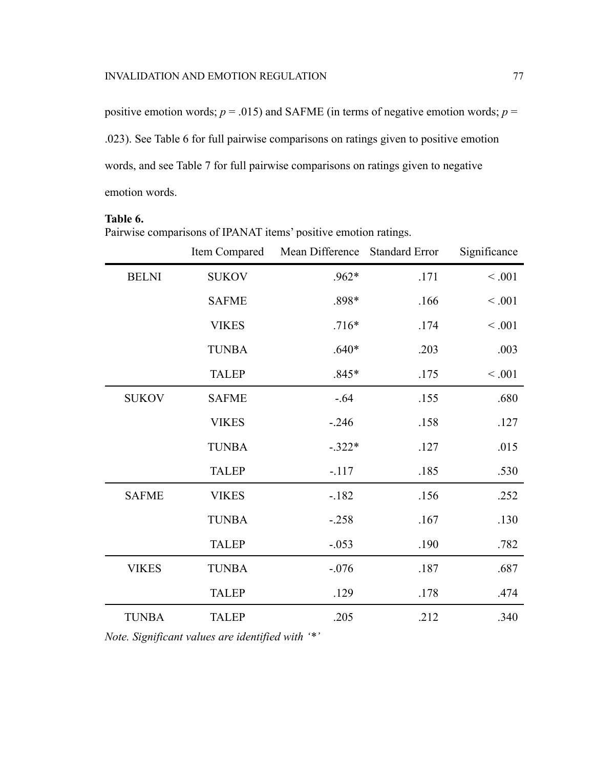positive emotion words;  $p = .015$ ) and SAFME (in terms of negative emotion words;  $p =$ .023). See Table 6 for full pairwise comparisons on ratings given to positive emotion words, and see Table 7 for full pairwise comparisons on ratings given to negative emotion words.

#### **Table 6.**

| Pairwise comparisons of IPANAT items' positive emotion ratings. |              |                                              |      |              |  |
|-----------------------------------------------------------------|--------------|----------------------------------------------|------|--------------|--|
|                                                                 |              | Item Compared Mean Difference Standard Error |      | Significance |  |
| <b>BELNI</b>                                                    | <b>SUKOV</b> | $.962*$                                      | .171 | < 0.001      |  |
|                                                                 | <b>SAFME</b> | .898*                                        | .166 | < 0.001      |  |
|                                                                 | <b>VIKES</b> | $.716*$                                      | .174 | < 0.001      |  |
|                                                                 | <b>TUNBA</b> | $.640*$                                      | .203 | .003         |  |
|                                                                 | <b>TALEP</b> | $.845*$                                      | .175 | < 0.001      |  |
| <b>SUKOV</b>                                                    | <b>SAFME</b> | $-64$                                        | .155 | .680         |  |
|                                                                 | <b>VIKES</b> | $-.246$                                      | .158 | .127         |  |
|                                                                 | <b>TUNBA</b> | $-.322*$                                     | .127 | .015         |  |
|                                                                 | <b>TALEP</b> | $-117$                                       | .185 | .530         |  |
| <b>SAFME</b>                                                    | <b>VIKES</b> | $-182$                                       | .156 | .252         |  |
|                                                                 | <b>TUNBA</b> | $-.258$                                      | .167 | .130         |  |
|                                                                 | <b>TALEP</b> | $-.053$                                      | .190 | .782         |  |

VIKES TUNBA -.076 .187 .687

TUNBA TALEP .205 .212 .340

TALEP .129 .178 .474

*Note. Significant values are identified with '\*'*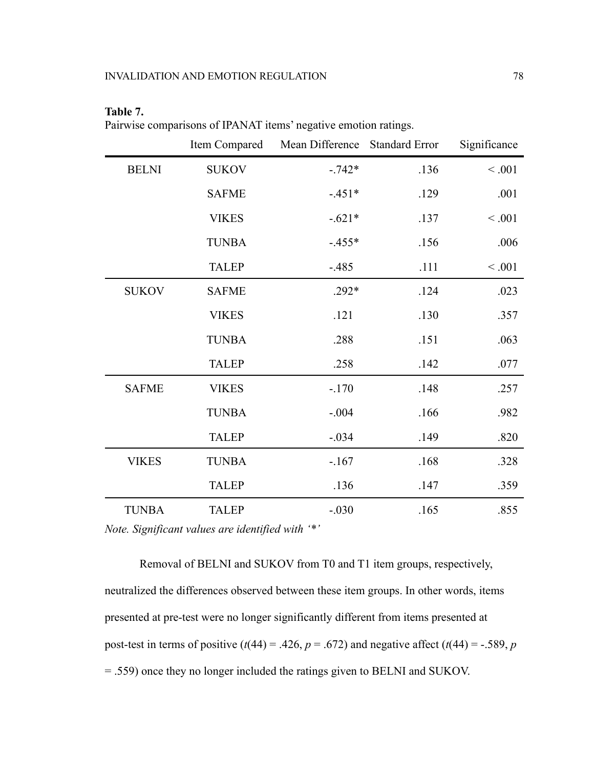| mı<br>H<br>и |
|--------------|
|--------------|

Pairwise comparisons of IPANAT items' negative emotion ratings.

|              | Item Compared | Mean Difference | <b>Standard Error</b> | Significance |
|--------------|---------------|-----------------|-----------------------|--------------|
| <b>BELNI</b> | <b>SUKOV</b>  | $-742*$         | .136                  | < 0.001      |
|              | <b>SAFME</b>  | $-451*$         | .129                  | .001         |
|              | <b>VIKES</b>  | $-.621*$        | .137                  | < 0.001      |
|              | <b>TUNBA</b>  | $-455*$         | .156                  | .006         |
|              | <b>TALEP</b>  | $-485$          | .111                  | < 0.001      |
| <b>SUKOV</b> | <b>SAFME</b>  | .292*           | .124                  | .023         |
|              | <b>VIKES</b>  | .121            | .130                  | .357         |
|              | <b>TUNBA</b>  | .288            | .151                  | .063         |
|              | <b>TALEP</b>  | .258            | .142                  | .077         |
| <b>SAFME</b> | <b>VIKES</b>  | $-170$          | .148                  | .257         |
|              | <b>TUNBA</b>  | $-.004$         | .166                  | .982         |
|              | <b>TALEP</b>  | $-.034$         | .149                  | .820         |
| <b>VIKES</b> | <b>TUNBA</b>  | $-167$          | .168                  | .328         |
|              | <b>TALEP</b>  | .136            | .147                  | .359         |
| <b>TUNBA</b> | <b>TALEP</b>  | $-.030$         | .165                  | .855         |

*Note. Significant values are identified with '\*'*

Removal of BELNI and SUKOV from T0 and T1 item groups, respectively, neutralized the differences observed between these item groups. In other words, items presented at pre-test were no longer significantly different from items presented at post-test in terms of positive ( $t$ (44) = .426,  $p$  = .672) and negative affect ( $t$ (44) = -.589,  $p$ = .559) once they no longer included the ratings given to BELNI and SUKOV.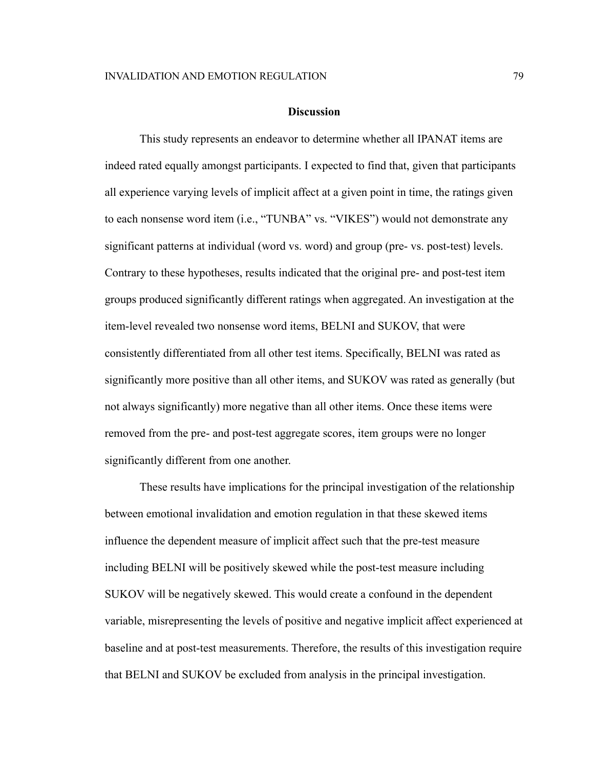#### **Discussion**

This study represents an endeavor to determine whether all IPANAT items are indeed rated equally amongst participants. I expected to find that, given that participants all experience varying levels of implicit affect at a given point in time, the ratings given to each nonsense word item (i.e., "TUNBA" vs. "VIKES") would not demonstrate any significant patterns at individual (word vs. word) and group (pre- vs. post-test) levels. Contrary to these hypotheses, results indicated that the original pre- and post-test item groups produced significantly different ratings when aggregated. An investigation at the item-level revealed two nonsense word items, BELNI and SUKOV, that were consistently differentiated from all other test items. Specifically, BELNI was rated as significantly more positive than all other items, and SUKOV was rated as generally (but not always significantly) more negative than all other items. Once these items were removed from the pre- and post-test aggregate scores, item groups were no longer significantly different from one another.

These results have implications for the principal investigation of the relationship between emotional invalidation and emotion regulation in that these skewed items influence the dependent measure of implicit affect such that the pre-test measure including BELNI will be positively skewed while the post-test measure including SUKOV will be negatively skewed. This would create a confound in the dependent variable, misrepresenting the levels of positive and negative implicit affect experienced at baseline and at post-test measurements. Therefore, the results of this investigation require that BELNI and SUKOV be excluded from analysis in the principal investigation.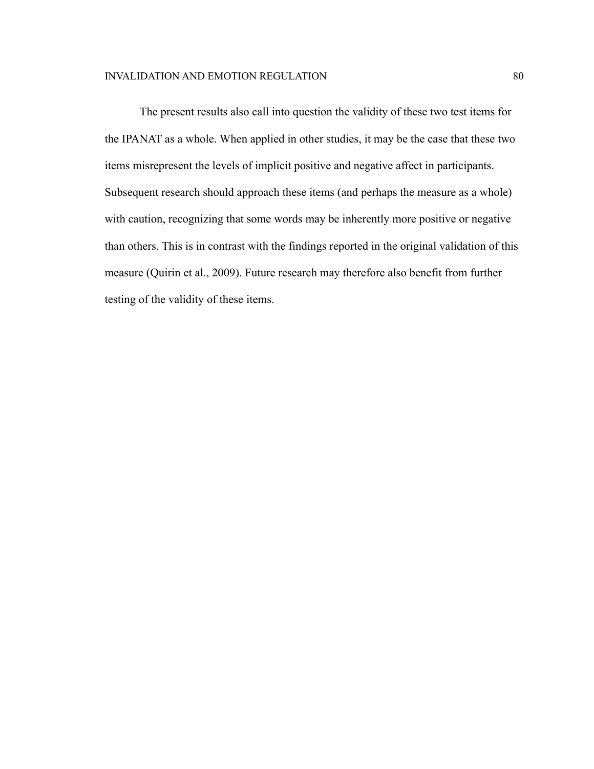The present results also call into question the validity of these two test items for the IPANAT as a whole. When applied in other studies, it may be the case that these two items misrepresent the levels of implicit positive and negative affect in participants. Subsequent research should approach these items (and perhaps the measure as a whole) with caution, recognizing that some words may be inherently more positive or negative than others. This is in contrast with the findings reported in the original validation of this measure (Quirin et al., 2009). Future research may therefore also benefit from further testing of the validity of these items.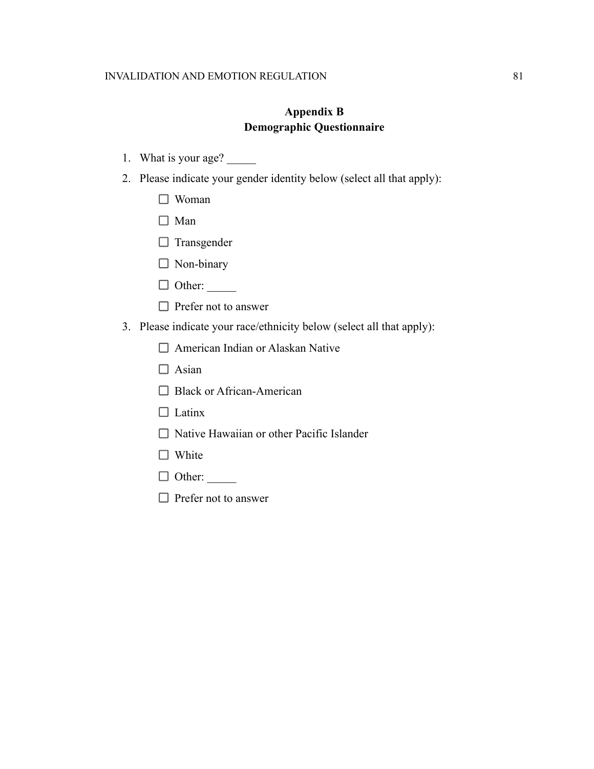# **Appendix B Demographic Questionnaire**

- 1. What is your age?
- 2. Please indicate your gender identity below (select all that apply):
	- □ Woman
	- $\square$  Man
	- $\Box$  Transgender
	- □ Non-binary
	- $\Box$  Other:
	- $\Box$  Prefer not to answer
- 3. Please indicate your race/ethnicity below (select all that apply):
	- □ American Indian or Alaskan Native
	- $\Box$  Asian
	- □ Black or African-American
	- $\Box$  Latinx
	- $\Box$  Native Hawaiian or other Pacific Islander
	- □ White
	- $\Box$  Other:
	- $\Box$  Prefer not to answer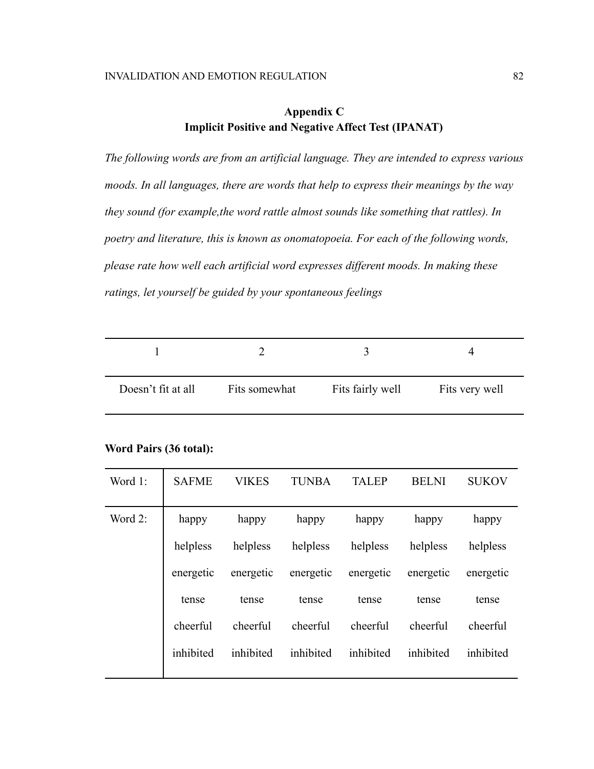## **Appendix C Implicit Positive and Negative Affect Test (IPANAT)**

*The following words are from an artificial language. They are intended to express various moods. In all languages, there are words that help to express their meanings by the way they sound (for example,the word rattle almost sounds like something that rattles). In poetry and literature, this is known as onomatopoeia. For each of the following words, please rate how well each artificial word expresses different moods. In making these ratings, let yourself be guided by your spontaneous feelings*

| Doesn't fit at all | Fits somewhat | Fits fairly well | Fits very well |
|--------------------|---------------|------------------|----------------|

#### **Word Pairs (36 total):**

| Word 1: | <b>SAFME</b> | <b>VIKES</b> | <b>TUNBA</b> | <b>TALEP</b> | <b>BELNI</b> | <b>SUKOV</b> |
|---------|--------------|--------------|--------------|--------------|--------------|--------------|
| Word 2: | happy        | happy        | happy        | happy        | happy        | happy        |
|         | helpless     | helpless     | helpless     | helpless     | helpless     | helpless     |
|         | energetic    | energetic    | energetic    | energetic    | energetic    | energetic    |
|         | tense        | tense        | tense        | tense        | tense        | tense        |
|         | cheerful     | cheerful     | cheerful     | cheerful     | cheerful     | cheerful     |
|         | inhibited    | inhibited    | inhibited    | inhibited    | inhibited    | inhibited    |
|         |              |              |              |              |              |              |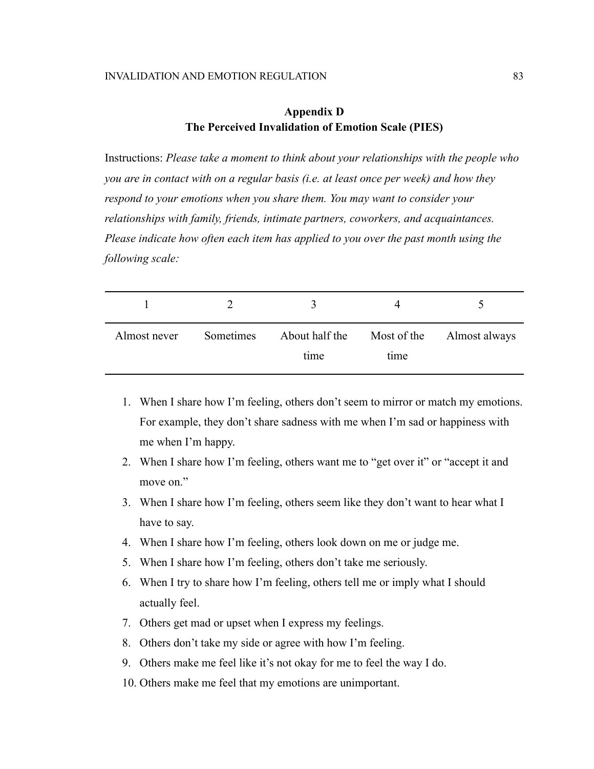## **Appendix D The Perceived Invalidation of Emotion Scale (PIES)**

Instructions: *Please take a moment to think about your relationships with the people who you are in contact with on a regular basis (i.e. at least once per week) and how they respond to your emotions when you share them. You may want to consider your relationships with family, friends, intimate partners, coworkers, and acquaintances. Please indicate how often each item has applied to you over the past month using the following scale:*

| Almost never | Sometimes | About half the<br>time | time | Most of the Almost always |
|--------------|-----------|------------------------|------|---------------------------|

- 1. When I share how I'm feeling, others don't seem to mirror or match my emotions. For example, they don't share sadness with me when I'm sad or happiness with me when I'm happy.
- 2. When I share how I'm feeling, others want me to "get over it" or "accept it and move on."
- 3. When I share how I'm feeling, others seem like they don't want to hear what I have to say.
- 4. When I share how I'm feeling, others look down on me or judge me.
- 5. When I share how I'm feeling, others don't take me seriously.
- 6. When I try to share how I'm feeling, others tell me or imply what I should actually feel.
- 7. Others get mad or upset when I express my feelings.
- 8. Others don't take my side or agree with how I'm feeling.
- 9. Others make me feel like it's not okay for me to feel the way I do.
- 10. Others make me feel that my emotions are unimportant.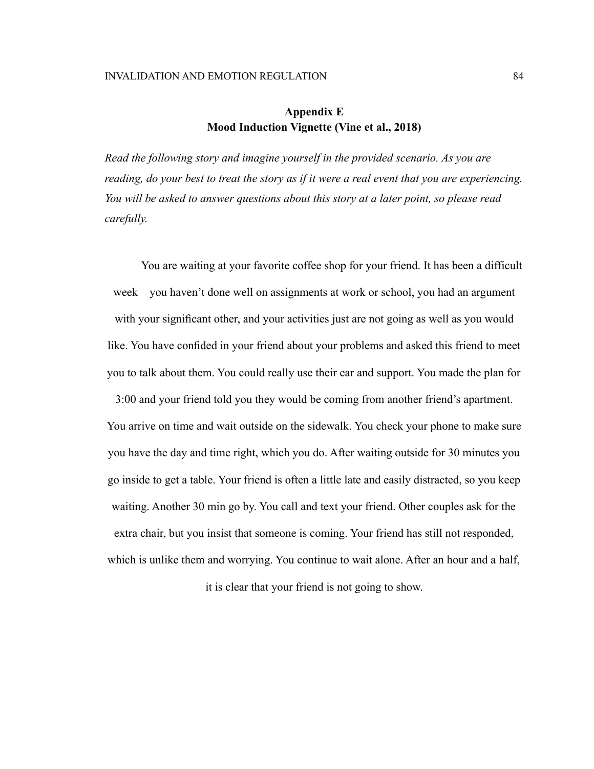## **Appendix E Mood Induction Vignette (Vine et al., 2018)**

*Read the following story and imagine yourself in the provided scenario. As you are reading, do your best to treat the story as if it were a real event that you are experiencing. You will be asked to answer questions about this story at a later point, so please read carefully.*

You are waiting at your favorite coffee shop for your friend. It has been a difficult week—you haven't done well on assignments at work or school, you had an argument with your significant other, and your activities just are not going as well as you would like. You have confided in your friend about your problems and asked this friend to meet you to talk about them. You could really use their ear and support. You made the plan for

3:00 and your friend told you they would be coming from another friend's apartment. You arrive on time and wait outside on the sidewalk. You check your phone to make sure you have the day and time right, which you do. After waiting outside for 30 minutes you go inside to get a table. Your friend is often a little late and easily distracted, so you keep waiting. Another 30 min go by. You call and text your friend. Other couples ask for the extra chair, but you insist that someone is coming. Your friend has still not responded, which is unlike them and worrying. You continue to wait alone. After an hour and a half,

it is clear that your friend is not going to show.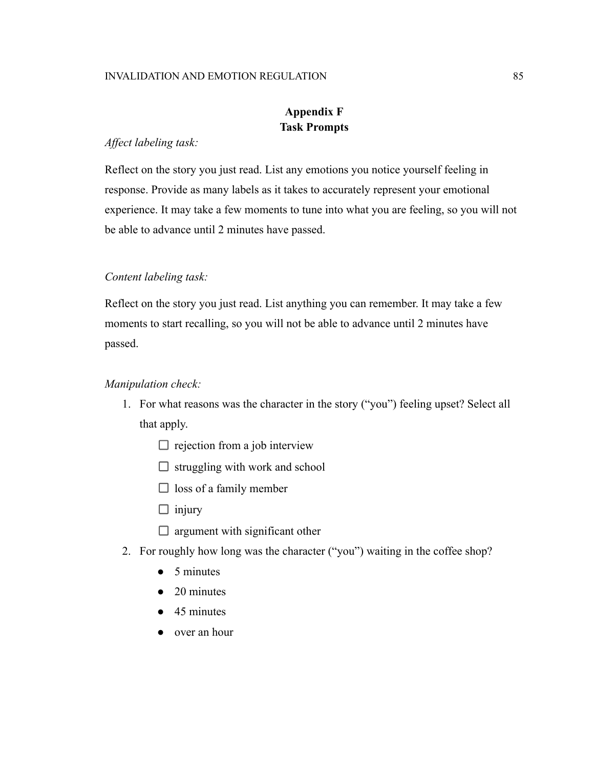# **Appendix F Task Prompts**

### *Affect labeling task:*

Reflect on the story you just read. List any emotions you notice yourself feeling in response. Provide as many labels as it takes to accurately represent your emotional experience. It may take a few moments to tune into what you are feeling, so you will not be able to advance until 2 minutes have passed.

#### *Content labeling task:*

Reflect on the story you just read. List anything you can remember. It may take a few moments to start recalling, so you will not be able to advance until 2 minutes have passed.

#### *Manipulation check:*

- 1. For what reasons was the character in the story ("you") feeling upset? Select all that apply.
	- $\Box$  rejection from a job interview
	- $\Box$  struggling with work and school
	- $\Box$  loss of a family member
	- $\Box$  injury
	- $\Box$  argument with significant other
- 2. For roughly how long was the character ("you") waiting in the coffee shop?
	- 5 minutes
	- 20 minutes
	- 45 minutes
	- over an hour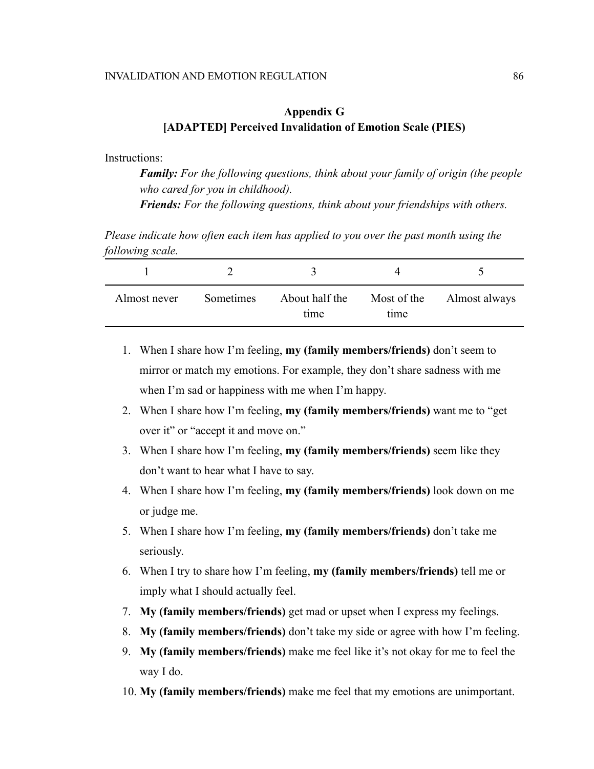# **Appendix G [ADAPTED] Perceived Invalidation of Emotion Scale (PIES)**

Instructions:

*Family: For the following questions, think about your family of origin (the people who cared for you in childhood). Friends: For the following questions, think about your friendships with others.*

*Please indicate how often each item has applied to you over the past month using the following scale.*

| Almost never | Sometimes | About half the<br>time | Most of the<br>time | Almost always |
|--------------|-----------|------------------------|---------------------|---------------|

- 1. When I share how I'm feeling, **my (family members/friends)** don't seem to mirror or match my emotions. For example, they don't share sadness with me when I'm sad or happiness with me when I'm happy.
- 2. When I share how I'm feeling, **my (family members/friends)** want me to "get over it" or "accept it and move on."
- 3. When I share how I'm feeling, **my (family members/friends)** seem like they don't want to hear what I have to say.
- 4. When I share how I'm feeling, **my (family members/friends)** look down on me or judge me.
- 5. When I share how I'm feeling, **my (family members/friends)** don't take me seriously.
- 6. When I try to share how I'm feeling, **my (family members/friends)** tell me or imply what I should actually feel.
- 7. **My (family members/friends)** get mad or upset when I express my feelings.
- 8. **My (family members/friends)** don't take my side or agree with how I'm feeling.
- 9. **My (family members/friends)** make me feel like it's not okay for me to feel the way I do.
- 10. **My (family members/friends)** make me feel that my emotions are unimportant.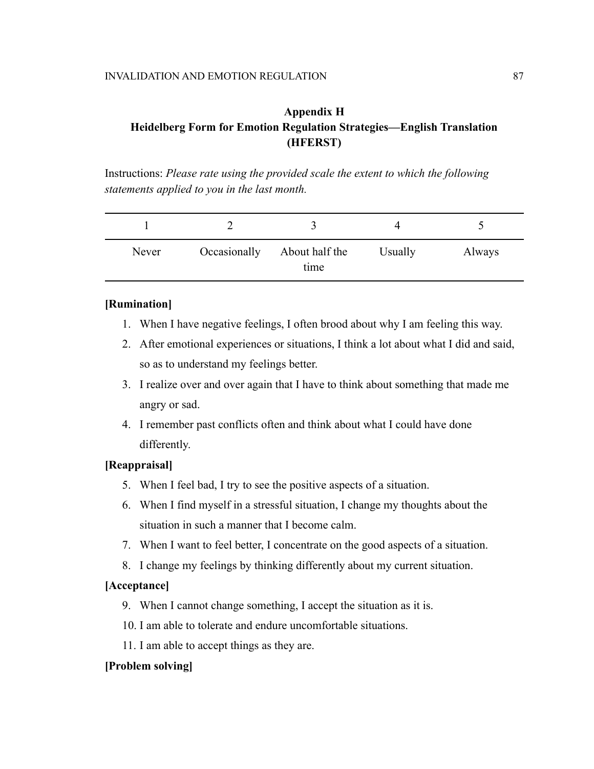# **Appendix H Heidelberg Form for Emotion Regulation Strategies—English Translation (HFERST)**

Instructions: *Please rate using the provided scale the extent to which the following statements applied to you in the last month.*

| Never | Occasionally | About half the<br>time | Usually | Always |
|-------|--------------|------------------------|---------|--------|

## **[Rumination]**

- 1. When I have negative feelings, I often brood about why I am feeling this way.
- 2. After emotional experiences or situations, I think a lot about what I did and said, so as to understand my feelings better.
- 3. I realize over and over again that I have to think about something that made me angry or sad.
- 4. I remember past conflicts often and think about what I could have done differently.

## **[Reappraisal]**

- 5. When I feel bad, I try to see the positive aspects of a situation.
- 6. When I find myself in a stressful situation, I change my thoughts about the situation in such a manner that I become calm.
- 7. When I want to feel better, I concentrate on the good aspects of a situation.
- 8. I change my feelings by thinking differently about my current situation.

### **[Acceptance]**

- 9. When I cannot change something, I accept the situation as it is.
- 10. I am able to tolerate and endure uncomfortable situations.
- 11. I am able to accept things as they are.

#### **[Problem solving]**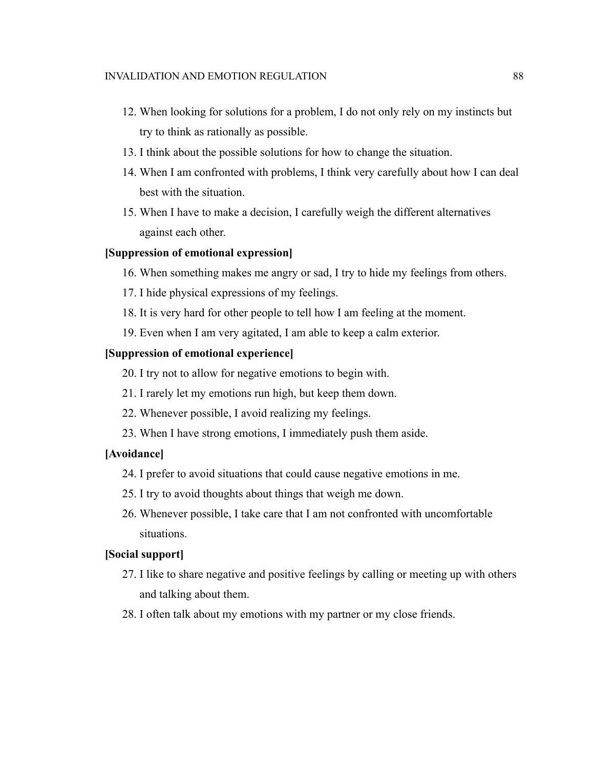#### INVALIDATION AND EMOTION REGULATION 88

- 12. When looking for solutions for a problem, I do not only rely on my instincts but try to think as rationally as possible.
- 13. I think about the possible solutions for how to change the situation.
- 14. When I am confronted with problems, I think very carefully about how I can deal best with the situation.
- 15. When I have to make a decision, I carefully weigh the different alternatives against each other.

### **[Suppression of emotional expression]**

- 16. When something makes me angry or sad, I try to hide my feelings from others.
- 17. I hide physical expressions of my feelings.
- 18. It is very hard for other people to tell how I am feeling at the moment.
- 19. Even when I am very agitated, I am able to keep a calm exterior.

### **[Suppression of emotional experience]**

- 20. I try not to allow for negative emotions to begin with.
- 21. I rarely let my emotions run high, but keep them down.
- 22. Whenever possible, I avoid realizing my feelings.
- 23. When I have strong emotions, I immediately push them aside.

### **[Avoidance]**

- 24. I prefer to avoid situations that could cause negative emotions in me.
- 25. I try to avoid thoughts about things that weigh me down.
- 26. Whenever possible, I take care that I am not confronted with uncomfortable situations.

#### **[Social support]**

- 27. I like to share negative and positive feelings by calling or meeting up with others and talking about them.
- 28. I often talk about my emotions with my partner or my close friends.